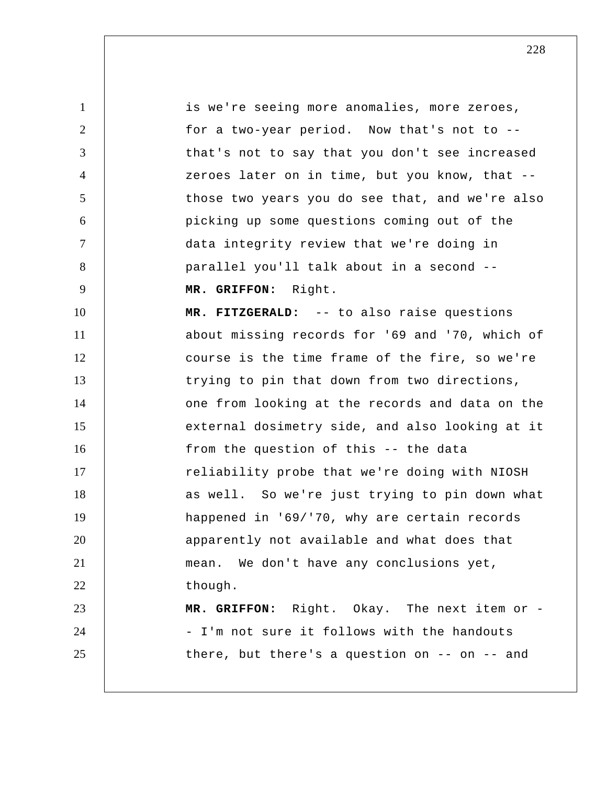1 2 3 4 5 6 7 8 9 10 11 12 13 14 15 16 17 18 19 20 21 22 23 24 25 is we're seeing more anomalies, more zeroes, for a two-year period. Now that's not to - that's not to say that you don't see increased zeroes later on in time, but you know, that - those two years you do see that, and we're also picking up some questions coming out of the data integrity review that we're doing in parallel you'll talk about in a second --  **MR. GRIFFON:** Right.  **MR. FITZGERALD:** -- to also raise questions about missing records for '69 and '70, which of course is the time frame of the fire, so we're trying to pin that down from two directions, one from looking at the records and data on the external dosimetry side, and also looking at it from the question of this -- the data reliability probe that we're doing with NIOSH as well. So we're just trying to pin down what happened in '69/'70, why are certain records apparently not available and what does that mean. We don't have any conclusions yet, though.  **MR. GRIFFON:** Right. Okay. The next item or - I'm not sure it follows with the handouts there, but there's a question on -- on -- and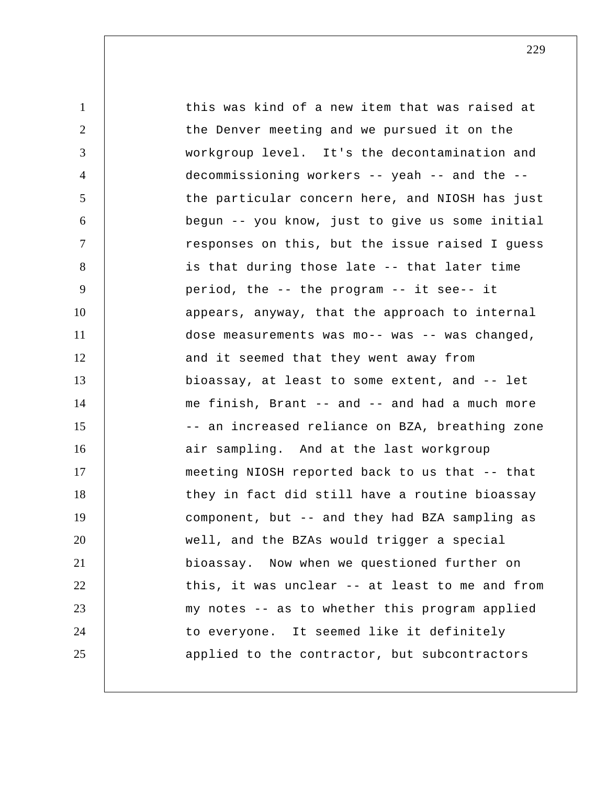1 2 3 4 5 6 7 8 9 10 11 12 13 14 15 16 17 18 19 20 21 22 23 24 25 this was kind of a new item that was raised at the Denver meeting and we pursued it on the workgroup level. It's the decontamination and decommissioning workers -- yeah -- and the - the particular concern here, and NIOSH has just begun -- you know, just to give us some initial responses on this, but the issue raised I guess is that during those late -- that later time period, the -- the program -- it see-- it appears, anyway, that the approach to internal dose measurements was mo-- was -- was changed, and it seemed that they went away from bioassay, at least to some extent, and -- let me finish, Brant -- and -- and had a much more -- an increased reliance on BZA, breathing zone air sampling. And at the last workgroup meeting NIOSH reported back to us that -- that they in fact did still have a routine bioassay component, but -- and they had BZA sampling as well, and the BZAs would trigger a special bioassay. Now when we questioned further on this, it was unclear -- at least to me and from my notes -- as to whether this program applied to everyone. It seemed like it definitely applied to the contractor, but subcontractors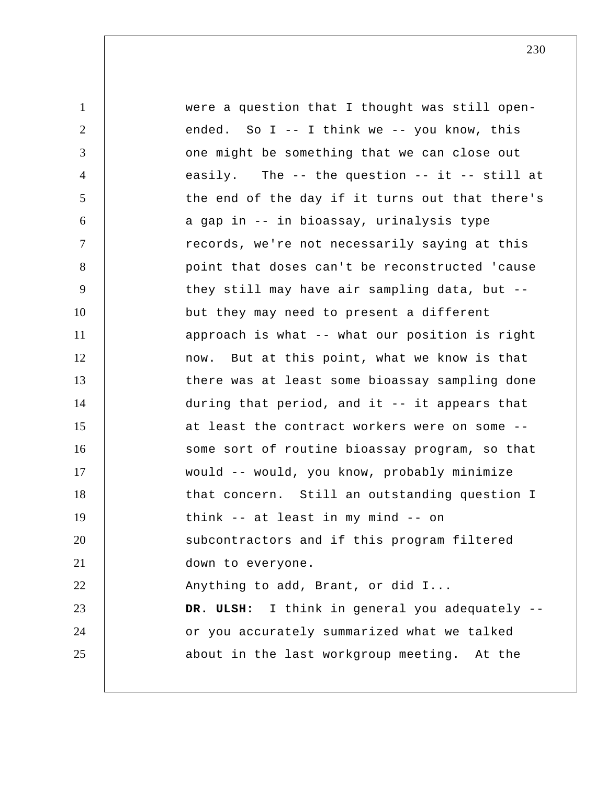| $\mathbf{1}$   | were a question that I thought was still open-         |
|----------------|--------------------------------------------------------|
| $\overline{2}$ | ended. So I -- I think we -- you know, this            |
| 3              | one might be something that we can close out           |
| $\overline{4}$ | easily. The $-$ - the question $-$ - it $-$ - still at |
| 5              | the end of the day if it turns out that there's        |
| 6              | a gap in -- in bioassay, urinalysis type               |
| $\tau$         | records, we're not necessarily saying at this          |
| 8              | point that doses can't be reconstructed 'cause         |
| 9              | they still may have air sampling data, but --          |
| 10             | but they may need to present a different               |
| 11             | approach is what -- what our position is right         |
| 12             | now. But at this point, what we know is that           |
| 13             | there was at least some bioassay sampling done         |
| 14             | during that period, and it -- it appears that          |
| 15             | at least the contract workers were on some --          |
| 16             | some sort of routine bioassay program, so that         |
| 17             | would -- would, you know, probably minimize            |
| 18             | that concern. Still an outstanding question I          |
| 19             | think -- at least in my mind -- on                     |
| 20             | subcontractors and if this program filtered            |
| 21             | down to everyone.                                      |
| 22             | Anything to add, Brant, or did I                       |
| 23             | DR. ULSH: I think in general you adequately --         |
| 24             | or you accurately summarized what we talked            |
| 25             | about in the last workgroup meeting. At the            |
|                |                                                        |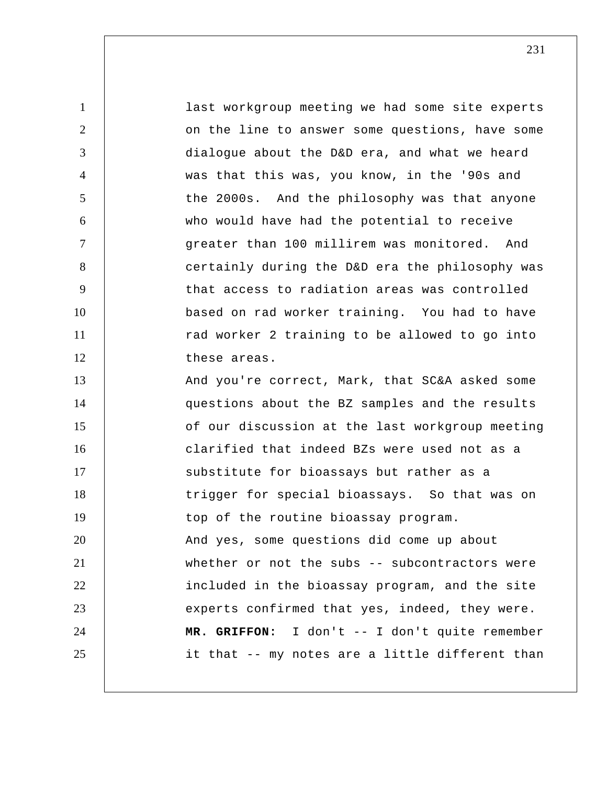1 2 3 4 5 6 7 8 9 10 11 12 13 14 15 16 17 18 19 20 21 22 23 24 25 last workgroup meeting we had some site experts on the line to answer some questions, have some dialogue about the D&D era, and what we heard was that this was, you know, in the '90s and the 2000s. And the philosophy was that anyone who would have had the potential to receive greater than 100 millirem was monitored. And certainly during the D&D era the philosophy was that access to radiation areas was controlled based on rad worker training. You had to have rad worker 2 training to be allowed to go into these areas. And you're correct, Mark, that SC&A asked some questions about the BZ samples and the results of our discussion at the last workgroup meeting clarified that indeed BZs were used not as a substitute for bioassays but rather as a trigger for special bioassays. So that was on top of the routine bioassay program. And yes, some questions did come up about whether or not the subs -- subcontractors were included in the bioassay program, and the site experts confirmed that yes, indeed, they were.  **MR. GRIFFON:** I don't -- I don't quite remember it that -- my notes are a little different than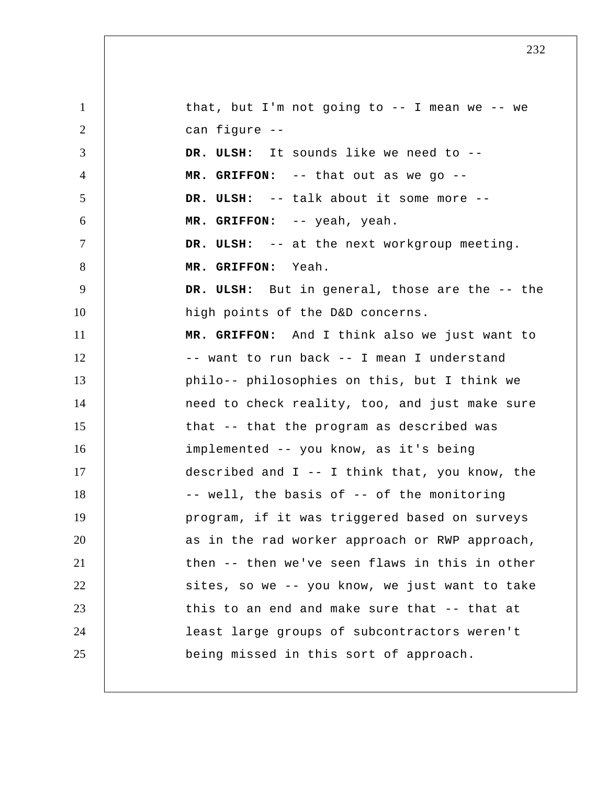1 2 3 4 5 6 7 8 9 10 11 12 13 14 15 16 17 18 19 20 21 22 23 24 25 that, but I'm not going to  $-$ - I mean we  $-$ - we can figure --  **DR. ULSH:** It sounds like we need to --  **MR. GRIFFON:** -- that out as we go --  **DR. ULSH:** -- talk about it some more --  **MR. GRIFFON:** -- yeah, yeah.  **DR. ULSH:** -- at the next workgroup meeting.  **MR. GRIFFON:** Yeah.  **DR. ULSH:** But in general, those are the -- the high points of the D&D concerns.  **MR. GRIFFON:** And I think also we just want to -- want to run back -- I mean I understand philo-- philosophies on this, but I think we need to check reality, too, and just make sure that -- that the program as described was implemented -- you know, as it's being described and I -- I think that, you know, the -- well, the basis of -- of the monitoring program, if it was triggered based on surveys as in the rad worker approach or RWP approach, then -- then we've seen flaws in this in other sites, so we -- you know, we just want to take this to an end and make sure that -- that at least large groups of subcontractors weren't being missed in this sort of approach.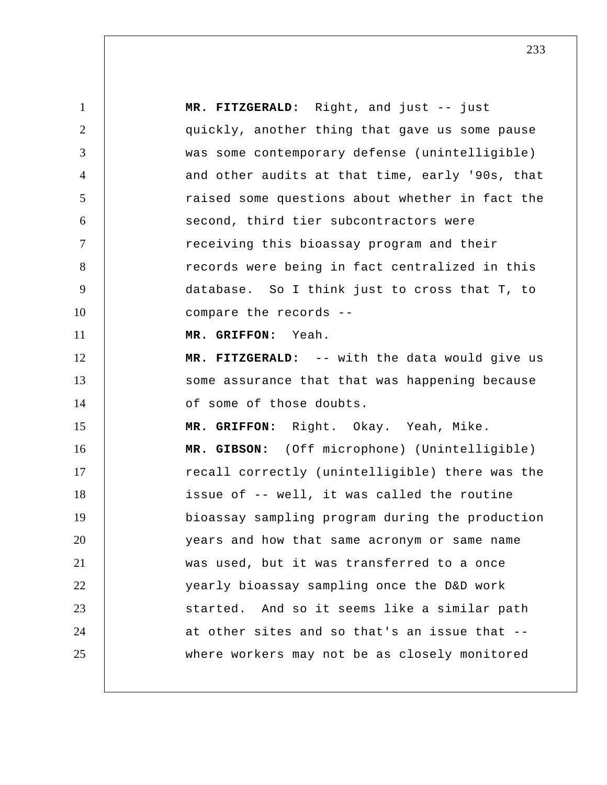1 2 3 4 5 6 7 8 9 10 11 12 13 14 15 16 17 18 19 20 21 22 23 24 25  **MR. FITZGERALD:** Right, and just -- just quickly, another thing that gave us some pause was some contemporary defense (unintelligible) and other audits at that time, early '90s, that raised some questions about whether in fact the second, third tier subcontractors were receiving this bioassay program and their records were being in fact centralized in this database. So I think just to cross that T, to compare the records --  **MR. GRIFFON:** Yeah.  **MR. FITZGERALD:** -- with the data would give us some assurance that that was happening because of some of those doubts.  **MR. GRIFFON:** Right. Okay. Yeah, Mike.  **MR. GIBSON:** (Off microphone) (Unintelligible) recall correctly (unintelligible) there was the issue of -- well, it was called the routine bioassay sampling program during the production years and how that same acronym or same name was used, but it was transferred to a once yearly bioassay sampling once the D&D work started. And so it seems like a similar path at other sites and so that's an issue that - where workers may not be as closely monitored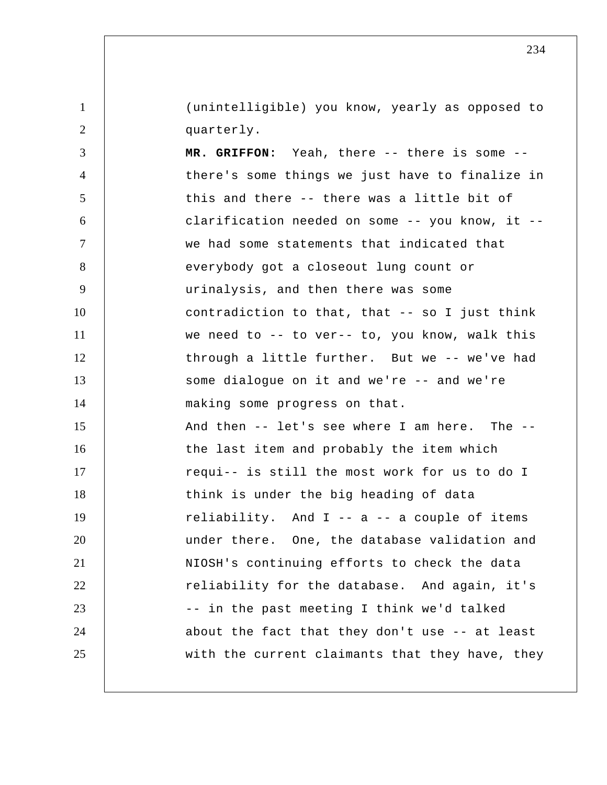(unintelligible) you know, yearly as opposed to quarterly.

1

2

3 4 5 6 7 8 9 10 11 12 13 14 15 16 17 18 19 20 21 22 23 24 25  **MR. GRIFFON:** Yeah, there -- there is some - there's some things we just have to finalize in this and there -- there was a little bit of clarification needed on some -- you know, it - we had some statements that indicated that everybody got a closeout lung count or urinalysis, and then there was some contradiction to that, that -- so I just think we need to -- to ver-- to, you know, walk this through a little further. But we -- we've had some dialogue on it and we're -- and we're making some progress on that. And then -- let's see where I am here. The -the last item and probably the item which requi-- is still the most work for us to do I think is under the big heading of data reliability. And  $I$  -- a -- a couple of items under there. One, the database validation and NIOSH's continuing efforts to check the data reliability for the database. And again, it's -- in the past meeting I think we'd talked about the fact that they don't use -- at least with the current claimants that they have, they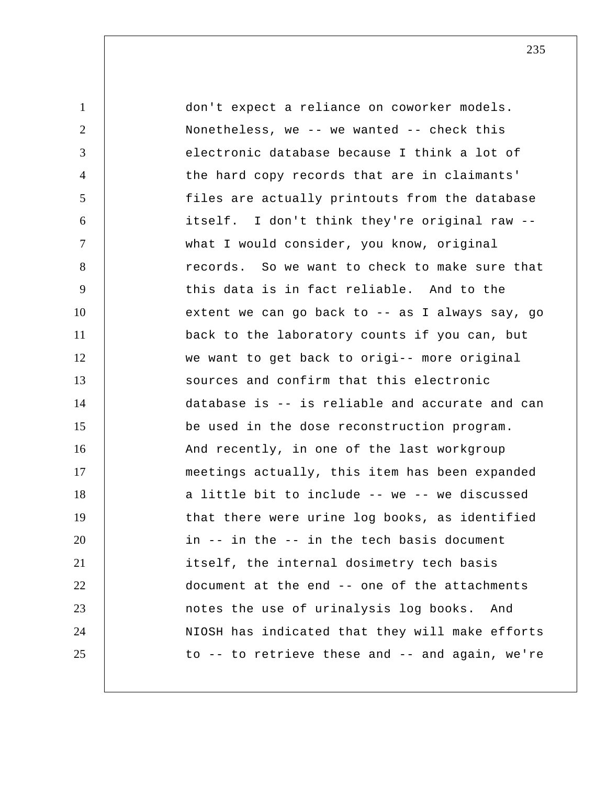1 2 3 4 5 6 7 8 9 10 11 12 13 14 15 16 17 18 19 20 21 22 23 24 25 don't expect a reliance on coworker models. Nonetheless, we -- we wanted -- check this electronic database because I think a lot of the hard copy records that are in claimants' files are actually printouts from the database itself. I don't think they're original raw - what I would consider, you know, original records. So we want to check to make sure that this data is in fact reliable. And to the extent we can go back to -- as I always say, go back to the laboratory counts if you can, but we want to get back to origi-- more original sources and confirm that this electronic database is -- is reliable and accurate and can be used in the dose reconstruction program. And recently, in one of the last workgroup meetings actually, this item has been expanded a little bit to include -- we -- we discussed that there were urine log books, as identified in -- in the -- in the tech basis document itself, the internal dosimetry tech basis document at the end -- one of the attachments notes the use of urinalysis log books. And NIOSH has indicated that they will make efforts to -- to retrieve these and -- and again, we're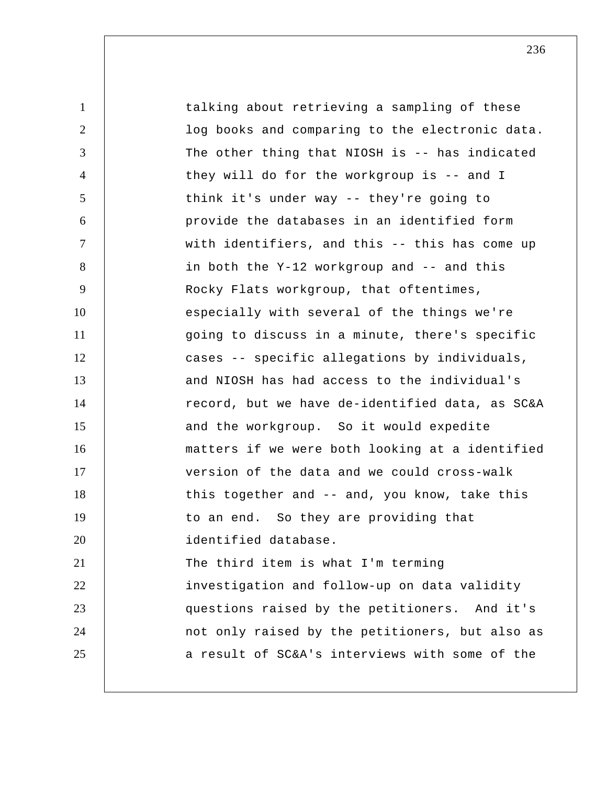1 2 3 4 5 6 7 8 9 10 11 12 13 14 15 16 17 18 19 20 21 22 23 24 25 talking about retrieving a sampling of these log books and comparing to the electronic data. The other thing that NIOSH is -- has indicated they will do for the workgroup is -- and I think it's under way -- they're going to provide the databases in an identified form with identifiers, and this -- this has come up in both the Y-12 workgroup and -- and this Rocky Flats workgroup, that oftentimes, especially with several of the things we're going to discuss in a minute, there's specific cases -- specific allegations by individuals, and NIOSH has had access to the individual's record, but we have de-identified data, as SC&A and the workgroup. So it would expedite matters if we were both looking at a identified version of the data and we could cross-walk this together and -- and, you know, take this to an end. So they are providing that identified database. The third item is what I'm terming investigation and follow-up on data validity questions raised by the petitioners. And it's not only raised by the petitioners, but also as a result of SC&A's interviews with some of the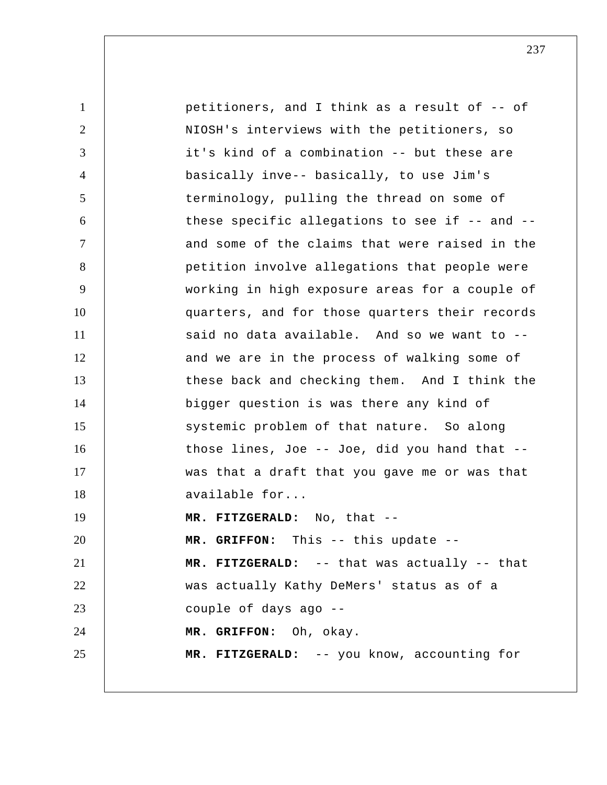| $\mathbf{1}$   | petitioners, and I think as a result of -- of  |
|----------------|------------------------------------------------|
| $\overline{2}$ | NIOSH's interviews with the petitioners, so    |
| 3              | it's kind of a combination -- but these are    |
| $\overline{4}$ | basically inve-- basically, to use Jim's       |
| 5              | terminology, pulling the thread on some of     |
| 6              | these specific allegations to see if -- and -- |
| $\overline{7}$ | and some of the claims that were raised in the |
| 8              | petition involve allegations that people were  |
| 9              | working in high exposure areas for a couple of |
| 10             | quarters, and for those quarters their records |
| 11             | said no data available. And so we want to --   |
| 12             | and we are in the process of walking some of   |
| 13             | these back and checking them. And I think the  |
| 14             | bigger question is was there any kind of       |
| 15             | systemic problem of that nature. So along      |
| 16             | those lines, Joe -- Joe, did you hand that --  |
| 17             | was that a draft that you gave me or was that  |
| 18             | available for                                  |
| 19             | MR. FITZGERALD: No, that --                    |
| 20             | MR. GRIFFON: This -- this update --            |
| 21             | MR. FITZGERALD: -- that was actually -- that   |
| 22             | was actually Kathy DeMers' status as of a      |
| 23             | couple of days ago --                          |
| 24             | MR. GRIFFON: Oh, okay.                         |
| 25             | MR. FITZGERALD: -- you know, accounting for    |
|                |                                                |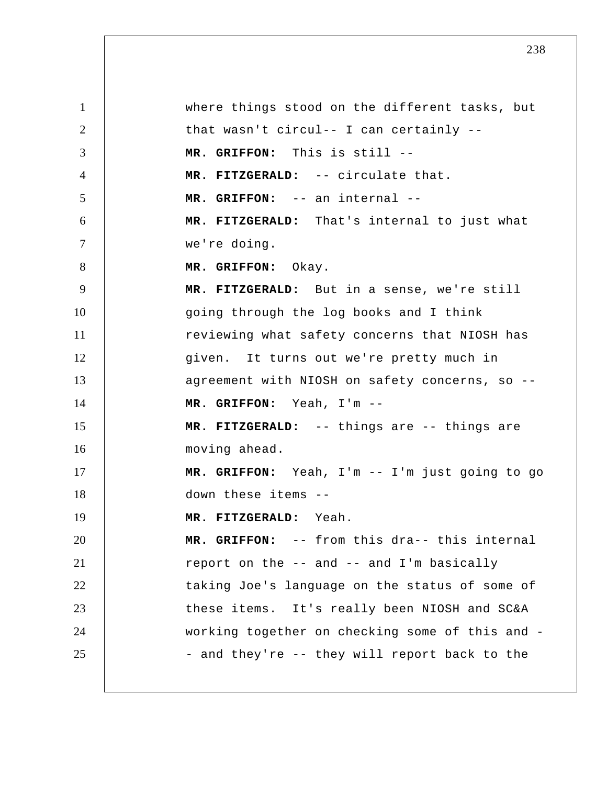1 2 3 4 5 6 7 8 9 10 11 12 13 14 15 16 17 18 19 20 21 22 23 24 25 where things stood on the different tasks, but that wasn't circul-- I can certainly --  **MR. GRIFFON:** This is still -- **MR. FITZGERALD:** -- circulate that.  **MR. GRIFFON:** -- an internal -- **MR. FITZGERALD:** That's internal to just what we're doing.  **MR. GRIFFON:** Okay.  **MR. FITZGERALD:** But in a sense, we're still going through the log books and I think reviewing what safety concerns that NIOSH has given. It turns out we're pretty much in agreement with NIOSH on safety concerns, so --  **MR. GRIFFON:** Yeah, I'm -- **MR. FITZGERALD:** -- things are -- things are moving ahead.  **MR. GRIFFON:** Yeah, I'm -- I'm just going to go down these items -- **MR. FITZGERALD:** Yeah.  **MR. GRIFFON:** -- from this dra-- this internal report on the -- and -- and I'm basically taking Joe's language on the status of some of these items. It's really been NIOSH and SC&A working together on checking some of this and - and they're -- they will report back to the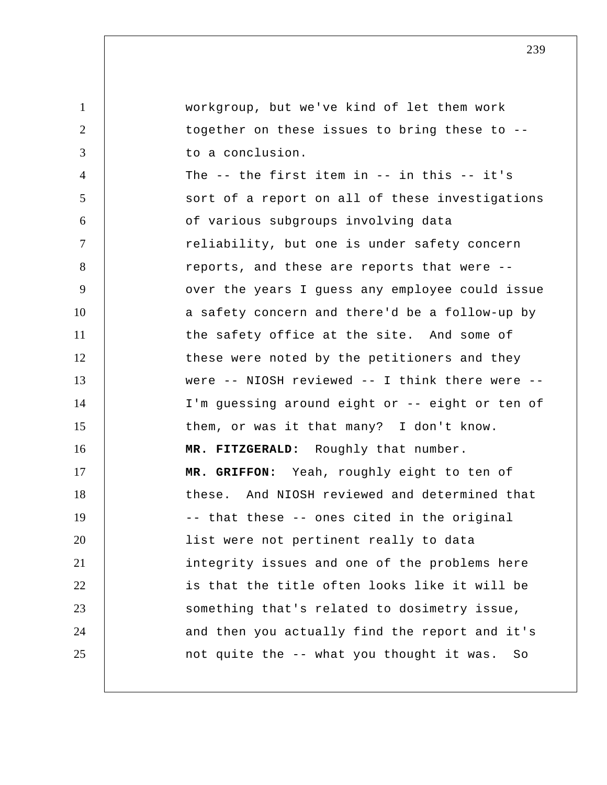1 2 3 4 5 6 7 8 9 10 11 12 13 14 15 16 17 18 19 20 21 22 23 24 25 workgroup, but we've kind of let them work together on these issues to bring these to - to a conclusion. The -- the first item in -- in this -- it's sort of a report on all of these investigations of various subgroups involving data reliability, but one is under safety concern reports, and these are reports that were - over the years I guess any employee could issue a safety concern and there'd be a follow-up by the safety office at the site. And some of these were noted by the petitioners and they were -- NIOSH reviewed -- I think there were -- I'm guessing around eight or -- eight or ten of them, or was it that many? I don't know.  **MR. FITZGERALD:** Roughly that number.  **MR. GRIFFON:** Yeah, roughly eight to ten of these. And NIOSH reviewed and determined that -- that these -- ones cited in the original list were not pertinent really to data integrity issues and one of the problems here is that the title often looks like it will be something that's related to dosimetry issue, and then you actually find the report and it's not quite the -- what you thought it was. So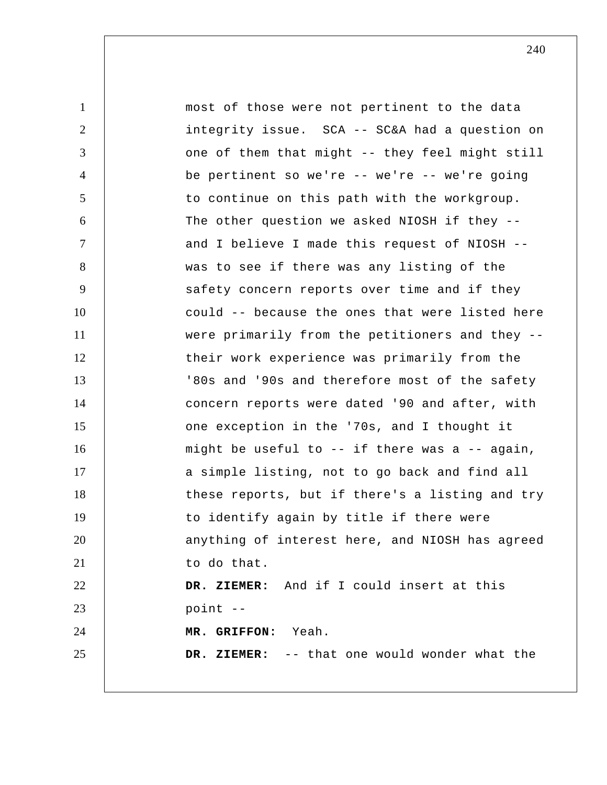1 2 3 4 5 6 7 8 9 10 11 12 13 14 15 16 17 18 19 20 21 22 23 24 25 most of those were not pertinent to the data integrity issue. SCA -- SC&A had a question on one of them that might -- they feel might still be pertinent so we're -- we're -- we're going to continue on this path with the workgroup. The other question we asked NIOSH if they - and I believe I made this request of NIOSH - was to see if there was any listing of the safety concern reports over time and if they could -- because the ones that were listed here were primarily from the petitioners and they - their work experience was primarily from the '80s and '90s and therefore most of the safety concern reports were dated '90 and after, with one exception in the '70s, and I thought it might be useful to -- if there was a -- again, a simple listing, not to go back and find all these reports, but if there's a listing and try to identify again by title if there were anything of interest here, and NIOSH has agreed to do that.  **DR. ZIEMER:** And if I could insert at this point --  **MR. GRIFFON:** Yeah.  **DR. ZIEMER:** -- that one would wonder what the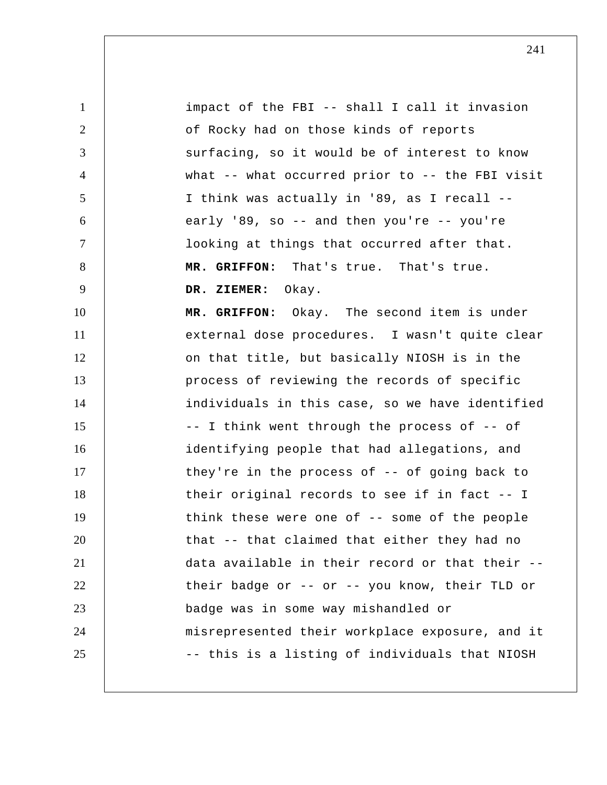1 2 3 4 5 6 7 8 9 10 11 12 13 14 15 16 17 18 19 20 21 22 23 24 25 impact of the FBI -- shall I call it invasion of Rocky had on those kinds of reports surfacing, so it would be of interest to know what -- what occurred prior to -- the FBI visit I think was actually in '89, as I recall - early '89, so  $-$  and then you're  $-$  you're looking at things that occurred after that.  **MR. GRIFFON:** That's true. That's true.  **DR. ZIEMER:** Okay.  **MR. GRIFFON:** Okay. The second item is under external dose procedures. I wasn't quite clear on that title, but basically NIOSH is in the process of reviewing the records of specific individuals in this case, so we have identified -- I think went through the process of -- of identifying people that had allegations, and they're in the process of -- of going back to their original records to see if in fact -- I think these were one of -- some of the people that -- that claimed that either they had no data available in their record or that their - their badge or -- or -- you know, their TLD or badge was in some way mishandled or misrepresented their workplace exposure, and it -- this is a listing of individuals that NIOSH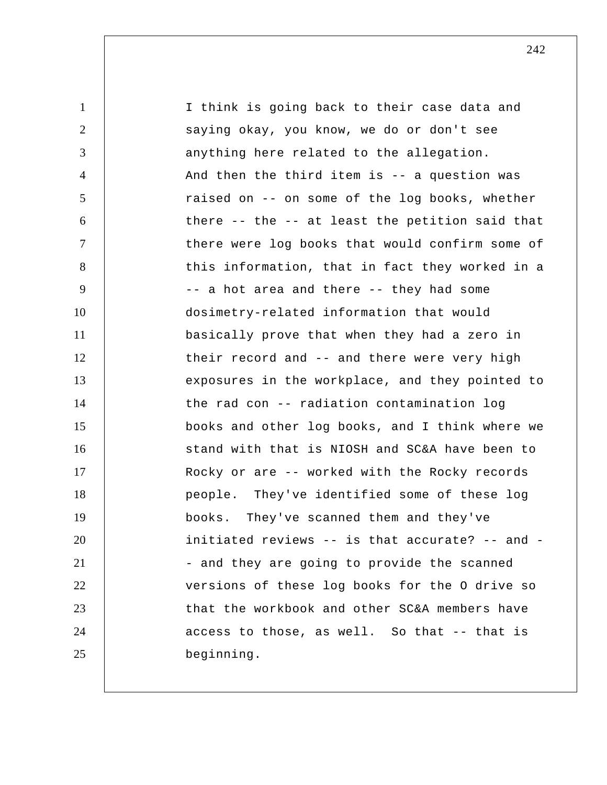| $\mathbf{1}$   | I think is going back to their case data and    |
|----------------|-------------------------------------------------|
| $\overline{2}$ | saying okay, you know, we do or don't see       |
| 3              | anything here related to the allegation.        |
| 4              | And then the third item is -- a question was    |
| 5              | raised on -- on some of the log books, whether  |
| 6              | there -- the -- at least the petition said that |
| $\tau$         | there were log books that would confirm some of |
| 8              | this information, that in fact they worked in a |
| 9              | -- a hot area and there -- they had some        |
| 10             | dosimetry-related information that would        |
| 11             | basically prove that when they had a zero in    |
| 12             | their record and -- and there were very high    |
| 13             | exposures in the workplace, and they pointed to |
| 14             | the rad con -- radiation contamination log      |
| 15             | books and other log books, and I think where we |
| 16             | stand with that is NIOSH and SC&A have been to  |
| 17             | Rocky or are -- worked with the Rocky records   |
| 18             | people. They've identified some of these log    |
| 19             | They've scanned them and they've<br>books.      |
| 20             | initiated reviews -- is that accurate? -- and - |
| 21             | - and they are going to provide the scanned     |
| 22             | versions of these log books for the 0 drive so  |
| 23             | that the workbook and other SC&A members have   |
| 24             | access to those, as well. So that -- that is    |
| 25             | beginning.                                      |
|                |                                                 |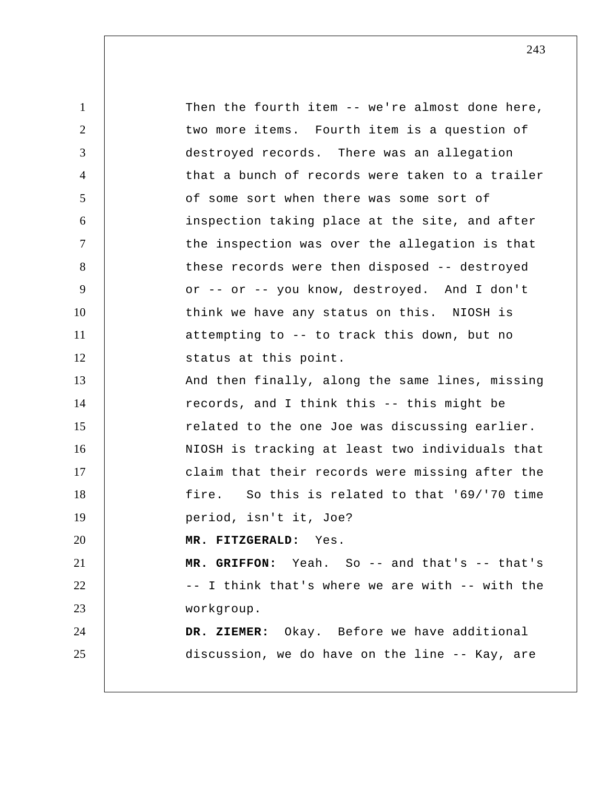1 2 3 4 5 6 7 8 9 10 11 12 13 14 15 16 17 18 19 20 21 22 23 24 25 Then the fourth item -- we're almost done here, two more items. Fourth item is a question of destroyed records. There was an allegation that a bunch of records were taken to a trailer of some sort when there was some sort of inspection taking place at the site, and after the inspection was over the allegation is that these records were then disposed -- destroyed or -- or -- you know, destroyed. And I don't think we have any status on this. NIOSH is attempting to -- to track this down, but no status at this point. And then finally, along the same lines, missing records, and I think this -- this might be related to the one Joe was discussing earlier. NIOSH is tracking at least two individuals that claim that their records were missing after the fire. So this is related to that '69/'70 time period, isn't it, Joe?  **MR. FITZGERALD:** Yes.  **MR. GRIFFON:** Yeah. So -- and that's -- that's -- I think that's where we are with -- with the workgroup.  **DR. ZIEMER:** Okay. Before we have additional discussion, we do have on the line -- Kay, are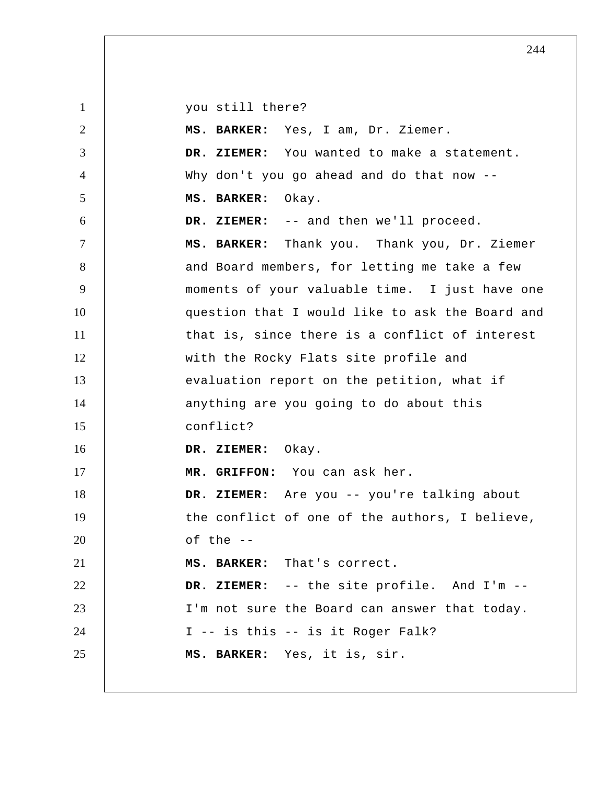1 2 3 4 5 6 7 8 9 10 11 12 13 14 15 16 17 18 19 20 21 22 23 24 25 you still there?  **MS. BARKER:** Yes, I am, Dr. Ziemer.  **DR. ZIEMER:** You wanted to make a statement. Why don't you go ahead and do that now -- **MS. BARKER:** Okay.  **DR. ZIEMER:** -- and then we'll proceed.  **MS. BARKER:** Thank you. Thank you, Dr. Ziemer and Board members, for letting me take a few moments of your valuable time. I just have one question that I would like to ask the Board and that is, since there is a conflict of interest with the Rocky Flats site profile and evaluation report on the petition, what if anything are you going to do about this conflict?  **DR. ZIEMER:** Okay.  **MR. GRIFFON:** You can ask her.  **DR. ZIEMER:** Are you -- you're talking about the conflict of one of the authors, I believe, of the -- **MS. BARKER:** That's correct.  **DR. ZIEMER:** -- the site profile. And I'm --I'm not sure the Board can answer that today. I -- is this -- is it Roger Falk?  **MS. BARKER:** Yes, it is, sir.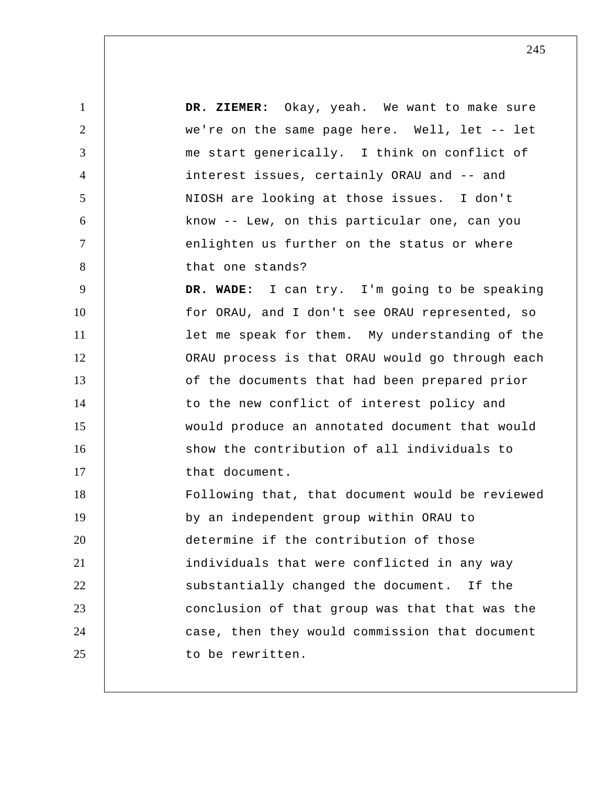1 2 3 4 5 6 7 8 9 10 11 12 13 14 15 16 17 18 19 20 21 22 23 24 25  **DR. ZIEMER:** Okay, yeah. We want to make sure we're on the same page here. Well, let -- let me start generically. I think on conflict of interest issues, certainly ORAU and -- and NIOSH are looking at those issues. I don't know -- Lew, on this particular one, can you enlighten us further on the status or where that one stands?  **DR. WADE:** I can try. I'm going to be speaking for ORAU, and I don't see ORAU represented, so let me speak for them. My understanding of the ORAU process is that ORAU would go through each of the documents that had been prepared prior to the new conflict of interest policy and would produce an annotated document that would show the contribution of all individuals to that document. Following that, that document would be reviewed by an independent group within ORAU to determine if the contribution of those individuals that were conflicted in any way substantially changed the document. If the conclusion of that group was that that was the case, then they would commission that document to be rewritten.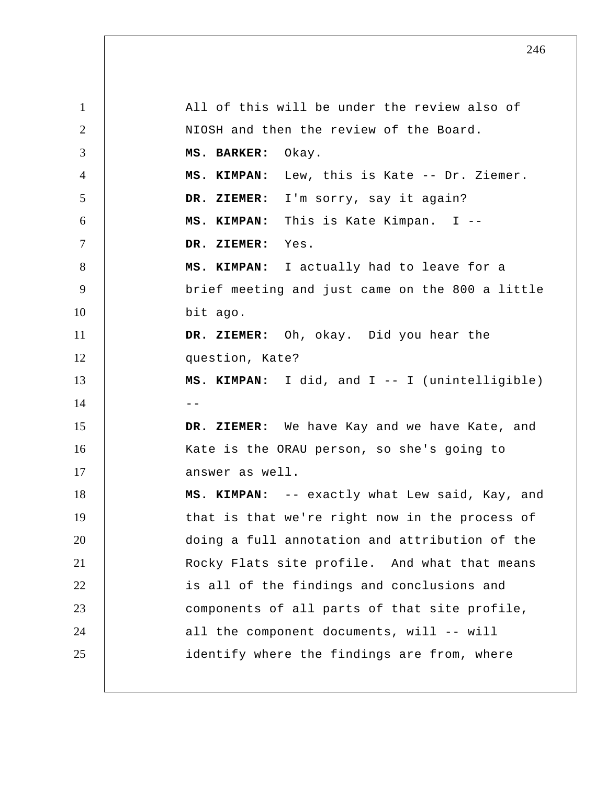1 2 3 4 5 6 7 8 9 10 11 12 13  $14$  --15 16 17 18 19 20 21 22 23 24 25 All of this will be under the review also of NIOSH and then the review of the Board.  **MS. BARKER:** Okay.  **MS. KIMPAN:** Lew, this is Kate -- Dr. Ziemer.  **DR. ZIEMER:** I'm sorry, say it again?  **MS. KIMPAN:** This is Kate Kimpan. I -- **DR. ZIEMER:** Yes.  **MS. KIMPAN:** I actually had to leave for a brief meeting and just came on the 800 a little bit ago.  **DR. ZIEMER:** Oh, okay. Did you hear the question, Kate?  **MS. KIMPAN:** I did, and I -- I (unintelligible)  **DR. ZIEMER:** We have Kay and we have Kate, and Kate is the ORAU person, so she's going to answer as well.  **MS. KIMPAN:** -- exactly what Lew said, Kay, and that is that we're right now in the process of doing a full annotation and attribution of the Rocky Flats site profile. And what that means is all of the findings and conclusions and components of all parts of that site profile, all the component documents, will -- will identify where the findings are from, where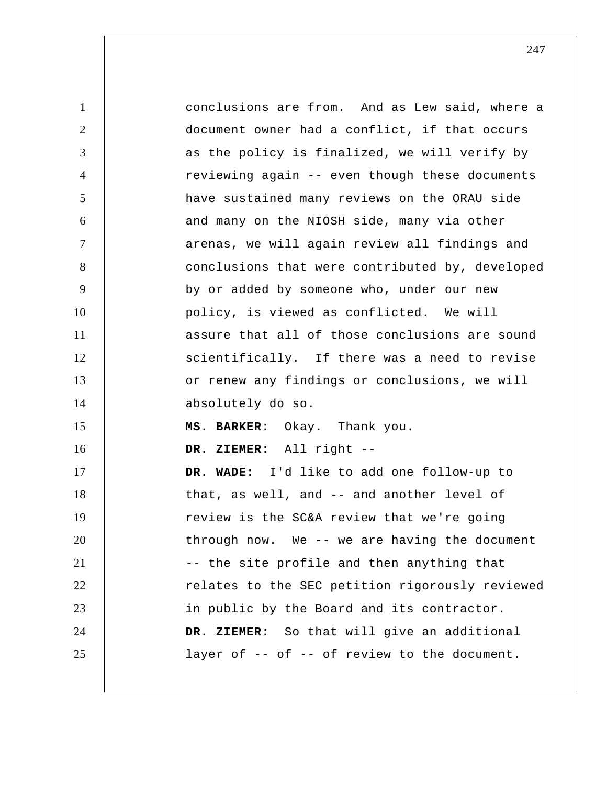| 1              | conclusions are from. And as Lew said, where a  |
|----------------|-------------------------------------------------|
| 2              | document owner had a conflict, if that occurs   |
| 3              | as the policy is finalized, we will verify by   |
| $\overline{4}$ | reviewing again -- even though these documents  |
| 5              | have sustained many reviews on the ORAU side    |
| 6              | and many on the NIOSH side, many via other      |
| $\tau$         | arenas, we will again review all findings and   |
| 8              | conclusions that were contributed by, developed |
| 9              | by or added by someone who, under our new       |
| 10             | policy, is viewed as conflicted. We will        |
| 11             | assure that all of those conclusions are sound  |
| 12             | scientifically. If there was a need to revise   |
| 13             | or renew any findings or conclusions, we will   |
| 14             | absolutely do so.                               |
| 15             | MS. BARKER: Okay. Thank you.                    |
| 16             | DR. ZIEMER: All right --                        |
| 17             | DR. WADE: I'd like to add one follow-up to      |
| 18             | that, as well, and -- and another level of      |
| 19             | review is the SC&A review that we're going      |
| 20             | through now. We -- we are having the document   |
| 21             | -- the site profile and then anything that      |
| 22             | relates to the SEC petition rigorously reviewed |
| 23             | in public by the Board and its contractor.      |
| 24             | DR. ZIEMER: So that will give an additional     |
| 25             | layer of -- of -- of review to the document.    |
|                |                                                 |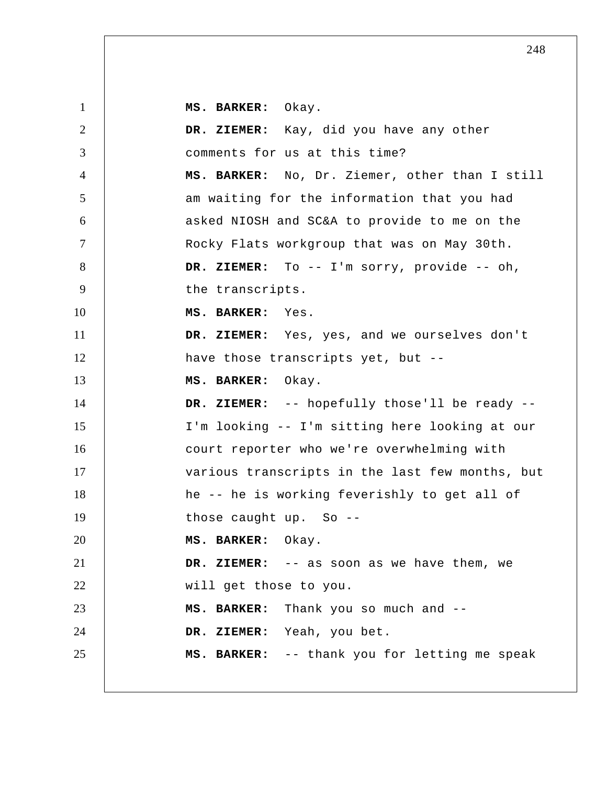1 2 3 4 5 6 7 8 9 10 11 12 13 14 15 16 17 18 19 20 21 22 23 24 25  **MS. BARKER:** Okay.  **DR. ZIEMER:** Kay, did you have any other comments for us at this time?  **MS. BARKER:** No, Dr. Ziemer, other than I still am waiting for the information that you had asked NIOSH and SC&A to provide to me on the Rocky Flats workgroup that was on May 30th.  **DR. ZIEMER:** To -- I'm sorry, provide -- oh, the transcripts.  **MS. BARKER:** Yes.  **DR. ZIEMER:** Yes, yes, and we ourselves don't have those transcripts yet, but --  **MS. BARKER:** Okay.  **DR. ZIEMER:** -- hopefully those'll be ready -- I'm looking -- I'm sitting here looking at our court reporter who we're overwhelming with various transcripts in the last few months, but he -- he is working feverishly to get all of those caught up. So -- **MS. BARKER:** Okay.  **DR. ZIEMER:** -- as soon as we have them, we will get those to you.  **MS. BARKER:** Thank you so much and --  **DR. ZIEMER:** Yeah, you bet.  **MS. BARKER:** -- thank you for letting me speak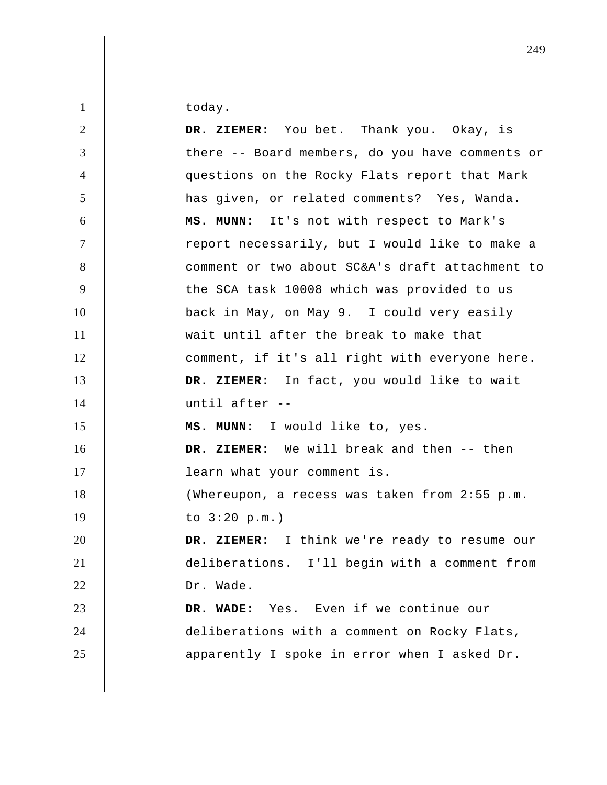today.

| $\overline{2}$ | DR. ZIEMER: You bet. Thank you. Okay, is        |
|----------------|-------------------------------------------------|
| 3              | there -- Board members, do you have comments or |
| $\overline{4}$ | questions on the Rocky Flats report that Mark   |
| 5              | has given, or related comments? Yes, Wanda.     |
| 6              | MS. MUNN: It's not with respect to Mark's       |
| $\overline{7}$ | report necessarily, but I would like to make a  |
| 8              | comment or two about SC&A's draft attachment to |
| 9              | the SCA task 10008 which was provided to us     |
| 10             | back in May, on May 9. I could very easily      |
| 11             | wait until after the break to make that         |
| 12             | comment, if it's all right with everyone here.  |
| 13             | DR. ZIEMER: In fact, you would like to wait     |
| 14             | until after --                                  |
| 15             | MS. MUNN: I would like to, yes.                 |
| 16             | DR. ZIEMER: We will break and then -- then      |
| 17             | learn what your comment is.                     |
| 18             | (Whereupon, a recess was taken from 2:55 p.m.   |
| 19             | to $3:20$ p.m.)                                 |
| 20             | DR. ZIEMER: I think we're ready to resume our   |
| 21             | deliberations. I'll begin with a comment from   |
| 22             | Dr. Wade.                                       |
| 23             | DR. WADE: Yes. Even if we continue our          |
| 24             | deliberations with a comment on Rocky Flats,    |
| 25             | apparently I spoke in error when I asked Dr.    |
|                |                                                 |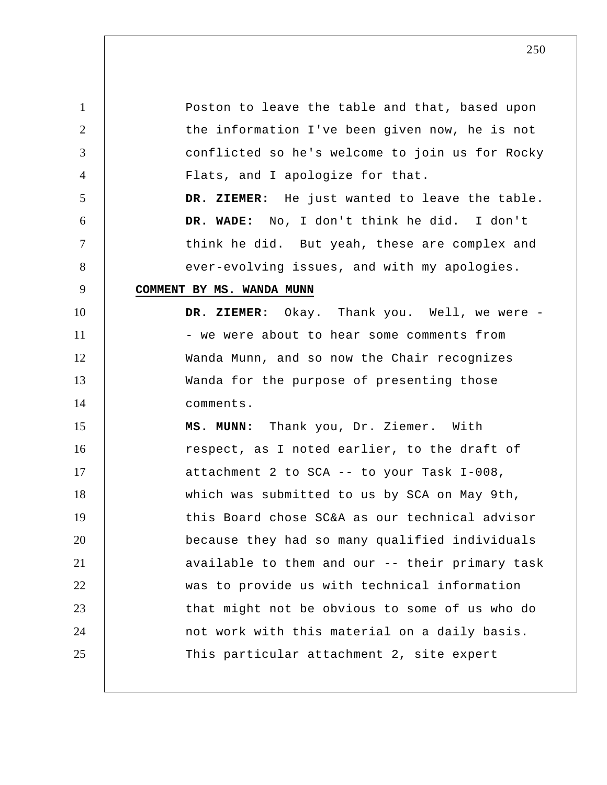1 2 3 4 5 6 7 8 9 10 11 12 13 14 15 16 17 18 19 20 21 22 23 24 25 Poston to leave the table and that, based upon the information I've been given now, he is not conflicted so he's welcome to join us for Rocky Flats, and I apologize for that.  **DR. ZIEMER:** He just wanted to leave the table.  **DR. WADE:** No, I don't think he did. I don't think he did. But yeah, these are complex and ever-evolving issues, and with my apologies. **COMMENT BY MS. WANDA MUNN**  DR. ZIEMER: Okay. Thank you. Well, we were -- we were about to hear some comments from Wanda Munn, and so now the Chair recognizes Wanda for the purpose of presenting those comments.  **MS. MUNN:** Thank you, Dr. Ziemer. With respect, as I noted earlier, to the draft of attachment 2 to SCA -- to your Task I-008, which was submitted to us by SCA on May 9th, this Board chose SC&A as our technical advisor because they had so many qualified individuals available to them and our -- their primary task was to provide us with technical information that might not be obvious to some of us who do not work with this material on a daily basis. This particular attachment 2, site expert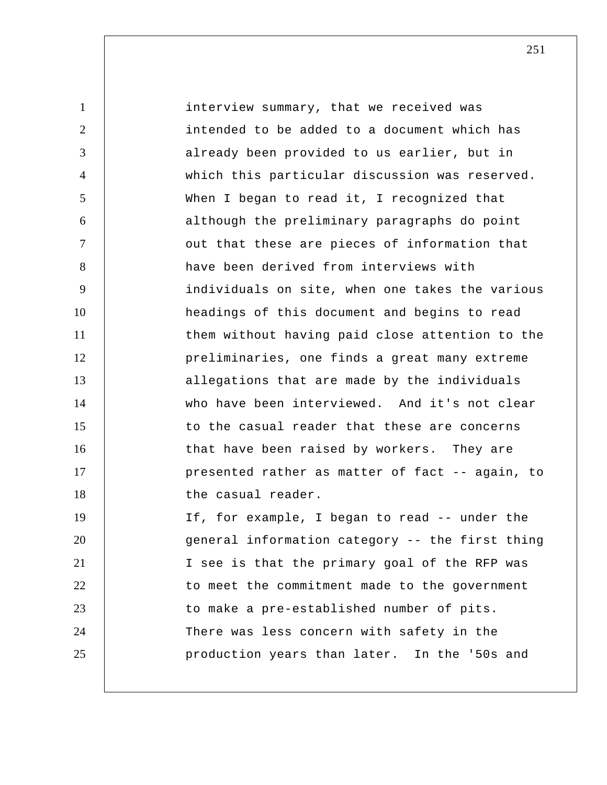1 2 3 4 5 6 7 8 9 10 11 12 13 14 15 16 17 18 19 20 21 22 23 24 25 interview summary, that we received was intended to be added to a document which has already been provided to us earlier, but in which this particular discussion was reserved. When I began to read it, I recognized that although the preliminary paragraphs do point out that these are pieces of information that have been derived from interviews with individuals on site, when one takes the various headings of this document and begins to read them without having paid close attention to the preliminaries, one finds a great many extreme allegations that are made by the individuals who have been interviewed. And it's not clear to the casual reader that these are concerns that have been raised by workers. They are presented rather as matter of fact -- again, to the casual reader. If, for example, I began to read -- under the general information category -- the first thing I see is that the primary goal of the RFP was to meet the commitment made to the government to make a pre-established number of pits. There was less concern with safety in the production years than later. In the '50s and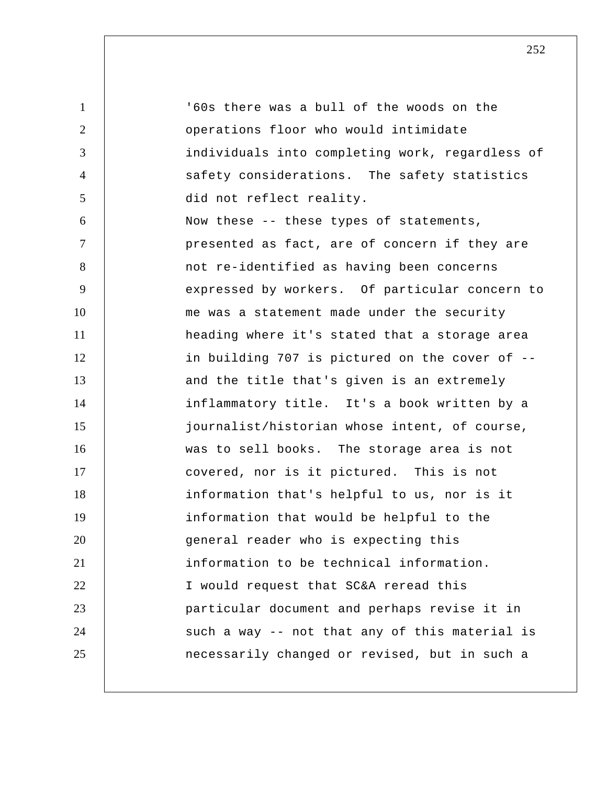1 2 3 4 5 6 7 8 9 10 11 12 13 14 15 16 17 18 19 20 21 22 23 24 25 '60s there was a bull of the woods on the operations floor who would intimidate individuals into completing work, regardless of safety considerations. The safety statistics did not reflect reality. Now these -- these types of statements, presented as fact, are of concern if they are not re-identified as having been concerns expressed by workers. Of particular concern to me was a statement made under the security heading where it's stated that a storage area in building 707 is pictured on the cover of - and the title that's given is an extremely inflammatory title. It's a book written by a journalist/historian whose intent, of course, was to sell books. The storage area is not covered, nor is it pictured. This is not information that's helpful to us, nor is it information that would be helpful to the general reader who is expecting this information to be technical information. I would request that SC&A reread this particular document and perhaps revise it in such a way -- not that any of this material is necessarily changed or revised, but in such a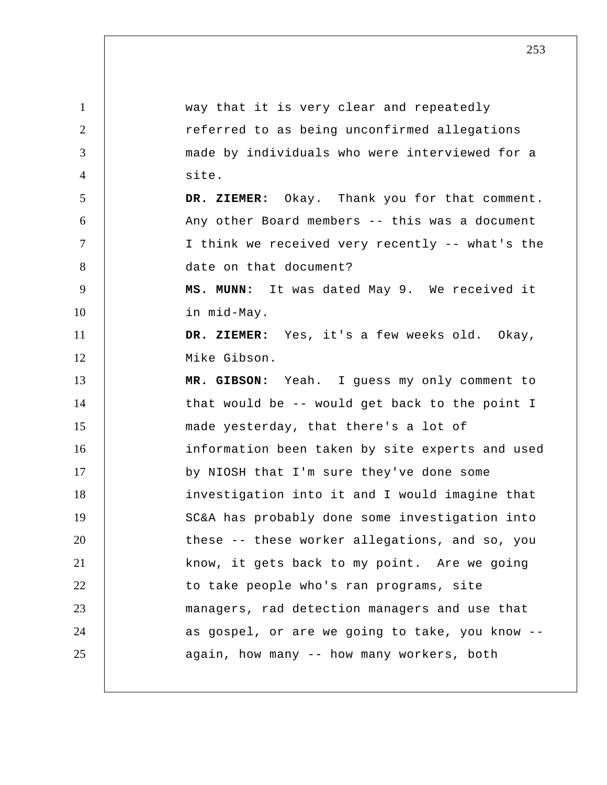1 2 3 4 5 6 7 8 9 10 11 12 13 14 15 16 17 18 19 20 21 22 23 24 25 way that it is very clear and repeatedly referred to as being unconfirmed allegations made by individuals who were interviewed for a site.  **DR. ZIEMER:** Okay. Thank you for that comment. Any other Board members -- this was a document I think we received very recently -- what's the date on that document?  **MS. MUNN:** It was dated May 9. We received it in mid-May.  **DR. ZIEMER:** Yes, it's a few weeks old. Okay, Mike Gibson.  **MR. GIBSON:** Yeah. I guess my only comment to that would be -- would get back to the point I made yesterday, that there's a lot of information been taken by site experts and used by NIOSH that I'm sure they've done some investigation into it and I would imagine that SC&A has probably done some investigation into these -- these worker allegations, and so, you know, it gets back to my point. Are we going to take people who's ran programs, site managers, rad detection managers and use that as gospel, or are we going to take, you know - again, how many -- how many workers, both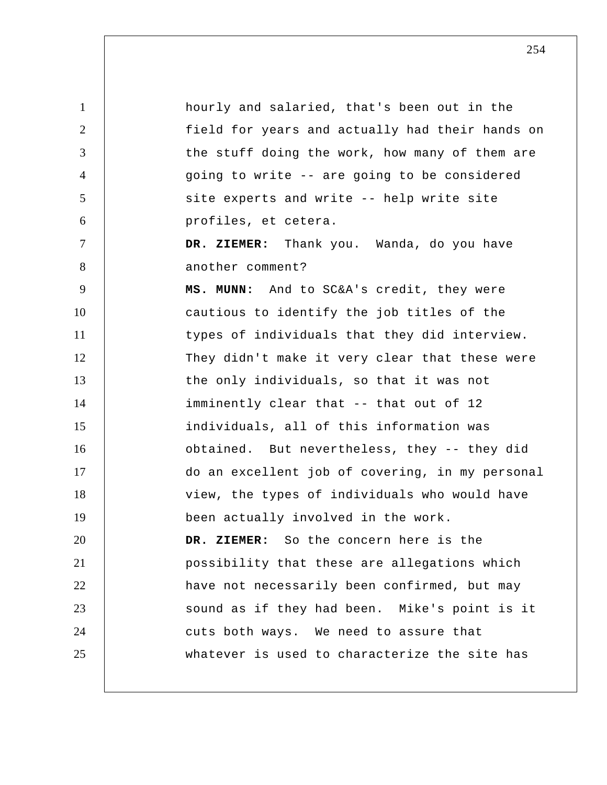1 2 3 4 5 6 7 8 9 10 11 12 13 14 15 16 17 18 19 20 21 22 23 24 25 hourly and salaried, that's been out in the field for years and actually had their hands on the stuff doing the work, how many of them are going to write -- are going to be considered site experts and write -- help write site profiles, et cetera.  **DR. ZIEMER:** Thank you. Wanda, do you have another comment?  **MS. MUNN:** And to SC&A's credit, they were cautious to identify the job titles of the types of individuals that they did interview. They didn't make it very clear that these were the only individuals, so that it was not imminently clear that -- that out of 12 individuals, all of this information was obtained. But nevertheless, they -- they did do an excellent job of covering, in my personal view, the types of individuals who would have been actually involved in the work.  **DR. ZIEMER:** So the concern here is the possibility that these are allegations which have not necessarily been confirmed, but may sound as if they had been. Mike's point is it cuts both ways. We need to assure that whatever is used to characterize the site has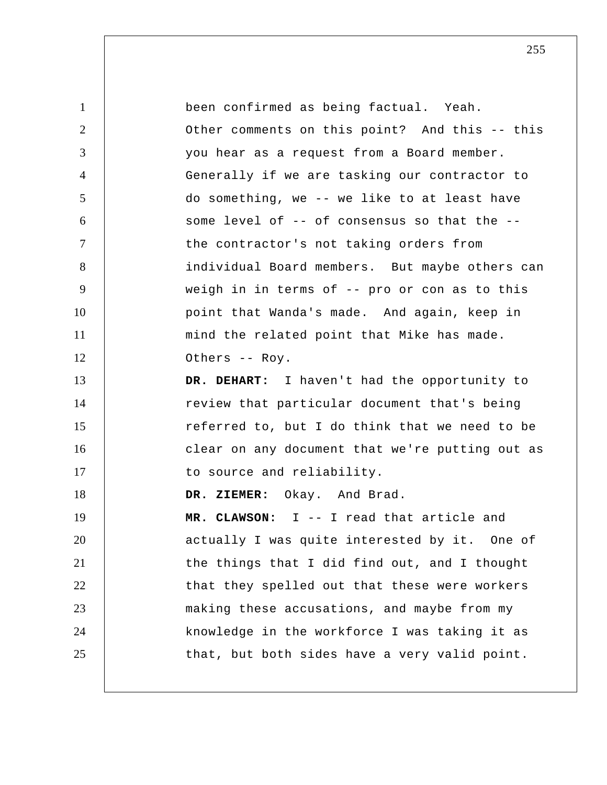| $\mathbf{1}$   | been confirmed as being factual. Yeah.          |
|----------------|-------------------------------------------------|
| $\overline{2}$ | Other comments on this point? And this -- this  |
| 3              | you hear as a request from a Board member.      |
| $\overline{4}$ | Generally if we are tasking our contractor to   |
| 5              | do something, we -- we like to at least have    |
| 6              | some level of -- of consensus so that the --    |
| $\tau$         | the contractor's not taking orders from         |
| 8              | individual Board members. But maybe others can  |
| 9              | weigh in in terms of -- pro or con as to this   |
| 10             | point that Wanda's made. And again, keep in     |
| 11             | mind the related point that Mike has made.      |
| 12             | Others -- Roy.                                  |
| 13             | DR. DEHART: I haven't had the opportunity to    |
| 14             | review that particular document that's being    |
| 15             | referred to, but I do think that we need to be  |
| 16             | clear on any document that we're putting out as |
| 17             | to source and reliability.                      |
| 18             | DR. ZIEMER: Okay. And Brad.                     |
| 19             | MR. CLAWSON: I -- I read that article and       |
| 20             | actually I was quite interested by it. One of   |
| 21             | the things that I did find out, and I thought   |
| 22             | that they spelled out that these were workers   |
| 23             | making these accusations, and maybe from my     |
| 24             | knowledge in the workforce I was taking it as   |
| 25             | that, but both sides have a very valid point.   |
|                |                                                 |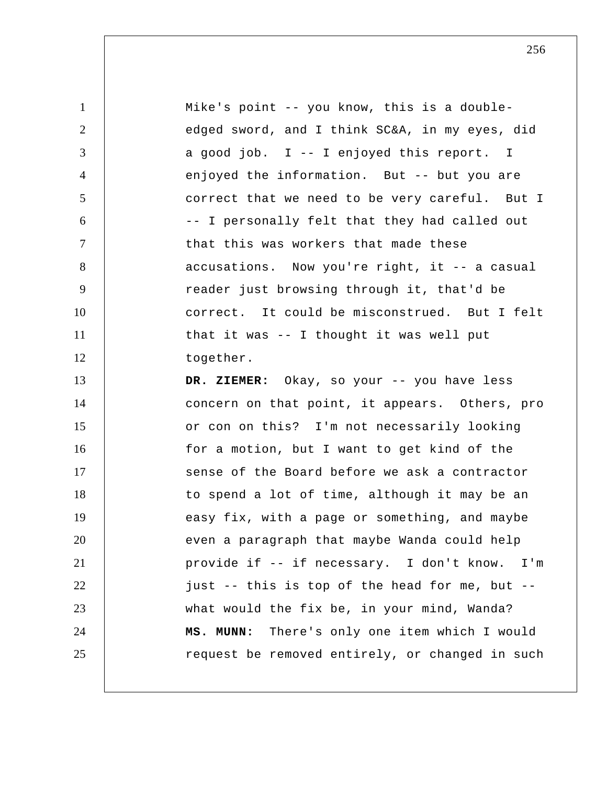| $\mathbf{1}$   | Mike's point -- you know, this is a double-     |
|----------------|-------------------------------------------------|
| $\overline{2}$ | edged sword, and I think SC&A, in my eyes, did  |
| 3              | a good job. I -- I enjoyed this report. I       |
| $\overline{4}$ | enjoyed the information. But -- but you are     |
| 5              | correct that we need to be very careful. But I  |
| 6              | -- I personally felt that they had called out   |
| $\tau$         | that this was workers that made these           |
| 8              | accusations. Now you're right, it -- a casual   |
| 9              | reader just browsing through it, that'd be      |
| 10             | correct. It could be misconstrued. But I felt   |
| 11             | that it was -- I thought it was well put        |
| 12             | together.                                       |
| 13             | DR. ZIEMER: Okay, so your -- you have less      |
| 14             | concern on that point, it appears. Others, pro  |
| 15             | or con on this? I'm not necessarily looking     |
| 16             | for a motion, but I want to get kind of the     |
| 17             | sense of the Board before we ask a contractor   |
| 18             | to spend a lot of time, although it may be an   |
| 19             | easy fix, with a page or something, and maybe   |
| 20             | even a paragraph that maybe Wanda could help    |
| 21             | provide if -- if necessary. I don't know. I'm   |
| 22             | just -- this is top of the head for me, but --  |
| 23             | what would the fix be, in your mind, Wanda?     |
| 24             | MS. MUNN: There's only one item which I would   |
| 25             | request be removed entirely, or changed in such |
|                |                                                 |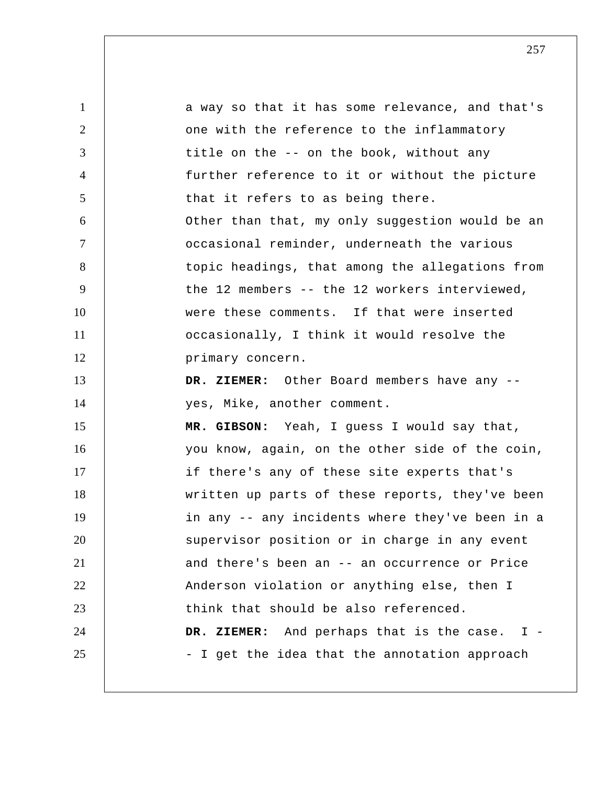1 2 3 4 5 6 7 8 9 10 11 12 13 14 15 16 17 18 19 20 21 22 23 24 25 a way so that it has some relevance, and that's one with the reference to the inflammatory title on the -- on the book, without any further reference to it or without the picture that it refers to as being there. Other than that, my only suggestion would be an occasional reminder, underneath the various topic headings, that among the allegations from the 12 members -- the 12 workers interviewed, were these comments. If that were inserted occasionally, I think it would resolve the primary concern.  **DR. ZIEMER:** Other Board members have any - yes, Mike, another comment.  **MR. GIBSON:** Yeah, I guess I would say that, you know, again, on the other side of the coin, if there's any of these site experts that's written up parts of these reports, they've been in any -- any incidents where they've been in a supervisor position or in charge in any event and there's been an -- an occurrence or Price Anderson violation or anything else, then I think that should be also referenced. DR. ZIEMER: And perhaps that is the case. I -- I get the idea that the annotation approach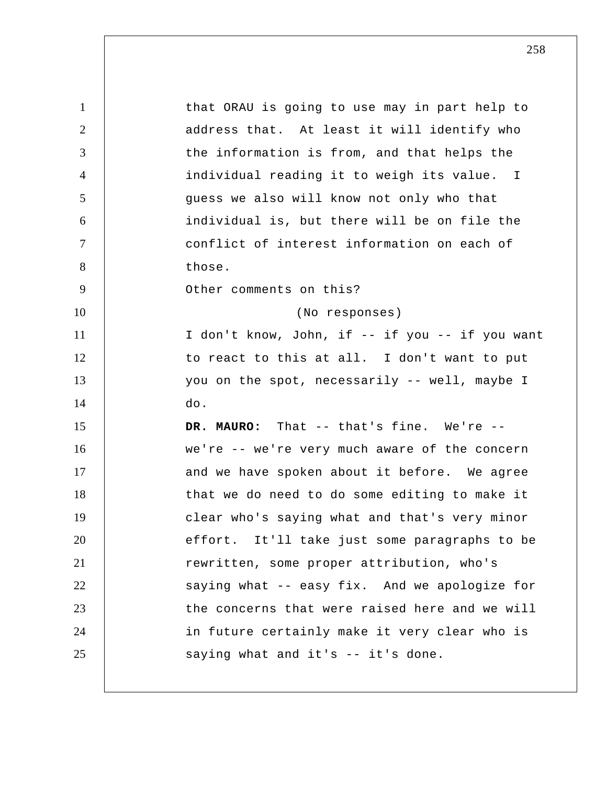1 2 3 4 5 6 7 8 9 10 11 12 13 14 15 16 17 18 19 20 21 22 23 24 25 that ORAU is going to use may in part help to address that. At least it will identify who the information is from, and that helps the individual reading it to weigh its value. I guess we also will know not only who that individual is, but there will be on file the conflict of interest information on each of those. Other comments on this? (No responses) I don't know, John, if -- if you -- if you want to react to this at all. I don't want to put you on the spot, necessarily -- well, maybe I do. **DR. MAURO:** That -- that's fine. We're -we're -- we're very much aware of the concern and we have spoken about it before. We agree that we do need to do some editing to make it clear who's saying what and that's very minor effort. It'll take just some paragraphs to be rewritten, some proper attribution, who's saying what -- easy fix. And we apologize for the concerns that were raised here and we will in future certainly make it very clear who is saying what and it's -- it's done.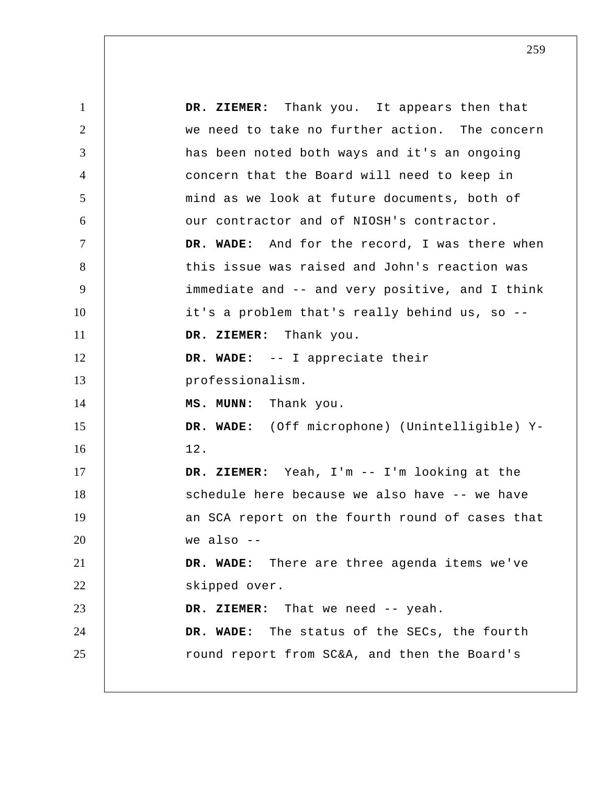1 2 3 4 5 6 7 8 9 10 11 12 13 14 15 16 17 18 19 20 21 22 23 24 25  **DR. ZIEMER:** Thank you. It appears then that we need to take no further action. The concern has been noted both ways and it's an ongoing concern that the Board will need to keep in mind as we look at future documents, both of our contractor and of NIOSH's contractor.  **DR. WADE:** And for the record, I was there when this issue was raised and John's reaction was immediate and -- and very positive, and I think it's a problem that's really behind us, so --  **DR. ZIEMER:** Thank you.  **DR. WADE:** -- I appreciate their professionalism.  **MS. MUNN:** Thank you.  **DR. WADE:** (Off microphone) (Unintelligible) Y-12.  **DR. ZIEMER:** Yeah, I'm -- I'm looking at the schedule here because we also have -- we have an SCA report on the fourth round of cases that we also  $-$  **DR. WADE:** There are three agenda items we've skipped over.  **DR. ZIEMER:** That we need -- yeah.  **DR. WADE:** The status of the SECs, the fourth round report from SC&A, and then the Board's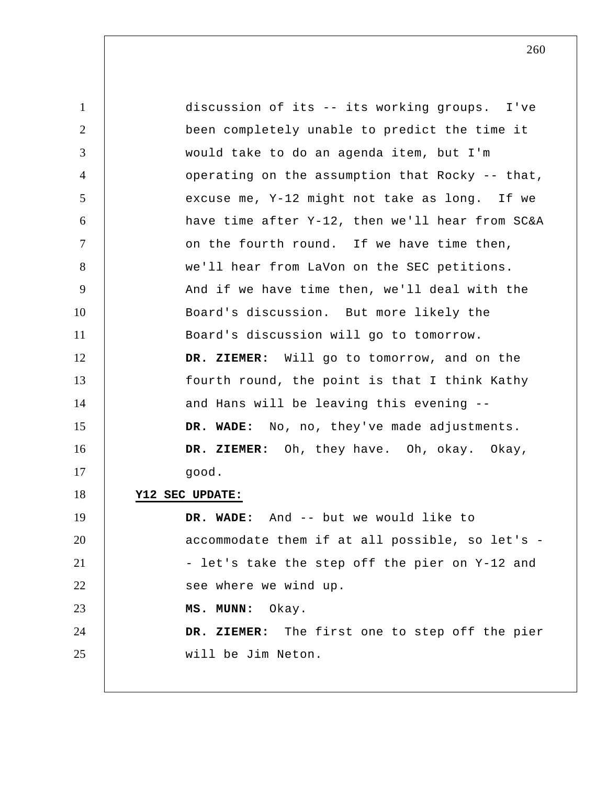1 2 3 4 5 6 7 8 9 10 11 12 13 14 15 16 17 18 19 20 21 22 23 24 25 discussion of its -- its working groups. I've been completely unable to predict the time it would take to do an agenda item, but I'm operating on the assumption that Rocky -- that, excuse me, Y-12 might not take as long. If we have time after Y-12, then we'll hear from SC&A on the fourth round. If we have time then, we'll hear from LaVon on the SEC petitions. And if we have time then, we'll deal with the Board's discussion. But more likely the Board's discussion will go to tomorrow.  **DR. ZIEMER:** Will go to tomorrow, and on the fourth round, the point is that I think Kathy and Hans will be leaving this evening --  **DR. WADE:** No, no, they've made adjustments.  **DR. ZIEMER:** Oh, they have. Oh, okay. Okay, good. **Y12 SEC UPDATE: DR. WADE:** And -- but we would like to accommodate them if at all possible, so let's - let's take the step off the pier on Y-12 and see where we wind up.  **MS. MUNN:** Okay.  **DR. ZIEMER:** The first one to step off the pier will be Jim Neton.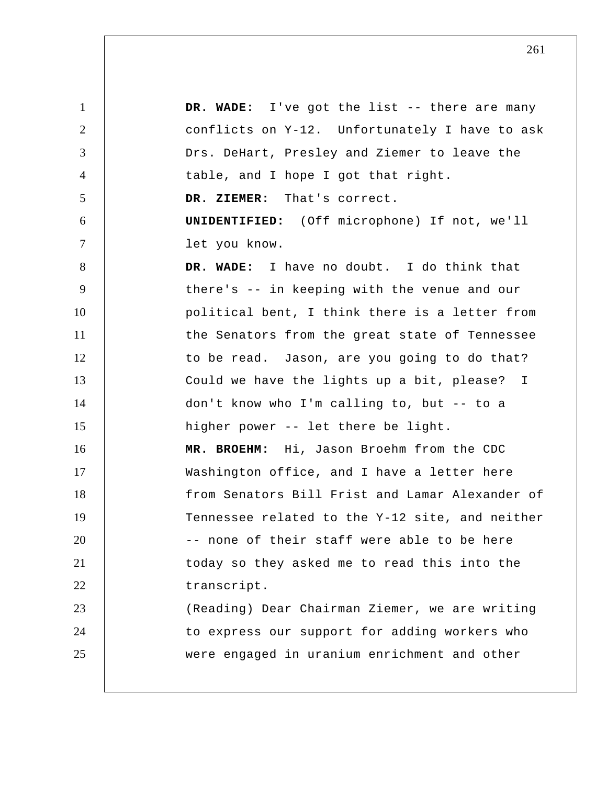1 2 3 4 5 6 7 8 9 10 11 12 13 14 15 16 17 18 19 20 21 22 23 24 25  **DR. WADE:** I've got the list -- there are many conflicts on Y-12. Unfortunately I have to ask Drs. DeHart, Presley and Ziemer to leave the table, and I hope I got that right.  **DR. ZIEMER:** That's correct. **UNIDENTIFIED:** (Off microphone) If not, we'll let you know.  **DR. WADE:** I have no doubt. I do think that there's -- in keeping with the venue and our political bent, I think there is a letter from the Senators from the great state of Tennessee to be read. Jason, are you going to do that? Could we have the lights up a bit, please? I don't know who I'm calling to, but -- to a higher power -- let there be light.  **MR. BROEHM:** Hi, Jason Broehm from the CDC Washington office, and I have a letter here from Senators Bill Frist and Lamar Alexander of Tennessee related to the Y-12 site, and neither -- none of their staff were able to be here today so they asked me to read this into the transcript. (Reading) Dear Chairman Ziemer, we are writing to express our support for adding workers who were engaged in uranium enrichment and other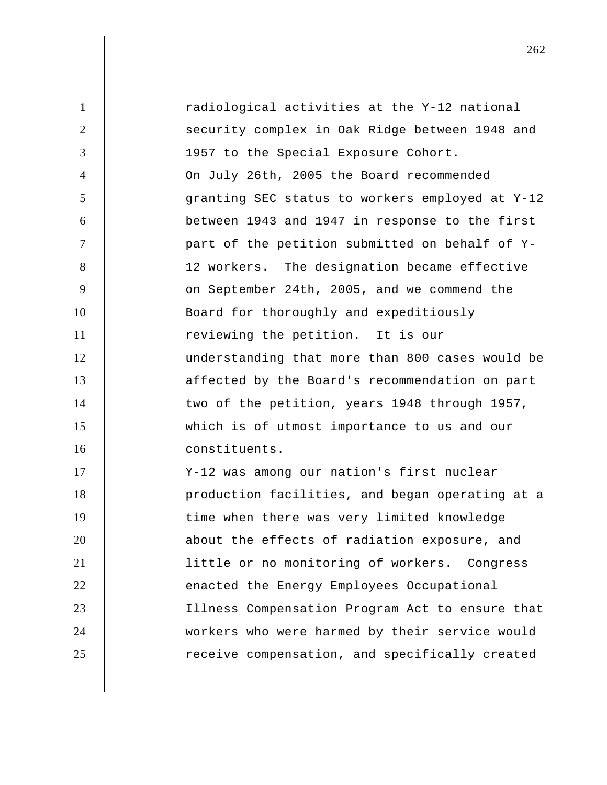1 2 3 4 5 6 7 8 9 10 11 12 13 14 15 16 17 18 19 20 21 22 23 24 25 radiological activities at the Y-12 national security complex in Oak Ridge between 1948 and 1957 to the Special Exposure Cohort. On July 26th, 2005 the Board recommended granting SEC status to workers employed at Y-12 between 1943 and 1947 in response to the first part of the petition submitted on behalf of Y-12 workers. The designation became effective on September 24th, 2005, and we commend the Board for thoroughly and expeditiously reviewing the petition. It is our understanding that more than 800 cases would be affected by the Board's recommendation on part two of the petition, years 1948 through 1957, which is of utmost importance to us and our constituents. Y-12 was among our nation's first nuclear production facilities, and began operating at a time when there was very limited knowledge about the effects of radiation exposure, and little or no monitoring of workers. Congress enacted the Energy Employees Occupational Illness Compensation Program Act to ensure that workers who were harmed by their service would receive compensation, and specifically created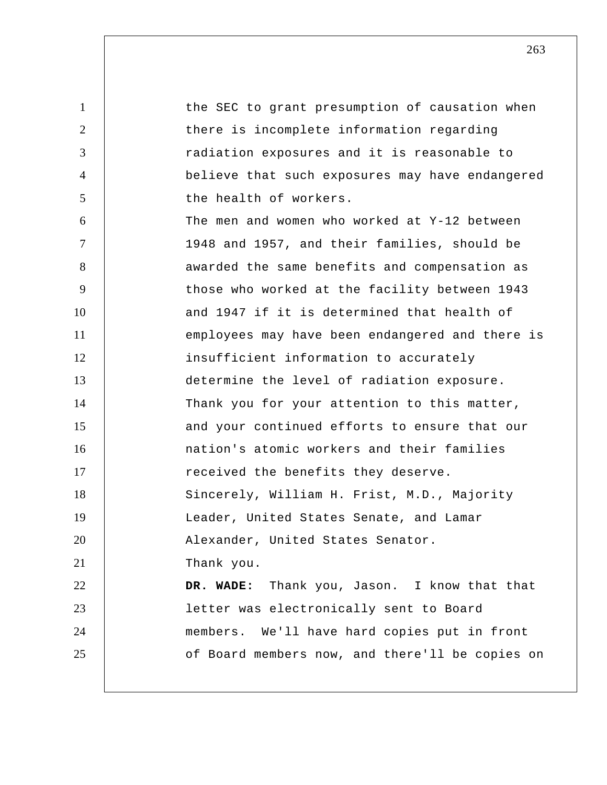1 2 3 4 5 6 7 8 9 10 11 12 13 14 15 16 17 18 19 20 21 22 23 24 25 the SEC to grant presumption of causation when there is incomplete information regarding radiation exposures and it is reasonable to believe that such exposures may have endangered the health of workers. The men and women who worked at Y-12 between 1948 and 1957, and their families, should be awarded the same benefits and compensation as those who worked at the facility between 1943 and 1947 if it is determined that health of employees may have been endangered and there is insufficient information to accurately determine the level of radiation exposure. Thank you for your attention to this matter, and your continued efforts to ensure that our nation's atomic workers and their families received the benefits they deserve. Sincerely, William H. Frist, M.D., Majority Leader, United States Senate, and Lamar Alexander, United States Senator. Thank you.  **DR. WADE:** Thank you, Jason. I know that that letter was electronically sent to Board members. We'll have hard copies put in front of Board members now, and there'll be copies on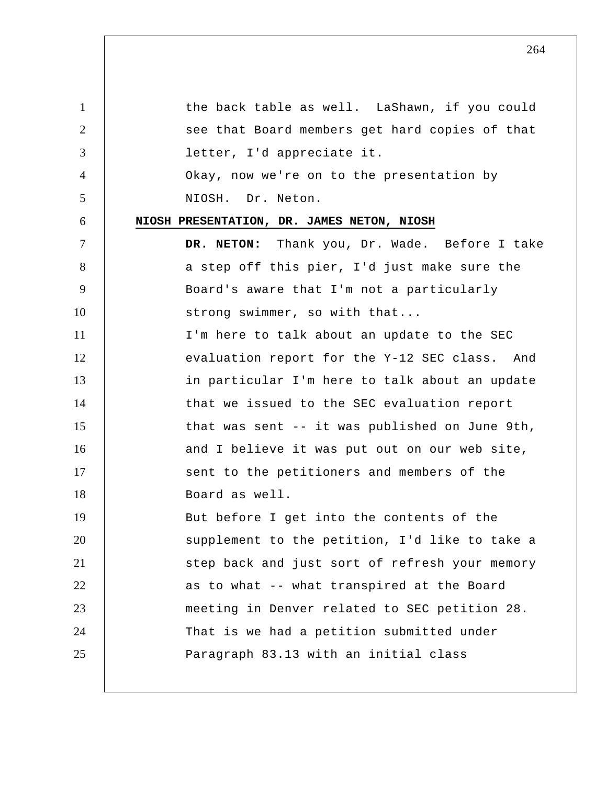1 2 3 4 5 6 7 8 9 10 11 12 13 14 15 16 17 18 19 20 21 22 23 24 25 the back table as well. LaShawn, if you could see that Board members get hard copies of that letter, I'd appreciate it. Okay, now we're on to the presentation by NIOSH. Dr. Neton. **NIOSH PRESENTATION, DR. JAMES NETON, NIOSH DR. NETON:** Thank you, Dr. Wade. Before I take a step off this pier, I'd just make sure the Board's aware that I'm not a particularly strong swimmer, so with that... I'm here to talk about an update to the SEC evaluation report for the Y-12 SEC class. And in particular I'm here to talk about an update that we issued to the SEC evaluation report that was sent -- it was published on June 9th, and I believe it was put out on our web site, sent to the petitioners and members of the Board as well. But before I get into the contents of the supplement to the petition, I'd like to take a step back and just sort of refresh your memory as to what -- what transpired at the Board meeting in Denver related to SEC petition 28. That is we had a petition submitted under Paragraph 83.13 with an initial class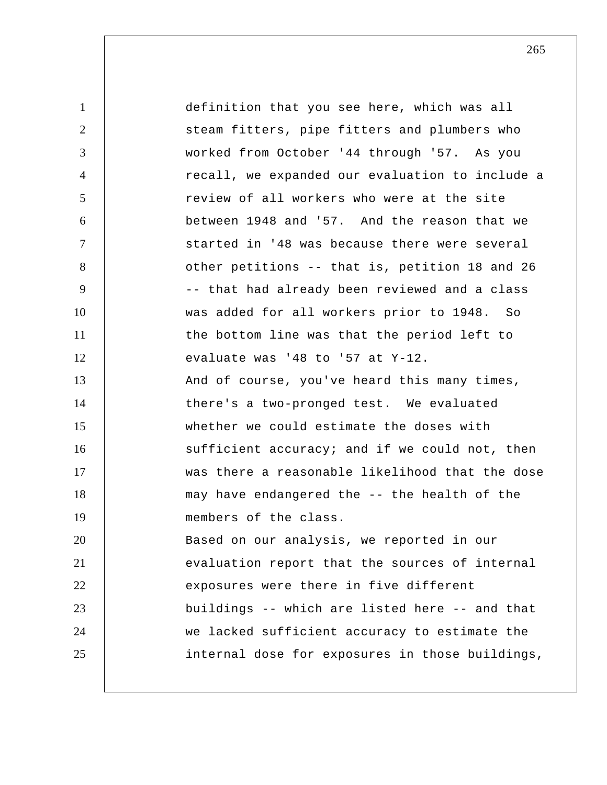1 2 3 4 5 6 7 8 9 10 11 12 13 14 15 16 17 18 19 20 21 22 23 24 25 definition that you see here, which was all steam fitters, pipe fitters and plumbers who worked from October '44 through '57. As you recall, we expanded our evaluation to include a review of all workers who were at the site between 1948 and '57. And the reason that we started in '48 was because there were several other petitions -- that is, petition 18 and 26 -- that had already been reviewed and a class was added for all workers prior to 1948. So the bottom line was that the period left to evaluate was '48 to '57 at Y-12. And of course, you've heard this many times, there's a two-pronged test. We evaluated whether we could estimate the doses with sufficient accuracy; and if we could not, then was there a reasonable likelihood that the dose may have endangered the -- the health of the members of the class. Based on our analysis, we reported in our evaluation report that the sources of internal exposures were there in five different buildings -- which are listed here -- and that we lacked sufficient accuracy to estimate the internal dose for exposures in those buildings,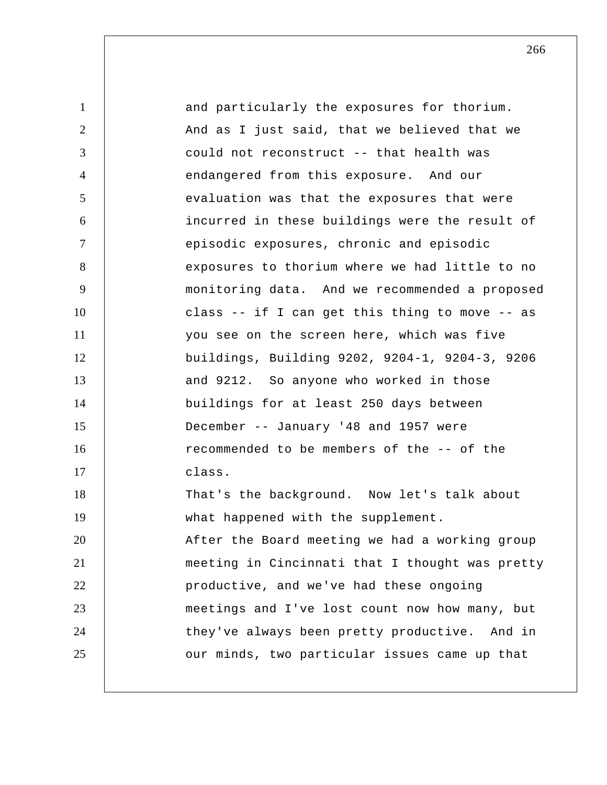| 1               | and particularly the exposures for thorium.     |
|-----------------|-------------------------------------------------|
| $\overline{2}$  | And as I just said, that we believed that we    |
| 3               | could not reconstruct -- that health was        |
| $\overline{4}$  | endangered from this exposure. And our          |
| $5\overline{)}$ | evaluation was that the exposures that were     |
| 6               | incurred in these buildings were the result of  |
| $\overline{7}$  | episodic exposures, chronic and episodic        |
| 8               | exposures to thorium where we had little to no  |
| 9               | monitoring data. And we recommended a proposed  |
| 10              | class -- if I can get this thing to move -- as  |
| 11              | you see on the screen here, which was five      |
| 12              | buildings, Building 9202, 9204-1, 9204-3, 9206  |
| 13              | and 9212. So anyone who worked in those         |
| 14              | buildings for at least 250 days between         |
| 15              | December -- January '48 and 1957 were           |
| 16              | recommended to be members of the -- of the      |
| 17              | class.                                          |
| 18              | That's the background. Now let's talk about     |
| 19              | what happened with the supplement.              |
| 20              | After the Board meeting we had a working group  |
| 21              | meeting in Cincinnati that I thought was pretty |
| 22              | productive, and we've had these ongoing         |
| 23              | meetings and I've lost count now how many, but  |
| 24              | they've always been pretty productive. And in   |
| 25              | our minds, two particular issues came up that   |
|                 |                                                 |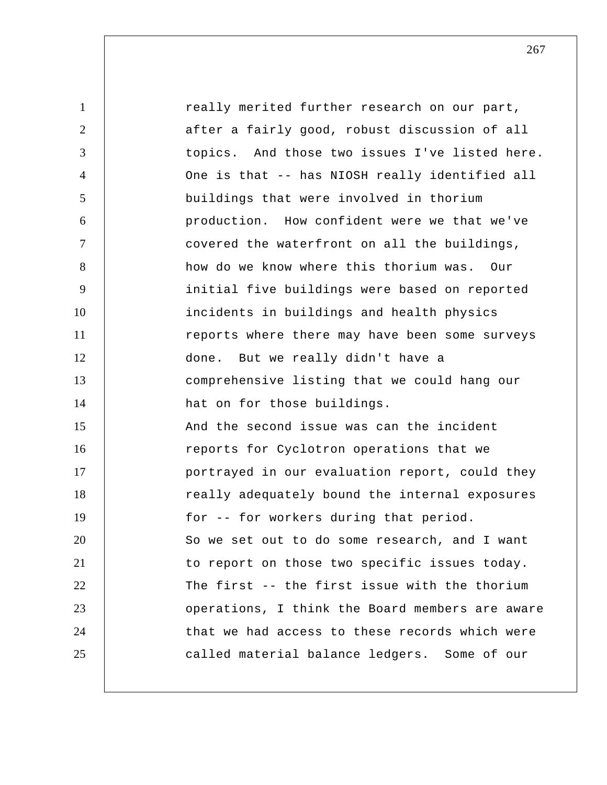1 2 3 4 5 6 7 8 9 10 11 12 13 14 15 16 17 18 19 20 21 22 23 24 25 really merited further research on our part, after a fairly good, robust discussion of all topics. And those two issues I've listed here. One is that -- has NIOSH really identified all buildings that were involved in thorium production. How confident were we that we've covered the waterfront on all the buildings, how do we know where this thorium was. Our initial five buildings were based on reported incidents in buildings and health physics reports where there may have been some surveys done. But we really didn't have a comprehensive listing that we could hang our hat on for those buildings. And the second issue was can the incident reports for Cyclotron operations that we portrayed in our evaluation report, could they really adequately bound the internal exposures for -- for workers during that period. So we set out to do some research, and I want to report on those two specific issues today. The first -- the first issue with the thorium operations, I think the Board members are aware that we had access to these records which were called material balance ledgers. Some of our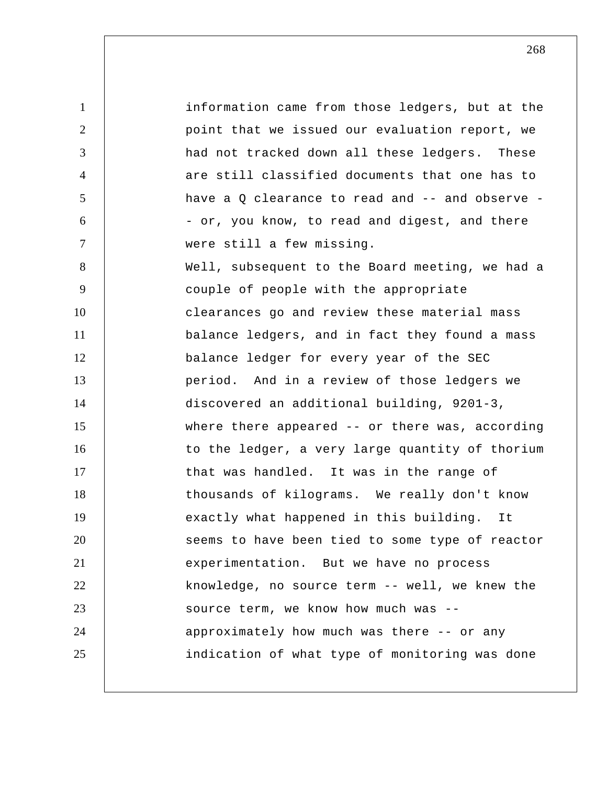1 2 3 4 5 6 7 8 9 10 11 12 13 14 15 16 17 18 19 20 21 22 23 24 25 information came from those ledgers, but at the point that we issued our evaluation report, we had not tracked down all these ledgers. These are still classified documents that one has to have a  $0$  clearance to read and  $-$  and observe  $-$ - or, you know, to read and digest, and there were still a few missing. Well, subsequent to the Board meeting, we had a couple of people with the appropriate clearances go and review these material mass balance ledgers, and in fact they found a mass balance ledger for every year of the SEC period. And in a review of those ledgers we discovered an additional building, 9201-3, where there appeared -- or there was, according to the ledger, a very large quantity of thorium that was handled. It was in the range of thousands of kilograms. We really don't know exactly what happened in this building. It seems to have been tied to some type of reactor experimentation. But we have no process knowledge, no source term -- well, we knew the source term, we know how much was - approximately how much was there -- or any indication of what type of monitoring was done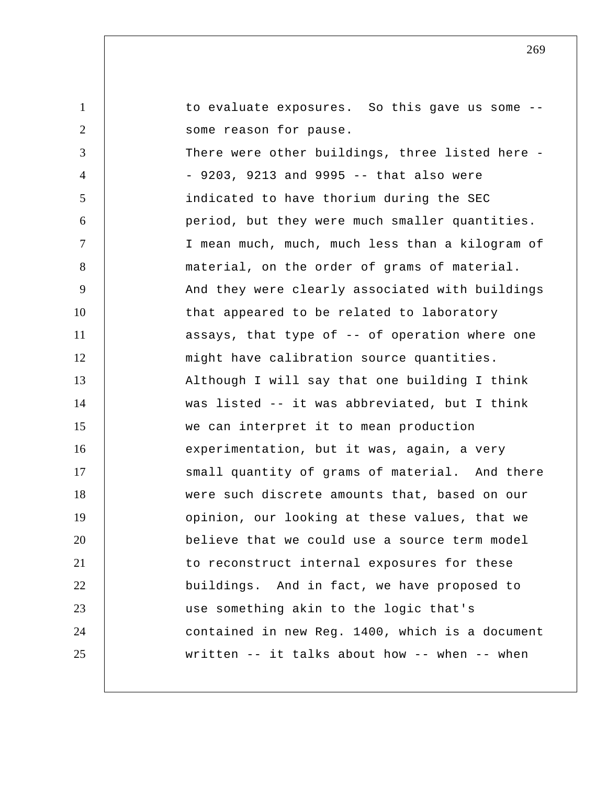1 2 3 4 5 6 7 8 9 10 11 12 13 14 15 16 17 18 19 20 21 22 23 24 25 to evaluate exposures. So this gave us some -some reason for pause. There were other buildings, three listed here -- 9203, 9213 and 9995 -- that also were indicated to have thorium during the SEC period, but they were much smaller quantities. I mean much, much, much less than a kilogram of material, on the order of grams of material. And they were clearly associated with buildings that appeared to be related to laboratory assays, that type of -- of operation where one might have calibration source quantities. Although I will say that one building I think was listed -- it was abbreviated, but I think we can interpret it to mean production experimentation, but it was, again, a very small quantity of grams of material. And there were such discrete amounts that, based on our opinion, our looking at these values, that we believe that we could use a source term model to reconstruct internal exposures for these buildings. And in fact, we have proposed to use something akin to the logic that's contained in new Reg. 1400, which is a document written -- it talks about how -- when -- when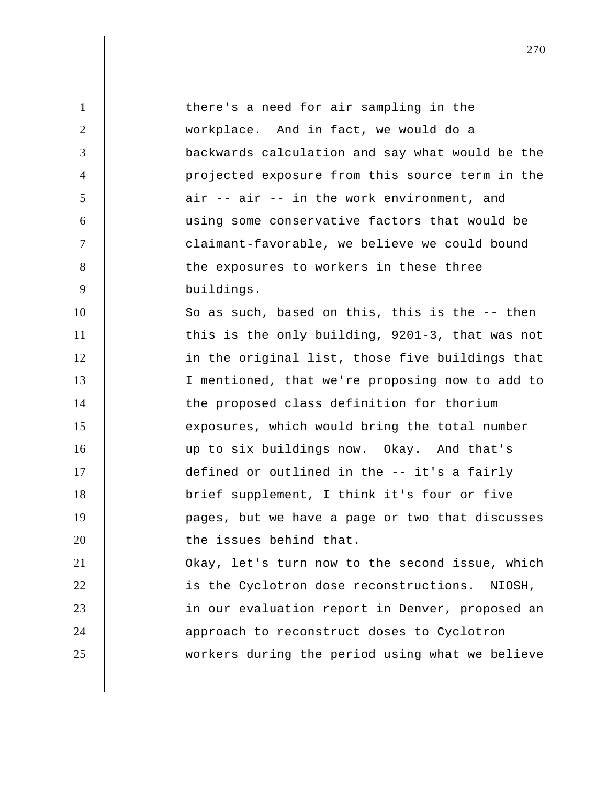| $\mathbf{1}$   | there's a need for air sampling in the           |
|----------------|--------------------------------------------------|
| 2              | workplace. And in fact, we would do a            |
| 3              | backwards calculation and say what would be the  |
| $\overline{4}$ | projected exposure from this source term in the  |
| 5              | air -- air -- in the work environment, and       |
| 6              | using some conservative factors that would be    |
| $\overline{7}$ | claimant-favorable, we believe we could bound    |
| 8              | the exposures to workers in these three          |
| 9              | buildings.                                       |
| 10             | So as such, based on this, this is the -- then   |
| 11             | this is the only building, 9201-3, that was not  |
| 12             | in the original list, those five buildings that  |
| 13             | I mentioned, that we're proposing now to add to  |
| 14             | the proposed class definition for thorium        |
| 15             | exposures, which would bring the total number    |
| 16             | up to six buildings now. Okay. And that's        |
| 17             | defined or outlined in the -- it's a fairly      |
| 18             | brief supplement, I think it's four or five      |
| 19             | pages, but we have a page or two that discusses  |
| 20             | the issues behind that.                          |
| 21             | Okay, let's turn now to the second issue, which  |
| 22             | is the Cyclotron dose reconstructions.<br>NIOSH, |
| 23             | in our evaluation report in Denver, proposed an  |
| 24             | approach to reconstruct doses to Cyclotron       |
| 25             | workers during the period using what we believe  |
|                |                                                  |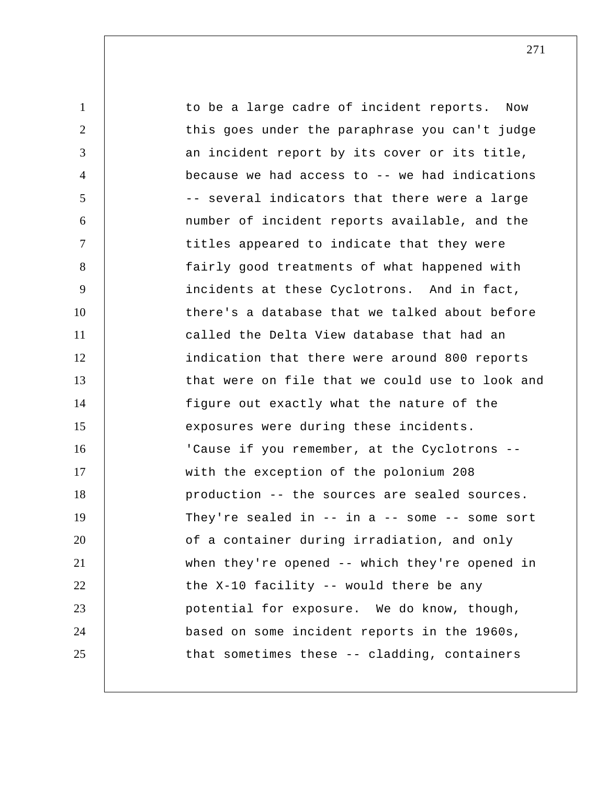1 2 3 4 5 6 7 8 9 10 11 12 13 14 15 16 17 18 19 20 21 22 23 24 25 to be a large cadre of incident reports. Now this goes under the paraphrase you can't judge an incident report by its cover or its title, because we had access to  $-$ - we had indications -- several indicators that there were a large number of incident reports available, and the titles appeared to indicate that they were fairly good treatments of what happened with incidents at these Cyclotrons. And in fact, there's a database that we talked about before called the Delta View database that had an indication that there were around 800 reports that were on file that we could use to look and figure out exactly what the nature of the exposures were during these incidents. 'Cause if you remember, at the Cyclotrons - with the exception of the polonium 208 production -- the sources are sealed sources. They're sealed in  $--$  in a  $--$  some  $--$  some sort of a container during irradiation, and only when they're opened -- which they're opened in the X-10 facility -- would there be any potential for exposure. We do know, though, based on some incident reports in the 1960s, that sometimes these -- cladding, containers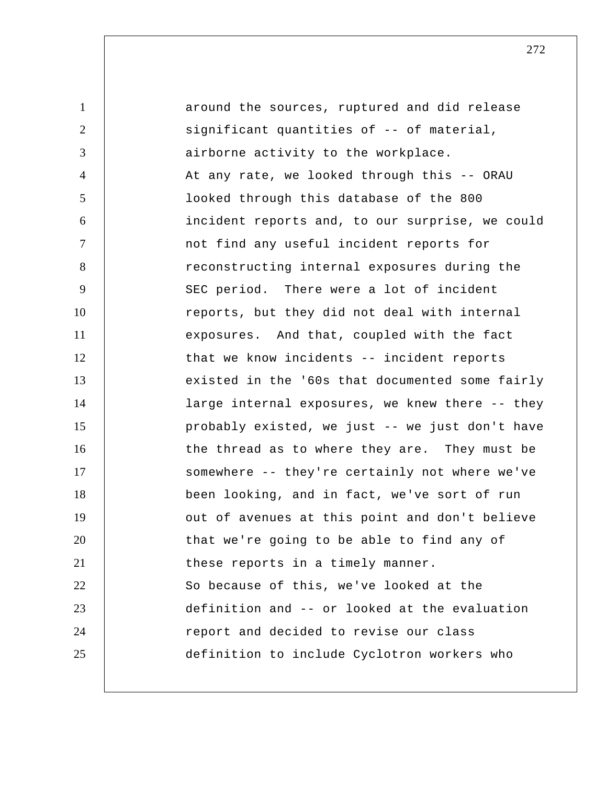1 2 3 4 5 6 7 8 9 10 11 12 13 14 15 16 17 18 19 20 21 22 23 24 25 around the sources, ruptured and did release significant quantities of -- of material, airborne activity to the workplace. At any rate, we looked through this -- ORAU looked through this database of the 800 incident reports and, to our surprise, we could not find any useful incident reports for reconstructing internal exposures during the SEC period. There were a lot of incident reports, but they did not deal with internal exposures. And that, coupled with the fact that we know incidents -- incident reports existed in the '60s that documented some fairly large internal exposures, we knew there -- they probably existed, we just -- we just don't have the thread as to where they are. They must be somewhere -- they're certainly not where we've been looking, and in fact, we've sort of run out of avenues at this point and don't believe that we're going to be able to find any of these reports in a timely manner. So because of this, we've looked at the definition and -- or looked at the evaluation report and decided to revise our class definition to include Cyclotron workers who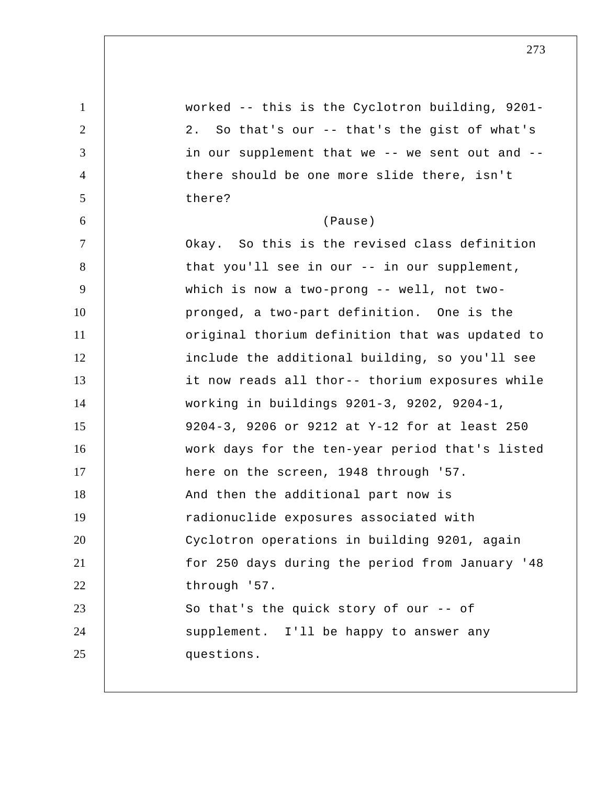1 2 3 4 5 6 7 8 9 10 11 12 13 14 15 16 17 18 19 20 21 22 23 24 25 worked -- this is the Cyclotron building, 9201 2. So that's our -- that's the gist of what's in our supplement that we -- we sent out and - there should be one more slide there, isn't there? (Pause) Okay. So this is the revised class definition that you'll see in our -- in our supplement, which is now a two-prong -- well, not twopronged, a two-part definition. One is the original thorium definition that was updated to include the additional building, so you'll see it now reads all thor-- thorium exposures while working in buildings 9201-3, 9202, 9204-1, 9204-3, 9206 or 9212 at Y-12 for at least 250 work days for the ten-year period that's listed here on the screen, 1948 through '57. And then the additional part now is radionuclide exposures associated with Cyclotron operations in building 9201, again for 250 days during the period from January '48 through '57. So that's the quick story of our -- of supplement. I'll be happy to answer any questions.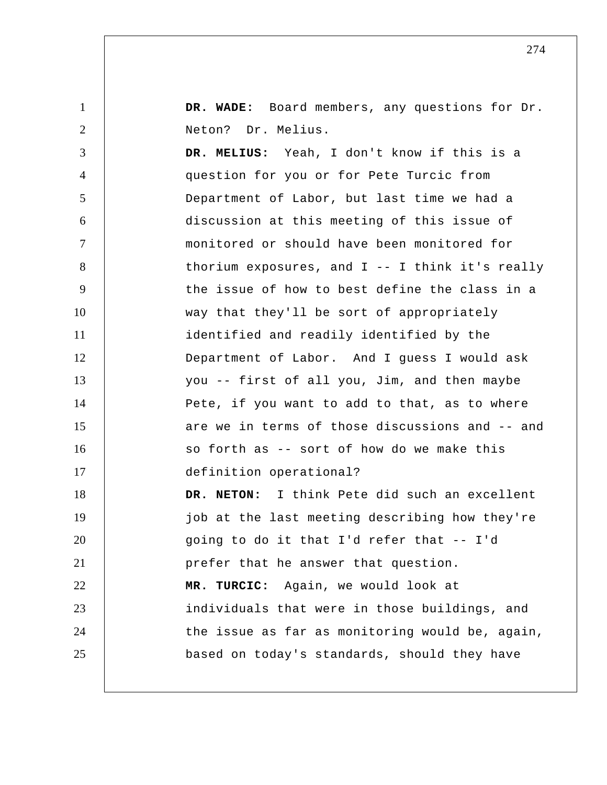| $\mathbf{1}$   | DR. WADE: Board members, any questions for Dr.    |
|----------------|---------------------------------------------------|
| $\overline{2}$ | Neton? Dr. Melius.                                |
| 3              | DR. MELIUS: Yeah, I don't know if this is a       |
| $\overline{4}$ | question for you or for Pete Turcic from          |
| $\mathfrak{S}$ | Department of Labor, but last time we had a       |
| 6              | discussion at this meeting of this issue of       |
| $\tau$         | monitored or should have been monitored for       |
| 8              | thorium exposures, and $I$ -- I think it's really |
| 9              | the issue of how to best define the class in a    |
| 10             | way that they'll be sort of appropriately         |
| 11             | identified and readily identified by the          |
| 12             | Department of Labor. And I guess I would ask      |
| 13             | you -- first of all you, Jim, and then maybe      |
| 14             | Pete, if you want to add to that, as to where     |
| 15             | are we in terms of those discussions and -- and   |
| 16             | so forth as -- sort of how do we make this        |
| 17             | definition operational?                           |
| 18             | DR. NETON: I think Pete did such an excellent     |
| 19             | job at the last meeting describing how they're    |
| 20             | going to do it that I'd refer that -- I'd         |
| 21             | prefer that he answer that question.              |
| 22             | MR. TURCIC: Again, we would look at               |
| 23             | individuals that were in those buildings, and     |
| 24             | the issue as far as monitoring would be, again,   |
| 25             | based on today's standards, should they have      |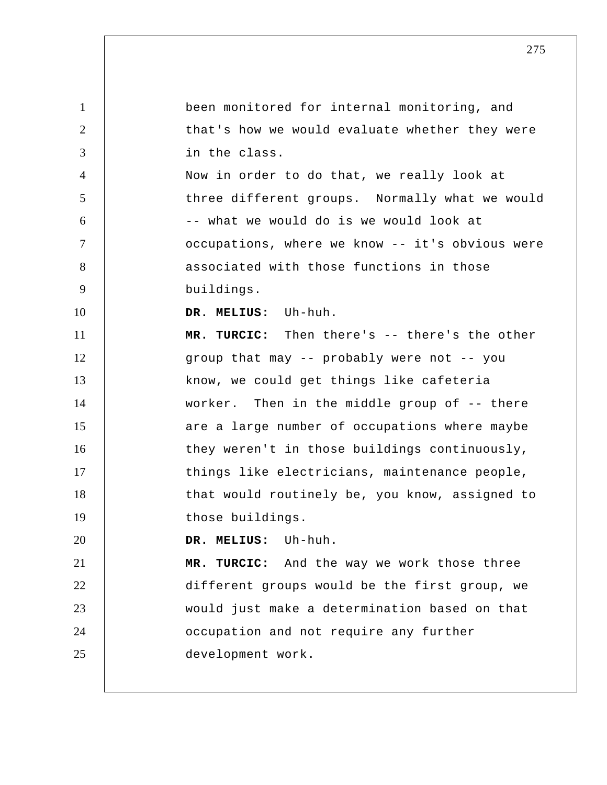1 2 3 4 5 6 7 8 9 10 11 12 13 14 15 16 17 18 19 20 21 22 23 24 25 been monitored for internal monitoring, and that's how we would evaluate whether they were in the class. Now in order to do that, we really look at three different groups. Normally what we would -- what we would do is we would look at occupations, where we know -- it's obvious were associated with those functions in those buildings.  **DR. MELIUS:** Uh-huh.  **MR. TURCIC:** Then there's -- there's the other group that may -- probably were not -- you know, we could get things like cafeteria worker. Then in the middle group of -- there are a large number of occupations where maybe they weren't in those buildings continuously, things like electricians, maintenance people, that would routinely be, you know, assigned to those buildings.  **DR. MELIUS:** Uh-huh.  **MR. TURCIC:** And the way we work those three different groups would be the first group, we would just make a determination based on that occupation and not require any further development work.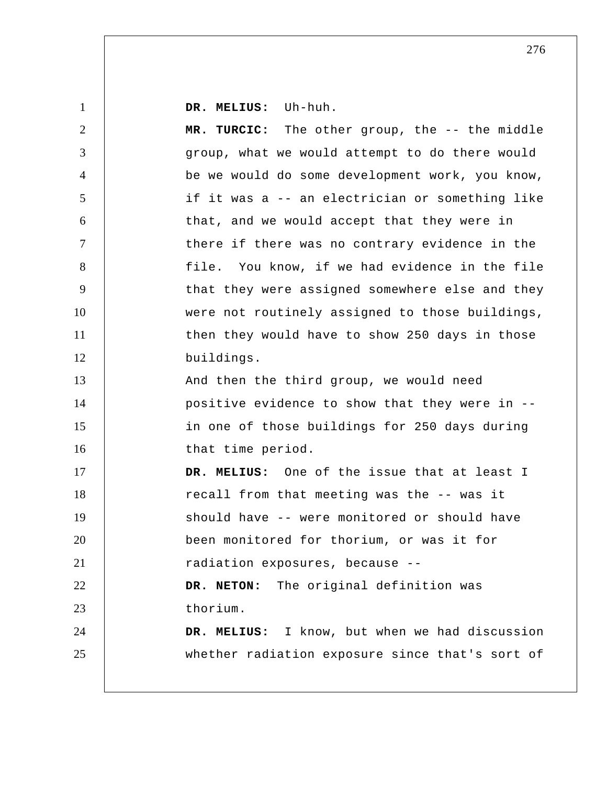**DR. MELIUS:** Uh-huh.

1

| $\overline{2}$ | MR. TURCIC: The other group, the -- the middle  |
|----------------|-------------------------------------------------|
| 3              | group, what we would attempt to do there would  |
| $\overline{4}$ | be we would do some development work, you know, |
| 5              | if it was a -- an electrician or something like |
| 6              | that, and we would accept that they were in     |
| $\tau$         | there if there was no contrary evidence in the  |
| 8              | file. You know, if we had evidence in the file  |
| 9              | that they were assigned somewhere else and they |
| 10             | were not routinely assigned to those buildings, |
| 11             | then they would have to show 250 days in those  |
| 12             | buildings.                                      |
| 13             | And then the third group, we would need         |
| 14             | positive evidence to show that they were in --  |
| 15             | in one of those buildings for 250 days during   |
| 16             | that time period.                               |
| 17             | DR. MELIUS: One of the issue that at least I    |
| 18             | recall from that meeting was the -- was it      |
| 19             | should have -- were monitored or should have    |
| 20             | been monitored for thorium, or was it for       |
| 21             | radiation exposures, because --                 |
| 22             | The original definition was<br>DR. NETON:       |
| 23             | thorium.                                        |
| 24             | DR. MELIUS: I know, but when we had discussion  |
| 25             | whether radiation exposure since that's sort of |
|                |                                                 |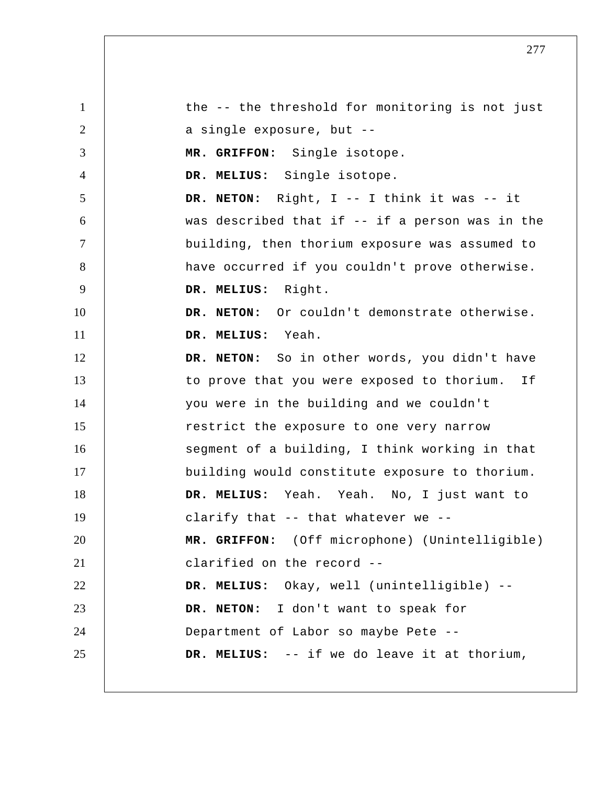1 2 3 4 5 6 7 8 9 10 11 12 13 14 15 16 17 18 19 20 21 22 23 24 25 the -- the threshold for monitoring is not just a single exposure, but --  **MR. GRIFFON:** Single isotope.  **DR. MELIUS:** Single isotope. **DR. NETON:** Right, I -- I think it was -- it was described that if -- if a person was in the building, then thorium exposure was assumed to have occurred if you couldn't prove otherwise.  **DR. MELIUS:** Right. **DR. NETON:** Or couldn't demonstrate otherwise.  **DR. MELIUS:** Yeah. **DR. NETON:** So in other words, you didn't have to prove that you were exposed to thorium. If you were in the building and we couldn't restrict the exposure to one very narrow segment of a building, I think working in that building would constitute exposure to thorium.  **DR. MELIUS:** Yeah. Yeah. No, I just want to clarify that -- that whatever we --  **MR. GRIFFON:** (Off microphone) (Unintelligible) clarified on the record -- **DR. MELIUS:** Okay, well (unintelligible) -- **DR. NETON:** I don't want to speak for Department of Labor so maybe Pete --  **DR. MELIUS:** -- if we do leave it at thorium,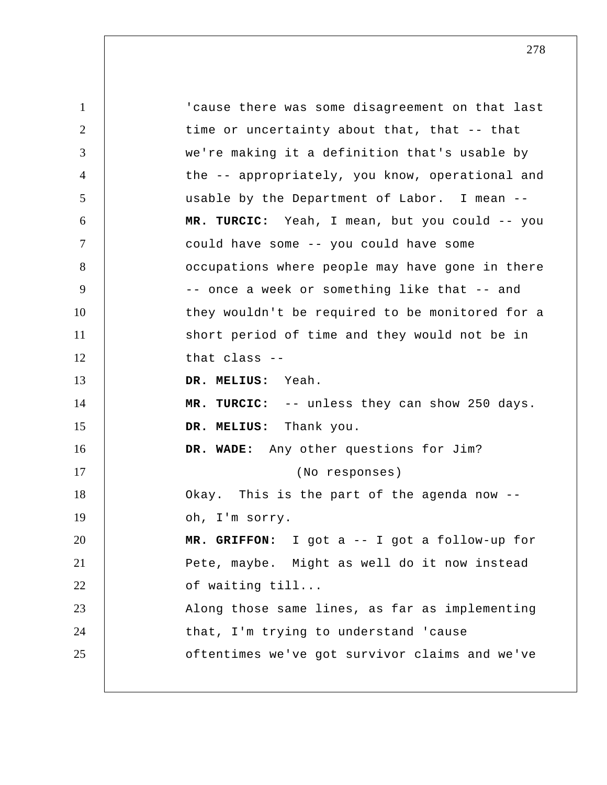1 2 3 4 5 6 7 8 9 10 11 12 13 14 15 16 17 18 19 20 21 22 23 24 25 'cause there was some disagreement on that last time or uncertainty about that, that -- that we're making it a definition that's usable by the -- appropriately, you know, operational and usable by the Department of Labor. I mean -- **MR. TURCIC:** Yeah, I mean, but you could -- you could have some -- you could have some occupations where people may have gone in there -- once a week or something like that -- and they wouldn't be required to be monitored for a short period of time and they would not be in that class -- **DR. MELIUS:** Yeah.  **MR. TURCIC:** -- unless they can show 250 days.  **DR. MELIUS:** Thank you.  **DR. WADE:** Any other questions for Jim? (No responses) Okay. This is the part of the agenda now - oh, I'm sorry.  **MR. GRIFFON:** I got a -- I got a follow-up for Pete, maybe. Might as well do it now instead of waiting till... Along those same lines, as far as implementing that, I'm trying to understand 'cause oftentimes we've got survivor claims and we've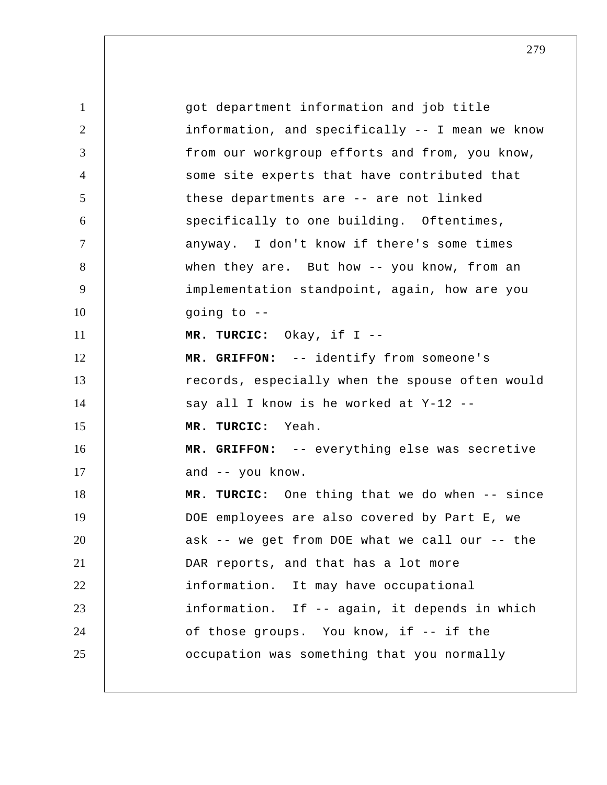1 2 3 4 5 6 7 8 9 10 11 12 13 14 15 16 17 18 19 20 21 22 23 24 25 got department information and job title information, and specifically -- I mean we know from our workgroup efforts and from, you know, some site experts that have contributed that these departments are -- are not linked specifically to one building. Oftentimes, anyway. I don't know if there's some times when they are. But how -- you know, from an implementation standpoint, again, how are you going to --  **MR. TURCIC:** Okay, if I --  **MR. GRIFFON:** -- identify from someone's records, especially when the spouse often would say all I know is he worked at Y-12 --  **MR. TURCIC:** Yeah.  **MR. GRIFFON:** -- everything else was secretive and -- you know.  **MR. TURCIC:** One thing that we do when -- since DOE employees are also covered by Part E, we ask -- we get from DOE what we call our -- the DAR reports, and that has a lot more information. It may have occupational information. If -- again, it depends in which of those groups. You know, if -- if the occupation was something that you normally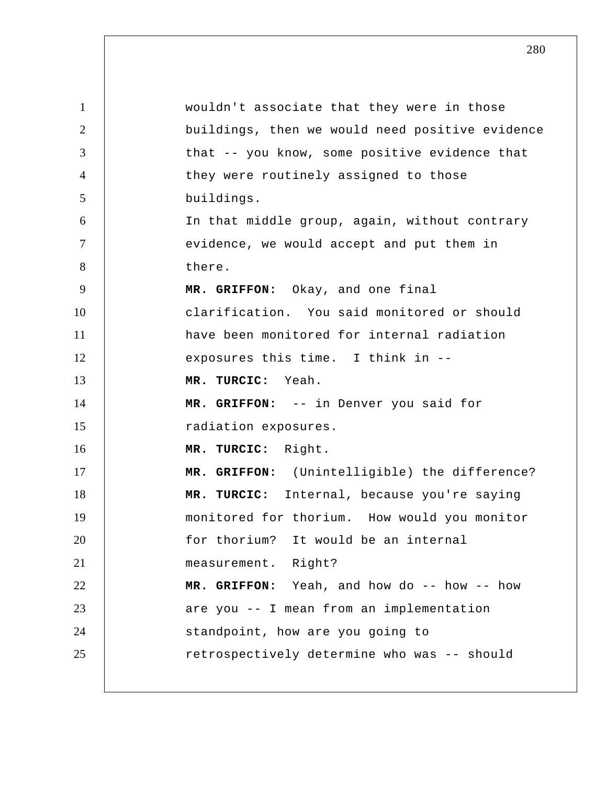1 2 3 4 5 6 7 8 9 10 11 12 13 14 15 16 17 18 19 20 21 22 23 24 25 wouldn't associate that they were in those buildings, then we would need positive evidence that -- you know, some positive evidence that they were routinely assigned to those buildings. In that middle group, again, without contrary evidence, we would accept and put them in there.  **MR. GRIFFON:** Okay, and one final clarification. You said monitored or should have been monitored for internal radiation exposures this time. I think in --  **MR. TURCIC:** Yeah.  **MR. GRIFFON:** -- in Denver you said for radiation exposures.  **MR. TURCIC:** Right.  **MR. GRIFFON:** (Unintelligible) the difference?  **MR. TURCIC:** Internal, because you're saying monitored for thorium. How would you monitor for thorium? It would be an internal measurement. Right?  **MR. GRIFFON:** Yeah, and how do -- how -- how are you -- I mean from an implementation standpoint, how are you going to retrospectively determine who was -- should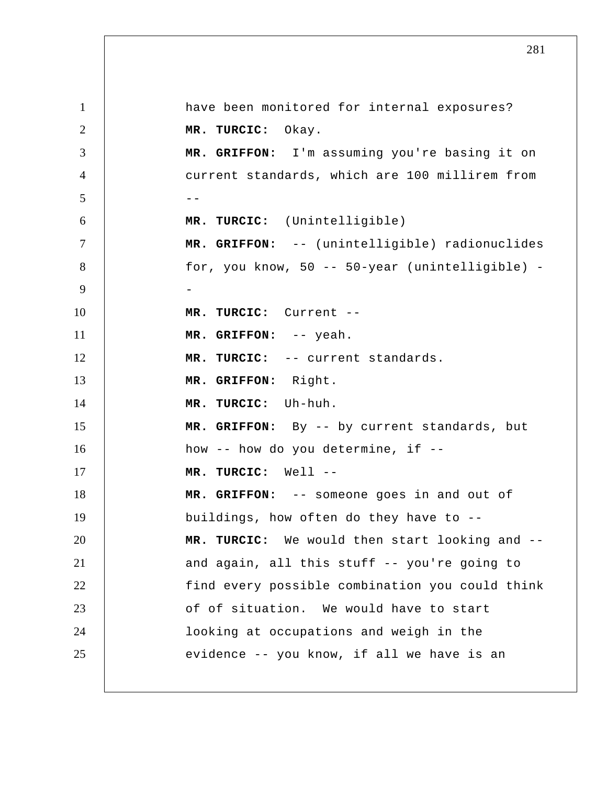1 2 3 4  $5$  --6 7 8 9 10 11 12 13 14 15 16 17 18 19 20 21 22 23 24 25 have been monitored for internal exposures?  **MR. TURCIC:** Okay.  **MR. GRIFFON:** I'm assuming you're basing it on current standards, which are 100 millirem from  **MR. TURCIC:** (Unintelligible)  **MR. GRIFFON:** -- (unintelligible) radionuclides for, you know, 50 -- 50-year (unintelligible) - **MR. TURCIC:** Current -- **MR. GRIFFON:** -- yeah.  **MR. TURCIC:** -- current standards.  **MR. GRIFFON:** Right.  **MR. TURCIC:** Uh-huh.  **MR. GRIFFON:** By -- by current standards, but how -- how do you determine, if --  **MR. TURCIC:** Well -- **MR. GRIFFON:** -- someone goes in and out of buildings, how often do they have to --  **MR. TURCIC:** We would then start looking and - and again, all this stuff -- you're going to find every possible combination you could think of of situation. We would have to start looking at occupations and weigh in the evidence -- you know, if all we have is an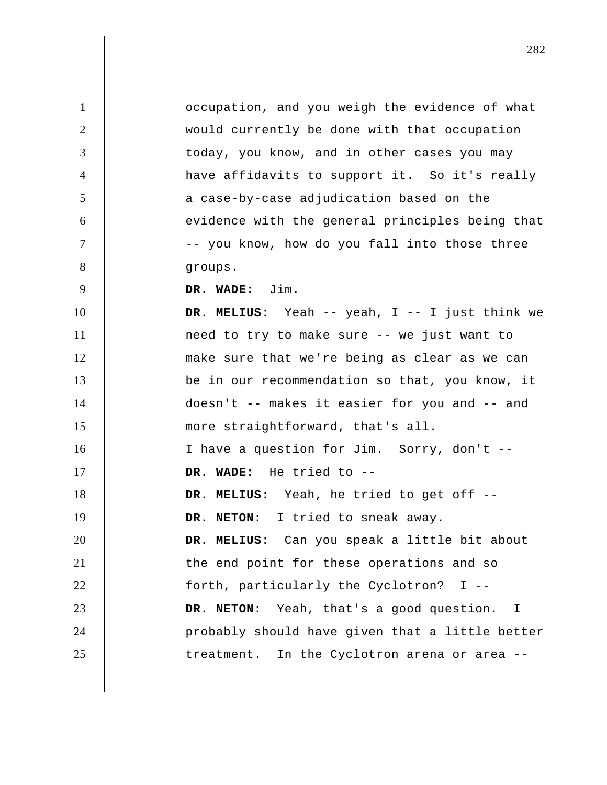1 2 3 4 5 6 7 8 9 10 11 12 13 14 15 16 17 18 19 20 21 22 23 24 25 occupation, and you weigh the evidence of what would currently be done with that occupation today, you know, and in other cases you may have affidavits to support it. So it's really a case-by-case adjudication based on the evidence with the general principles being that -- you know, how do you fall into those three groups.  **DR. WADE:** Jim.  **DR. MELIUS:** Yeah -- yeah, I -- I just think we need to try to make sure -- we just want to make sure that we're being as clear as we can be in our recommendation so that, you know, it doesn't -- makes it easier for you and -- and more straightforward, that's all. I have a question for Jim. Sorry, don't -- **DR. WADE:** He tried to --  **DR. MELIUS:** Yeah, he tried to get off -- **DR. NETON:** I tried to sneak away.  **DR. MELIUS:** Can you speak a little bit about the end point for these operations and so forth, particularly the Cyclotron? I --**DR. NETON:** Yeah, that's a good question. I probably should have given that a little better treatment. In the Cyclotron arena or area --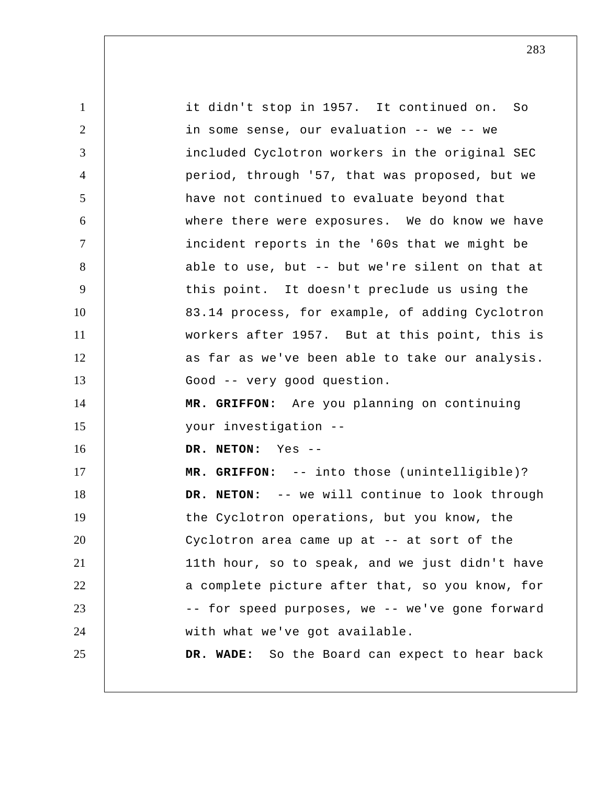1 2 3 4 5 6 7 8 9 10 11 12 13 14 15 16 17 18 19 20 21 22 23 24 25 it didn't stop in 1957. It continued on. So in some sense, our evaluation -- we -- we included Cyclotron workers in the original SEC period, through '57, that was proposed, but we have not continued to evaluate beyond that where there were exposures. We do know we have incident reports in the '60s that we might be able to use, but -- but we're silent on that at this point. It doesn't preclude us using the 83.14 process, for example, of adding Cyclotron workers after 1957. But at this point, this is as far as we've been able to take our analysis. Good -- very good question.  **MR. GRIFFON:** Are you planning on continuing your investigation --**DR. NETON:** Yes -- **MR. GRIFFON:** -- into those (unintelligible)? **DR. NETON:** -- we will continue to look through the Cyclotron operations, but you know, the Cyclotron area came up at -- at sort of the 11th hour, so to speak, and we just didn't have a complete picture after that, so you know, for -- for speed purposes, we -- we've gone forward with what we've got available.  **DR. WADE:** So the Board can expect to hear back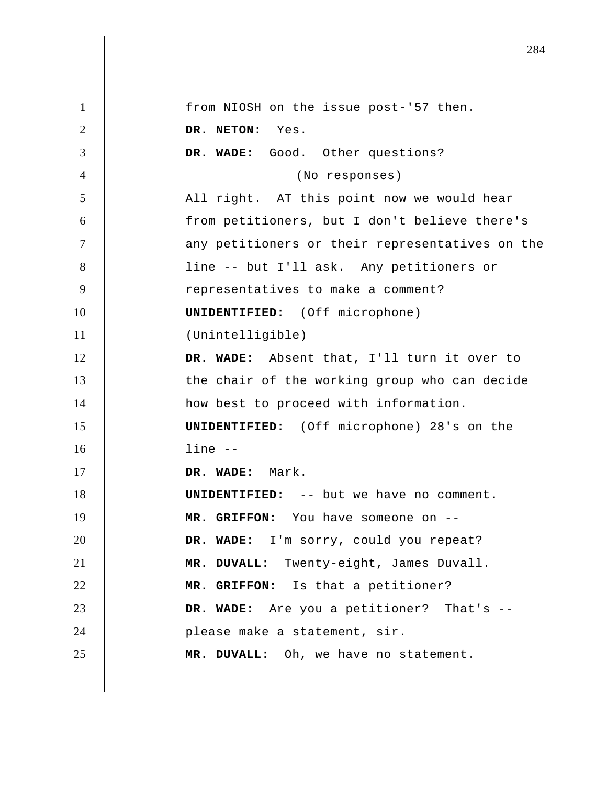1 2 3 4 5 6 7 8 9 10 11 12 13 14 15 16 17 18 19 20 21 22 23 24 25 from NIOSH on the issue post-'57 then. **DR. NETON:** Yes.  **DR. WADE:** Good. Other questions? (No responses) All right. AT this point now we would hear from petitioners, but I don't believe there's any petitioners or their representatives on the line -- but I'll ask. Any petitioners or representatives to make a comment? **UNIDENTIFIED:** (Off microphone) (Unintelligible)  **DR. WADE:** Absent that, I'll turn it over to the chair of the working group who can decide how best to proceed with information. **UNIDENTIFIED:** (Off microphone) 28's on the line -- **DR. WADE:** Mark. **UNIDENTIFIED:** -- but we have no comment.  **MR. GRIFFON:** You have someone on -- **DR. WADE:** I'm sorry, could you repeat?  **MR. DUVALL:** Twenty-eight, James Duvall.  **MR. GRIFFON:** Is that a petitioner?  **DR. WADE:** Are you a petitioner? That's -please make a statement, sir.  **MR. DUVALL:** Oh, we have no statement.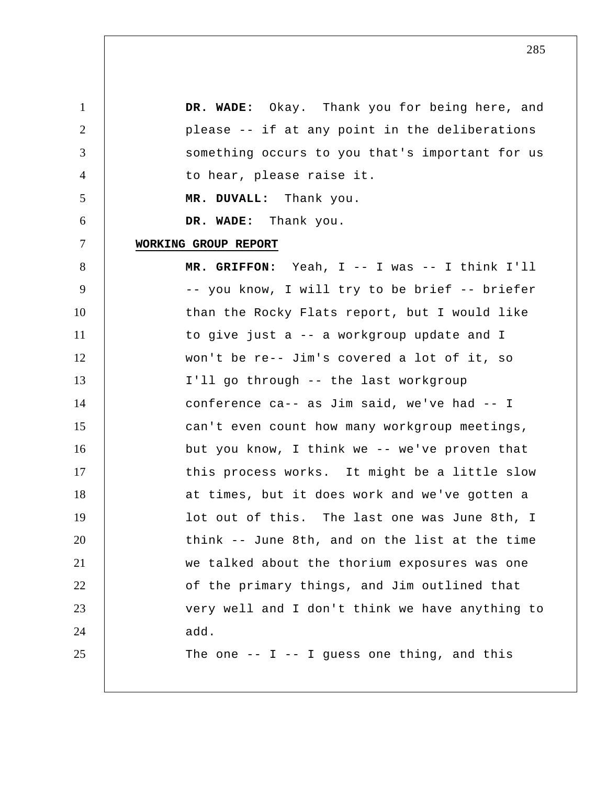1 2 3 4 5 6 7 8 9 10 11 12 13 14 15 16 17 18 19 20 21 22 23 24 25  **DR. WADE:** Okay. Thank you for being here, and please -- if at any point in the deliberations something occurs to you that's important for us to hear, please raise it.  **MR. DUVALL:** Thank you.  **DR. WADE:** Thank you. **WORKING GROUP REPORT MR. GRIFFON:** Yeah, I -- I was -- I think I'll -- you know, I will try to be brief -- briefer than the Rocky Flats report, but I would like to give just a -- a workgroup update and I won't be re-- Jim's covered a lot of it, so I'll go through -- the last workgroup conference ca-- as Jim said, we've had -- I can't even count how many workgroup meetings, but you know, I think we -- we've proven that this process works. It might be a little slow at times, but it does work and we've gotten a lot out of this. The last one was June 8th, I think -- June 8th, and on the list at the time we talked about the thorium exposures was one of the primary things, and Jim outlined that very well and I don't think we have anything to add. The one  $-$ - I  $-$  I guess one thing, and this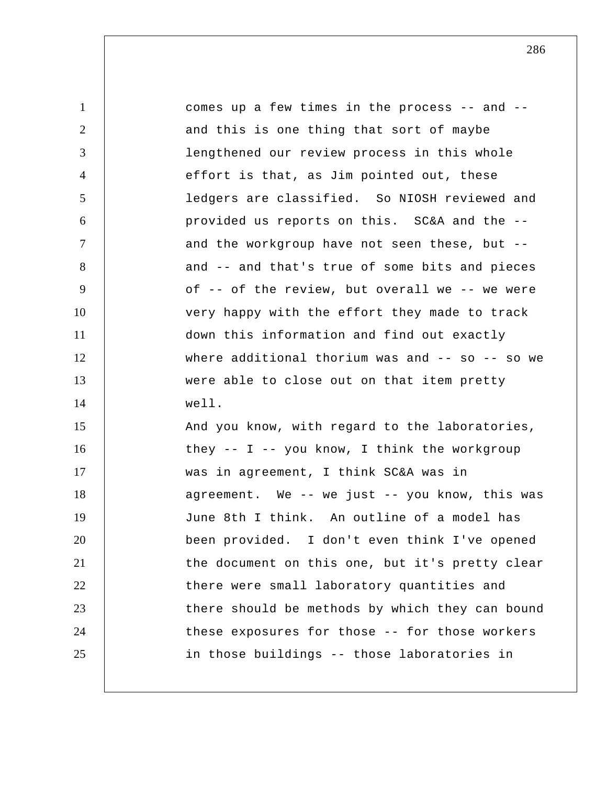1 2 3 4 5 6 7 8 9 10 11 12 13 14 15 16 17 18 19 20 21 22 23 24 25 comes up a few times in the process -- and - and this is one thing that sort of maybe lengthened our review process in this whole effort is that, as Jim pointed out, these ledgers are classified. So NIOSH reviewed and provided us reports on this. SC&A and the - and the workgroup have not seen these, but - and -- and that's true of some bits and pieces of -- of the review, but overall we -- we were very happy with the effort they made to track down this information and find out exactly where additional thorium was and  $--$  so  $--$  so we were able to close out on that item pretty well. And you know, with regard to the laboratories, they  $-$ - I  $-$  you know, I think the workgroup was in agreement, I think SC&A was in agreement. We -- we just -- you know, this was June 8th I think. An outline of a model has been provided. I don't even think I've opened the document on this one, but it's pretty clear there were small laboratory quantities and there should be methods by which they can bound these exposures for those -- for those workers in those buildings -- those laboratories in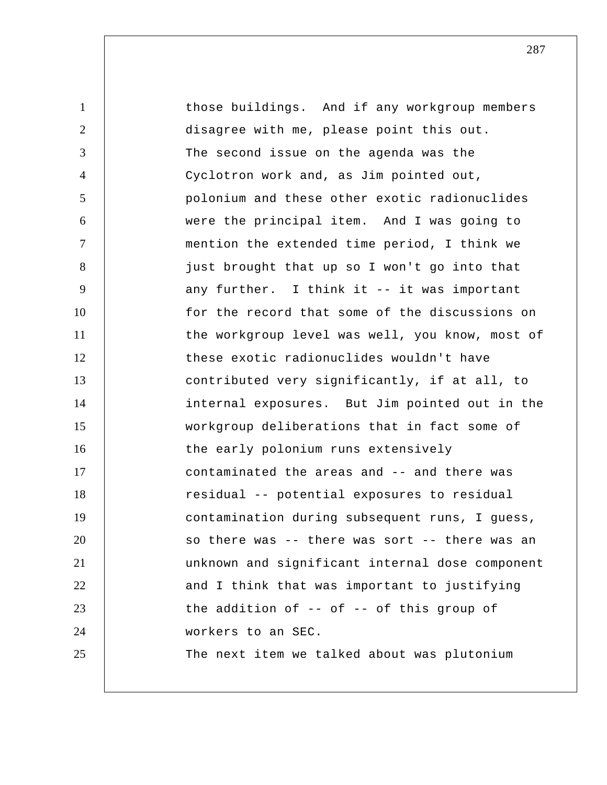1 2 3 4 5 6 7 8 9 10 11 12 13 14 15 16 17 18 19 20 21 22 23 24 25 those buildings. And if any workgroup members disagree with me, please point this out. The second issue on the agenda was the Cyclotron work and, as Jim pointed out, polonium and these other exotic radionuclides were the principal item. And I was going to mention the extended time period, I think we just brought that up so I won't go into that any further. I think it -- it was important for the record that some of the discussions on the workgroup level was well, you know, most of these exotic radionuclides wouldn't have contributed very significantly, if at all, to internal exposures. But Jim pointed out in the workgroup deliberations that in fact some of the early polonium runs extensively contaminated the areas and -- and there was residual -- potential exposures to residual contamination during subsequent runs, I guess, so there was -- there was sort -- there was an unknown and significant internal dose component and I think that was important to justifying the addition of -- of -- of this group of workers to an SEC. The next item we talked about was plutonium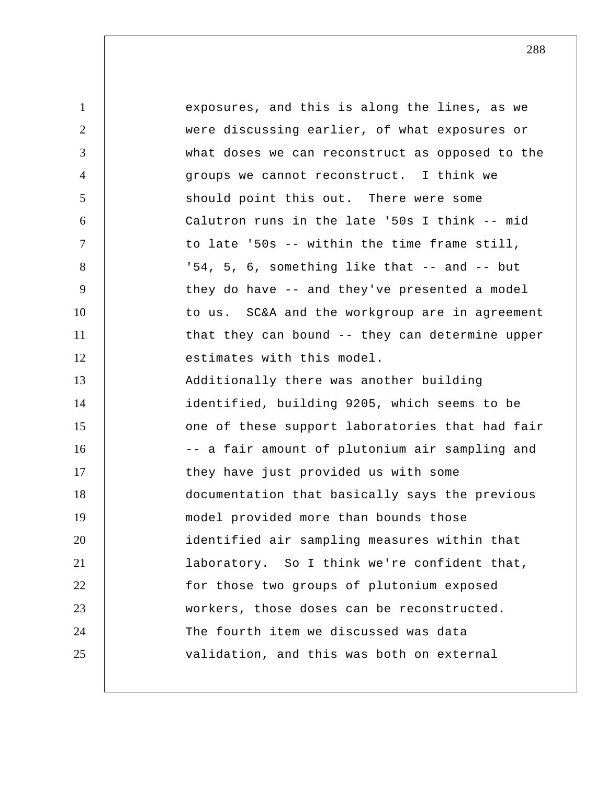1 2 3 4 5 6 7 8 9 10 11 12 13 14 15 16 17 18 19 20 21 22 23 24 25 exposures, and this is along the lines, as we were discussing earlier, of what exposures or what doses we can reconstruct as opposed to the groups we cannot reconstruct. I think we should point this out. There were some Calutron runs in the late '50s I think -- mid to late '50s -- within the time frame still, '54, 5, 6, something like that -- and -- but they do have -- and they've presented a model to us. SC&A and the workgroup are in agreement that they can bound -- they can determine upper estimates with this model. Additionally there was another building identified, building 9205, which seems to be one of these support laboratories that had fair -- a fair amount of plutonium air sampling and they have just provided us with some documentation that basically says the previous model provided more than bounds those identified air sampling measures within that laboratory. So I think we're confident that, for those two groups of plutonium exposed workers, those doses can be reconstructed. The fourth item we discussed was data validation, and this was both on external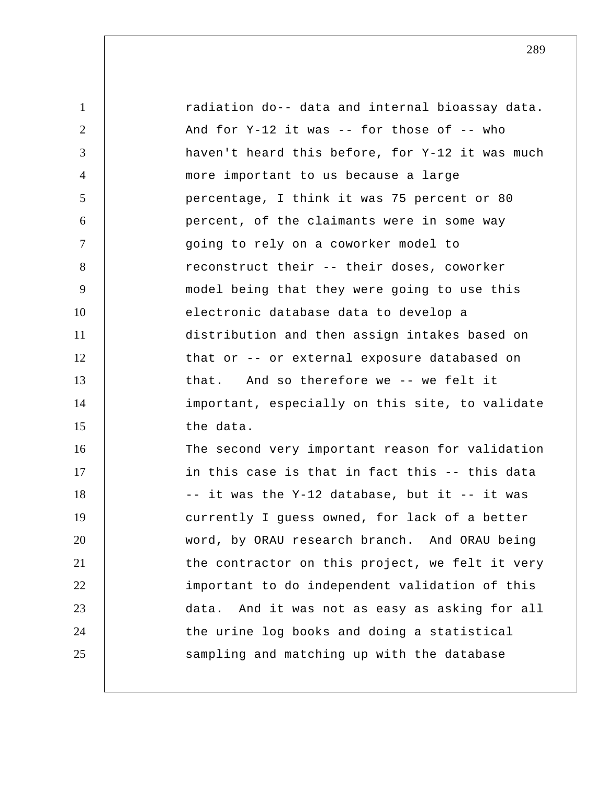| $\mathbf{1}$   | radiation do-- data and internal bioassay data.   |
|----------------|---------------------------------------------------|
| $\overline{2}$ | And for $Y-12$ it was -- for those of -- who      |
| 3              | haven't heard this before, for Y-12 it was much   |
| $\overline{4}$ | more important to us because a large              |
| 5              | percentage, I think it was 75 percent or 80       |
| 6              | percent, of the claimants were in some way        |
| $\tau$         | going to rely on a coworker model to              |
| 8              | reconstruct their -- their doses, coworker        |
| 9              | model being that they were going to use this      |
| 10             | electronic database data to develop a             |
| 11             | distribution and then assign intakes based on     |
| 12             | that or -- or external exposure databased on      |
| 13             | And so therefore we -- we felt it<br>that.        |
| 14             | important, especially on this site, to validate   |
| 15             | the data.                                         |
| 16             | The second very important reason for validation   |
| 17             | in this case is that in fact this -- this data    |
| 18             | -- it was the Y-12 database, but it -- it was     |
| 19             | currently I guess owned, for lack of a better     |
| 20             | word, by ORAU research branch. And ORAU being     |
| 21             | the contractor on this project, we felt it very   |
| 22             | important to do independent validation of this    |
| 23             | And it was not as easy as asking for all<br>data. |
| 24             | the urine log books and doing a statistical       |
| 25             | sampling and matching up with the database        |
|                |                                                   |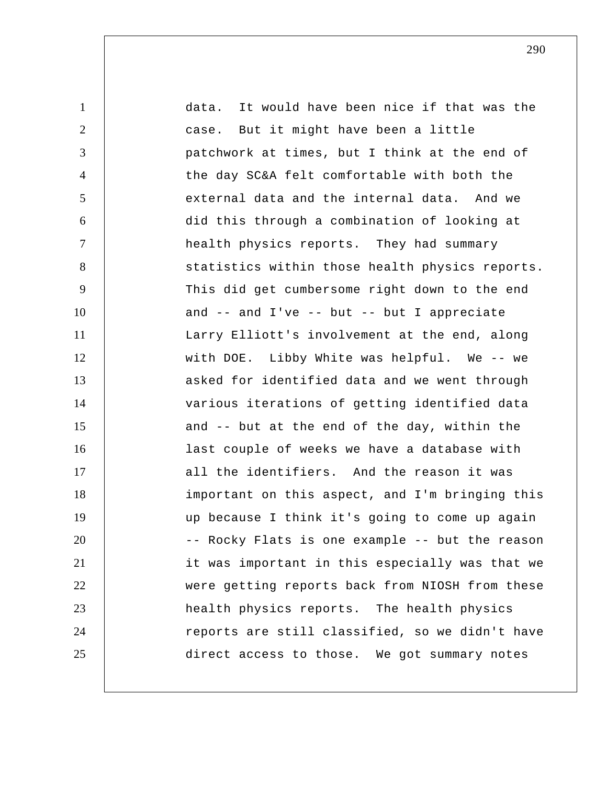1 2 3 4 5 6 7 8 9 10 11 12 13 14 15 16 17 18 19 20 21 22 23 24 25 data. It would have been nice if that was the case. But it might have been a little patchwork at times, but I think at the end of the day SC&A felt comfortable with both the external data and the internal data. And we did this through a combination of looking at health physics reports. They had summary statistics within those health physics reports. This did get cumbersome right down to the end and  $--$  and I've  $--$  but  $--$  but I appreciate Larry Elliott's involvement at the end, along with DOE. Libby White was helpful. We -- we asked for identified data and we went through various iterations of getting identified data and -- but at the end of the day, within the last couple of weeks we have a database with all the identifiers. And the reason it was important on this aspect, and I'm bringing this up because I think it's going to come up again -- Rocky Flats is one example -- but the reason it was important in this especially was that we were getting reports back from NIOSH from these health physics reports. The health physics reports are still classified, so we didn't have direct access to those. We got summary notes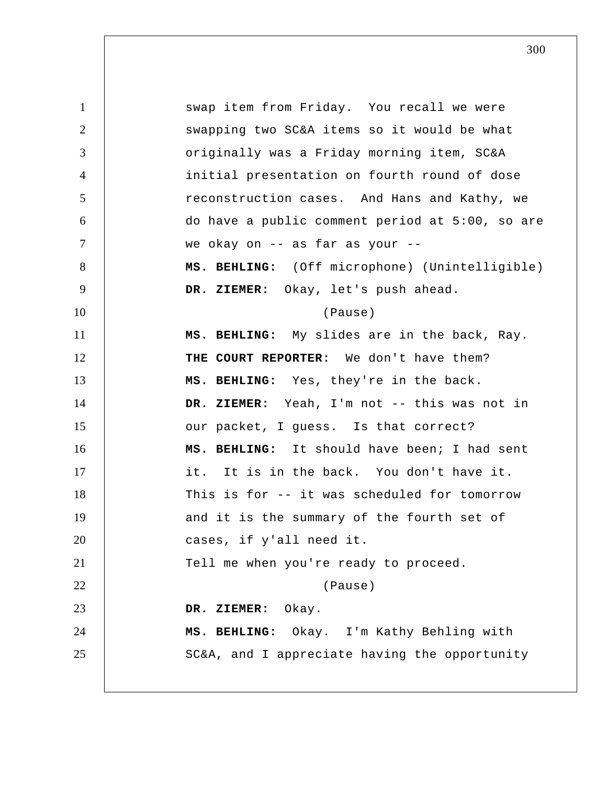1 2 3 4 5 6 7 8 9 10 11 12 13 14 15 16 17 18 19 20 21 22 23 24 25 swap item from Friday. You recall we were swapping two SC&A items so it would be what originally was a Friday morning item, SC&A initial presentation on fourth round of dose reconstruction cases. And Hans and Kathy, we do have a public comment period at 5:00, so are we okay on -- as far as your --  **MS. BEHLING:** (Off microphone) (Unintelligible)  **DR. ZIEMER:** Okay, let's push ahead. (Pause)  **MS. BEHLING:** My slides are in the back, Ray. **THE COURT REPORTER:** We don't have them?  **MS. BEHLING:** Yes, they're in the back.  **DR. ZIEMER:** Yeah, I'm not -- this was not in our packet, I guess. Is that correct?  **MS. BEHLING:** It should have been; I had sent it. It is in the back. You don't have it. This is for -- it was scheduled for tomorrow and it is the summary of the fourth set of cases, if y'all need it. Tell me when you're ready to proceed. (Pause)  **DR. ZIEMER:** Okay.  **MS. BEHLING:** Okay. I'm Kathy Behling with SC&A, and I appreciate having the opportunity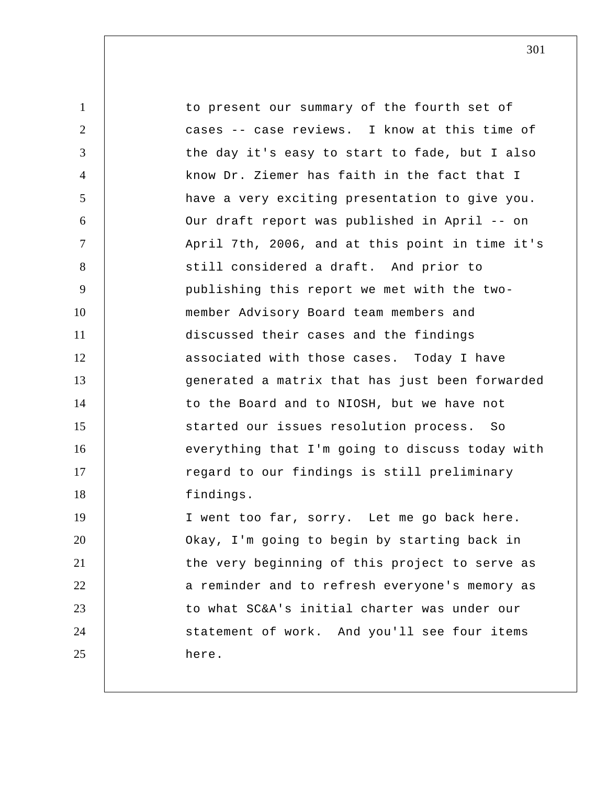1 2 3 4 5 6 7 8 9 10 11 12 13 14 15 16 17 18 19 20 21 22 23 24 25 to present our summary of the fourth set of cases -- case reviews. I know at this time of the day it's easy to start to fade, but I also know Dr. Ziemer has faith in the fact that I have a very exciting presentation to give you. Our draft report was published in April -- on April 7th, 2006, and at this point in time it's still considered a draft. And prior to publishing this report we met with the twomember Advisory Board team members and discussed their cases and the findings associated with those cases. Today I have generated a matrix that has just been forwarded to the Board and to NIOSH, but we have not started our issues resolution process. So everything that I'm going to discuss today with regard to our findings is still preliminary findings. I went too far, sorry. Let me go back here. Okay, I'm going to begin by starting back in the very beginning of this project to serve as a reminder and to refresh everyone's memory as to what SC&A's initial charter was under our statement of work. And you'll see four items here.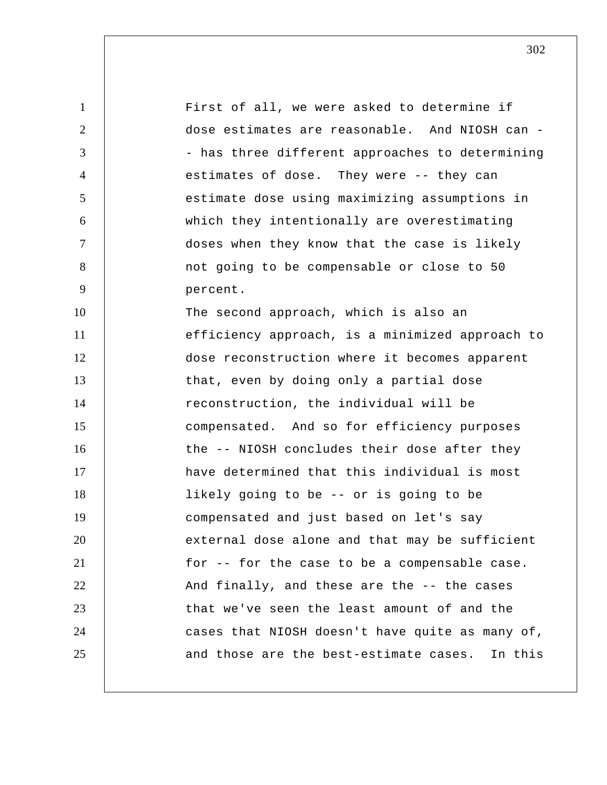1 2 3 4 5 6 7 8 9 10 11 12 13 14 15 16 17 18 19 20 21 22 23 24 25 First of all, we were asked to determine if dose estimates are reasonable. And NIOSH can - has three different approaches to determining estimates of dose. They were -- they can estimate dose using maximizing assumptions in which they intentionally are overestimating doses when they know that the case is likely not going to be compensable or close to 50 percent. The second approach, which is also an efficiency approach, is a minimized approach to dose reconstruction where it becomes apparent that, even by doing only a partial dose reconstruction, the individual will be compensated. And so for efficiency purposes the -- NIOSH concludes their dose after they have determined that this individual is most likely going to be -- or is going to be compensated and just based on let's say external dose alone and that may be sufficient for -- for the case to be a compensable case. And finally, and these are the -- the cases that we've seen the least amount of and the cases that NIOSH doesn't have quite as many of, and those are the best-estimate cases. In this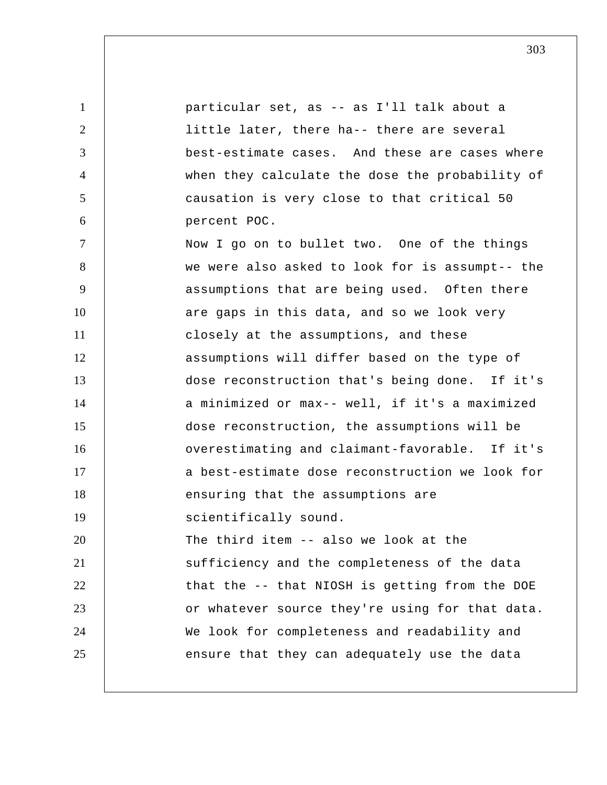1 2 3 4 5 6 7 8 9 10 11 12 13 14 15 16 17 18 19 20 21 22 23 24 25 particular set, as -- as I'll talk about a little later, there ha-- there are several best-estimate cases. And these are cases where when they calculate the dose the probability of causation is very close to that critical 50 percent POC. Now I go on to bullet two. One of the things we were also asked to look for is assumpt-- the assumptions that are being used. Often there are gaps in this data, and so we look very closely at the assumptions, and these assumptions will differ based on the type of dose reconstruction that's being done. If it's a minimized or max-- well, if it's a maximized dose reconstruction, the assumptions will be overestimating and claimant-favorable. If it's a best-estimate dose reconstruction we look for ensuring that the assumptions are scientifically sound. The third item -- also we look at the sufficiency and the completeness of the data that the -- that NIOSH is getting from the DOE or whatever source they're using for that data. We look for completeness and readability and ensure that they can adequately use the data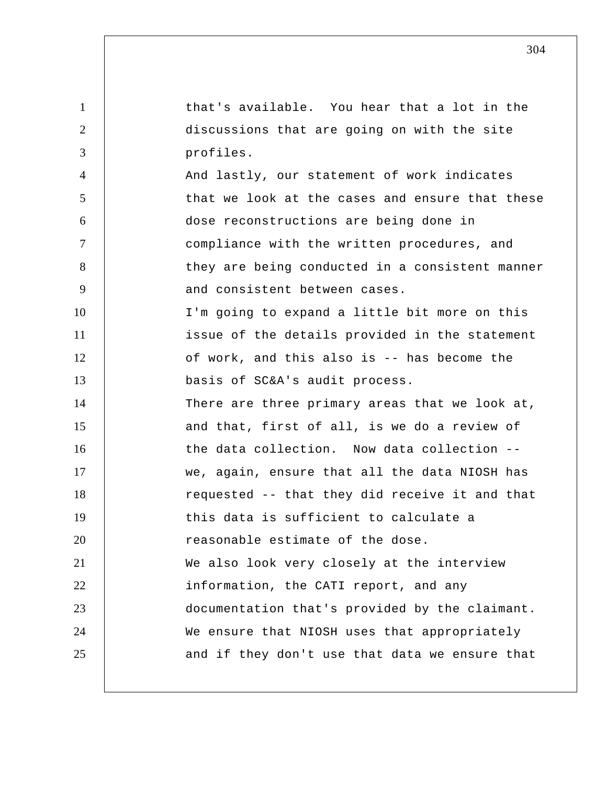1 2 3 4 5 6 7 8 9 10 11 12 13 14 15 16 17 18 19 20 21 22 23 24 25 that's available. You hear that a lot in the discussions that are going on with the site profiles. And lastly, our statement of work indicates that we look at the cases and ensure that these dose reconstructions are being done in compliance with the written procedures, and they are being conducted in a consistent manner and consistent between cases. I'm going to expand a little bit more on this issue of the details provided in the statement of work, and this also is -- has become the basis of SC&A's audit process. There are three primary areas that we look at, and that, first of all, is we do a review of the data collection. Now data collection - we, again, ensure that all the data NIOSH has requested -- that they did receive it and that this data is sufficient to calculate a reasonable estimate of the dose. We also look very closely at the interview information, the CATI report, and any documentation that's provided by the claimant. We ensure that NIOSH uses that appropriately and if they don't use that data we ensure that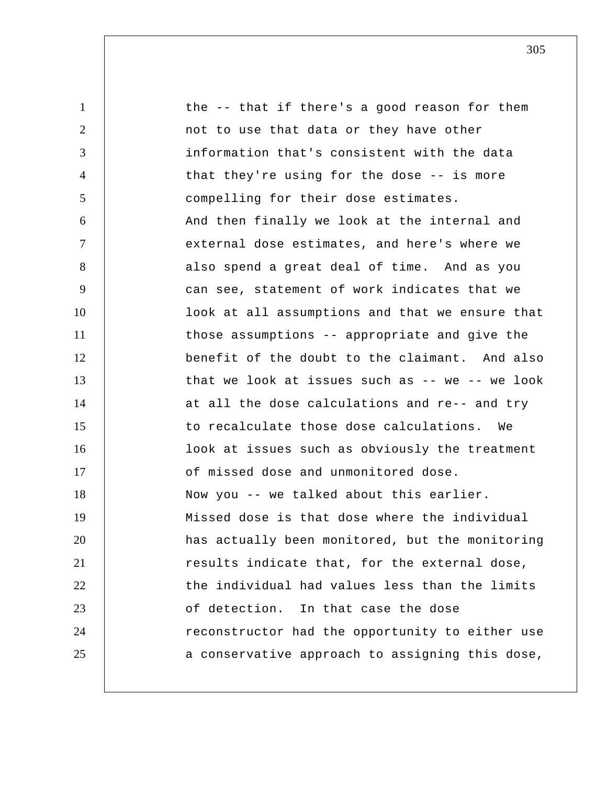1 2 3 4 5 6 7 8 9 10 11 12 13 14 15 16 17 18 19 20 21 22 23 24 25 the -- that if there's a good reason for them not to use that data or they have other information that's consistent with the data that they're using for the dose -- is more compelling for their dose estimates. And then finally we look at the internal and external dose estimates, and here's where we also spend a great deal of time. And as you can see, statement of work indicates that we look at all assumptions and that we ensure that those assumptions -- appropriate and give the benefit of the doubt to the claimant. And also that we look at issues such as -- we -- we look at all the dose calculations and re-- and try to recalculate those dose calculations. We look at issues such as obviously the treatment of missed dose and unmonitored dose. Now you -- we talked about this earlier. Missed dose is that dose where the individual has actually been monitored, but the monitoring results indicate that, for the external dose, the individual had values less than the limits of detection. In that case the dose reconstructor had the opportunity to either use a conservative approach to assigning this dose,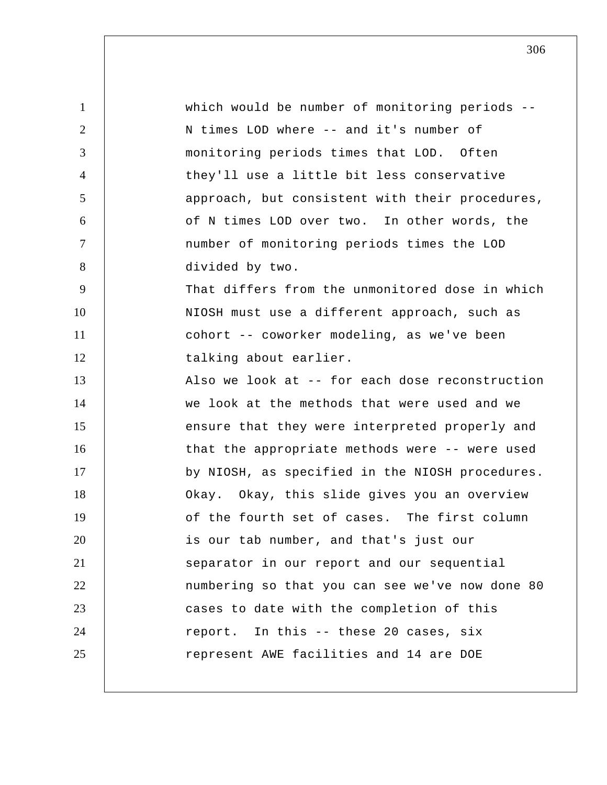| $\mathbf{1}$   | which would be number of monitoring periods --  |
|----------------|-------------------------------------------------|
| $\overline{2}$ | N times LOD where -- and it's number of         |
| 3              | monitoring periods times that LOD. Often        |
| $\overline{4}$ | they'll use a little bit less conservative      |
| 5              | approach, but consistent with their procedures, |
| 6              | of N times LOD over two. In other words, the    |
| $\overline{7}$ | number of monitoring periods times the LOD      |
| 8              | divided by two.                                 |
| 9              | That differs from the unmonitored dose in which |
| 10             | NIOSH must use a different approach, such as    |
| 11             | cohort -- coworker modeling, as we've been      |
| 12             | talking about earlier.                          |
| 13             | Also we look at -- for each dose reconstruction |
| 14             | we look at the methods that were used and we    |
| 15             | ensure that they were interpreted properly and  |
| 16             | that the appropriate methods were -- were used  |
| 17             | by NIOSH, as specified in the NIOSH procedures. |
| 18             | Okay. Okay, this slide gives you an overview    |
| 19             | of the fourth set of cases. The first column    |
| 20             | is our tab number, and that's just our          |
| 21             | separator in our report and our sequential      |
| 22             | numbering so that you can see we've now done 80 |
| 23             | cases to date with the completion of this       |
| 24             | report. In this -- these 20 cases, six          |
| 25             | represent AWE facilities and 14 are DOE         |
|                |                                                 |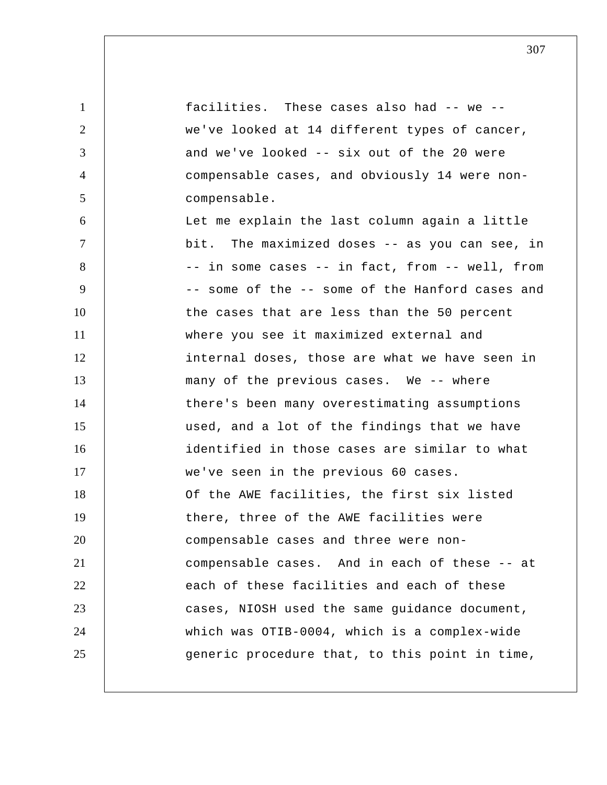1 2 3 4 5 6 7 8 9 10 11 12 13 14 15 16 17 18 19 20 21 22 23 24 25 facilities. These cases also had -- we - we've looked at 14 different types of cancer, and we've looked -- six out of the 20 were compensable cases, and obviously 14 were noncompensable. Let me explain the last column again a little bit. The maximized doses -- as you can see, in -- in some cases -- in fact, from -- well, from -- some of the -- some of the Hanford cases and the cases that are less than the 50 percent where you see it maximized external and internal doses, those are what we have seen in many of the previous cases. We -- where there's been many overestimating assumptions used, and a lot of the findings that we have identified in those cases are similar to what we've seen in the previous 60 cases. Of the AWE facilities, the first six listed there, three of the AWE facilities were compensable cases and three were noncompensable cases. And in each of these -- at each of these facilities and each of these cases, NIOSH used the same guidance document, which was OTIB-0004, which is a complex-wide generic procedure that, to this point in time,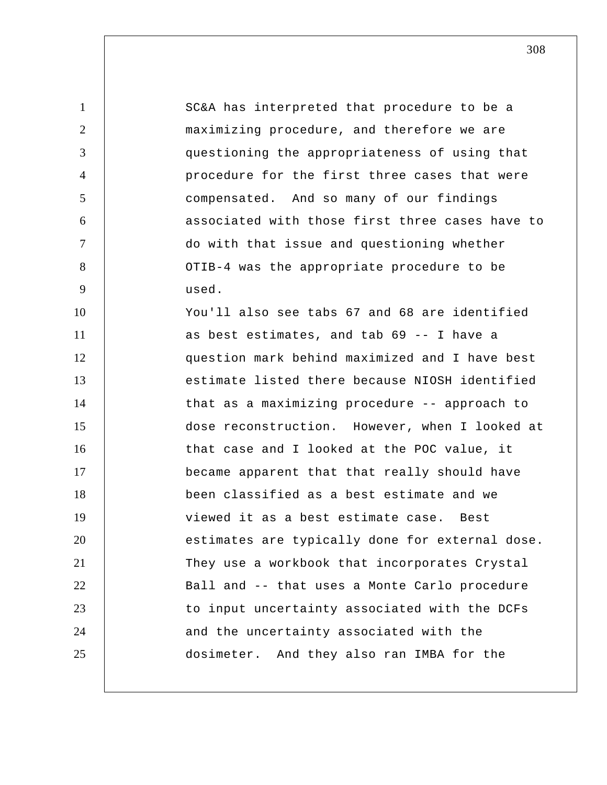1 2 3 4 5 6 7 8 9 10 11 12 13 14 15 16 17 18 19 20 21 22 23 24 25 SC&A has interpreted that procedure to be a maximizing procedure, and therefore we are questioning the appropriateness of using that procedure for the first three cases that were compensated. And so many of our findings associated with those first three cases have to do with that issue and questioning whether OTIB-4 was the appropriate procedure to be used. You'll also see tabs 67 and 68 are identified as best estimates, and tab 69 -- I have a question mark behind maximized and I have best estimate listed there because NIOSH identified that as a maximizing procedure -- approach to dose reconstruction. However, when I looked at that case and I looked at the POC value, it became apparent that that really should have been classified as a best estimate and we viewed it as a best estimate case. Best estimates are typically done for external dose. They use a workbook that incorporates Crystal Ball and -- that uses a Monte Carlo procedure to input uncertainty associated with the DCFs and the uncertainty associated with the dosimeter. And they also ran IMBA for the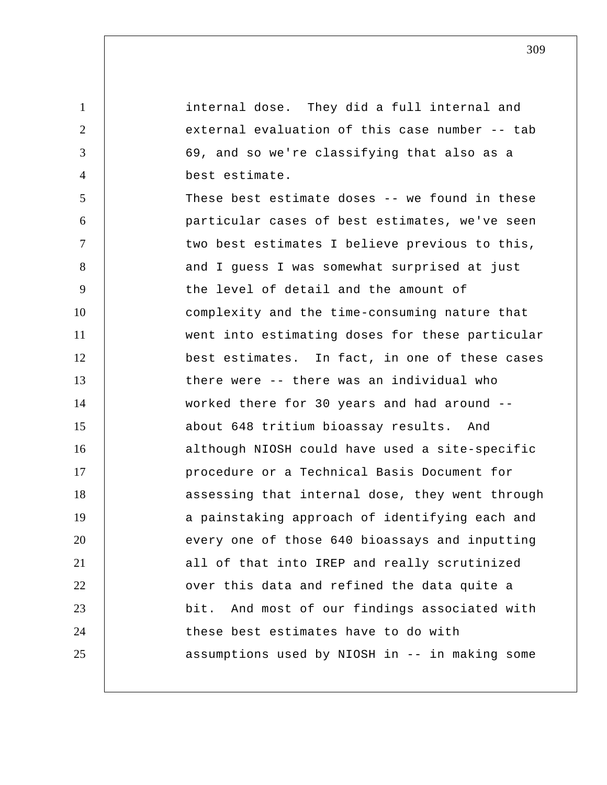internal dose. They did a full internal and external evaluation of this case number -- tab 69, and so we're classifying that also as a best estimate.

1

2

3

4

5 6 7 8 9 10 11 12 13 14 15 16 17 18 19 20 21 22 23 24 25 These best estimate doses -- we found in these particular cases of best estimates, we've seen two best estimates I believe previous to this, and I guess I was somewhat surprised at just the level of detail and the amount of complexity and the time-consuming nature that went into estimating doses for these particular best estimates. In fact, in one of these cases there were -- there was an individual who worked there for 30 years and had around - about 648 tritium bioassay results. And although NIOSH could have used a site-specific procedure or a Technical Basis Document for assessing that internal dose, they went through a painstaking approach of identifying each and every one of those 640 bioassays and inputting all of that into IREP and really scrutinized over this data and refined the data quite a bit. And most of our findings associated with these best estimates have to do with assumptions used by NIOSH in -- in making some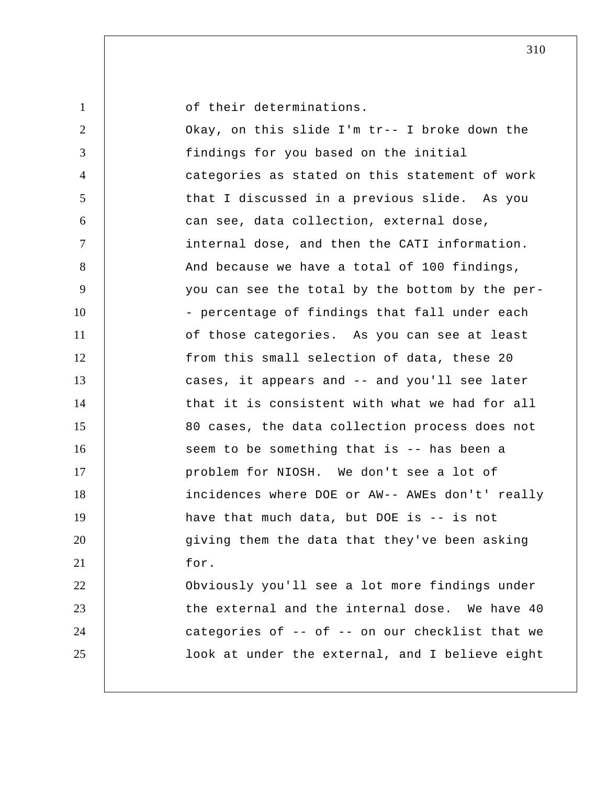| $\mathbf{1}$   | of their determinations.                        |
|----------------|-------------------------------------------------|
| $\overline{2}$ | Okay, on this slide I'm tr-- I broke down the   |
| 3              | findings for you based on the initial           |
| $\overline{4}$ | categories as stated on this statement of work  |
| 5              | that I discussed in a previous slide. As you    |
| 6              | can see, data collection, external dose,        |
| $\tau$         | internal dose, and then the CATI information.   |
| 8              | And because we have a total of 100 findings,    |
| 9              | you can see the total by the bottom by the per- |
| 10             | - percentage of findings that fall under each   |
| 11             | of those categories. As you can see at least    |
| 12             | from this small selection of data, these 20     |
| 13             | cases, it appears and -- and you'll see later   |
| 14             | that it is consistent with what we had for all  |
| 15             | 80 cases, the data collection process does not  |
| 16             | seem to be something that is -- has been a      |
| 17             | problem for NIOSH. We don't see a lot of        |
| 18             | incidences where DOE or AW-- AWEs don't' really |
| 19             | have that much data, but DOE is -- is not       |
| 20             | giving them the data that they've been asking   |
| 21             | for.                                            |
| 22             | Obviously you'll see a lot more findings under  |
| 23             | the external and the internal dose. We have 40  |
| 24             | categories of -- of -- on our checklist that we |
| 25             | look at under the external, and I believe eight |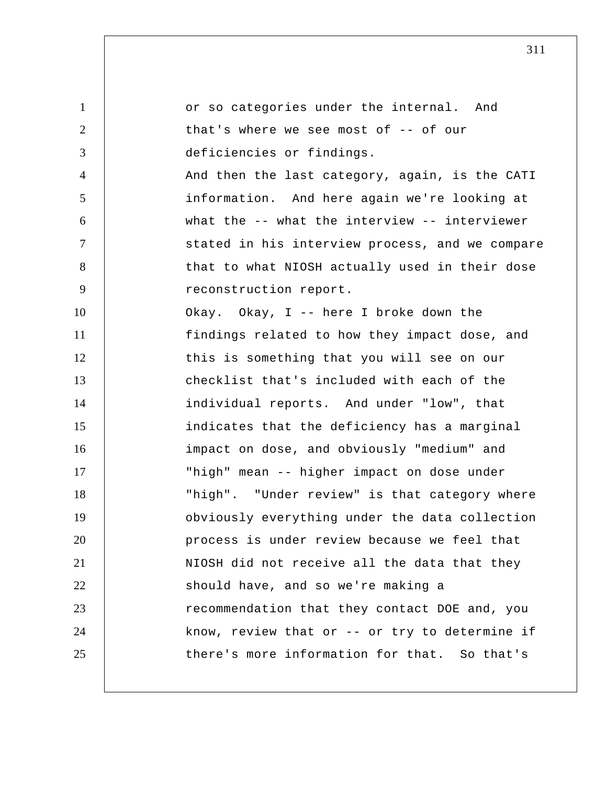1 2 3 4 5 6 7 8 9 10 11 12 13 14 15 16 17 18 19 20 21 22 23 24 25 or so categories under the internal. And that's where we see most of -- of our deficiencies or findings. And then the last category, again, is the CATI information. And here again we're looking at what the -- what the interview -- interviewer stated in his interview process, and we compare that to what NIOSH actually used in their dose reconstruction report. Okay. Okay, I -- here I broke down the findings related to how they impact dose, and this is something that you will see on our checklist that's included with each of the individual reports. And under "low", that indicates that the deficiency has a marginal impact on dose, and obviously "medium" and "high" mean -- higher impact on dose under "high". "Under review" is that category where obviously everything under the data collection process is under review because we feel that NIOSH did not receive all the data that they should have, and so we're making a recommendation that they contact DOE and, you know, review that or -- or try to determine if there's more information for that. So that's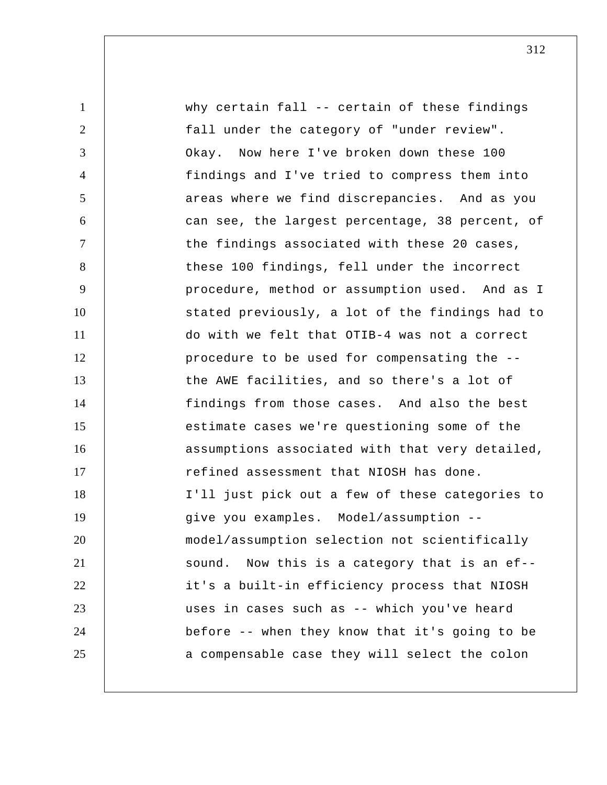| $\mathbf{1}$   | why certain fall -- certain of these findings    |
|----------------|--------------------------------------------------|
| 2              | fall under the category of "under review".       |
| 3              | Okay. Now here I've broken down these 100        |
| $\overline{4}$ | findings and I've tried to compress them into    |
| 5              | areas where we find discrepancies. And as you    |
| 6              | can see, the largest percentage, 38 percent, of  |
| $\tau$         | the findings associated with these 20 cases,     |
| 8              | these 100 findings, fell under the incorrect     |
| 9              | procedure, method or assumption used. And as I   |
| 10             | stated previously, a lot of the findings had to  |
| 11             | do with we felt that OTIB-4 was not a correct    |
| 12             | procedure to be used for compensating the --     |
| 13             | the AWE facilities, and so there's a lot of      |
| 14             | findings from those cases. And also the best     |
| 15             | estimate cases we're questioning some of the     |
| 16             | assumptions associated with that very detailed,  |
| 17             | refined assessment that NIOSH has done.          |
| 18             | I'll just pick out a few of these categories to  |
| 19             | give you examples. Model/assumption --           |
| 20             | model/assumption selection not scientifically    |
| 21             | Now this is a category that is an ef--<br>sound. |
| 22             | it's a built-in efficiency process that NIOSH    |
| 23             | uses in cases such as -- which you've heard      |
| 24             | before -- when they know that it's going to be   |
| 25             | a compensable case they will select the colon    |
|                |                                                  |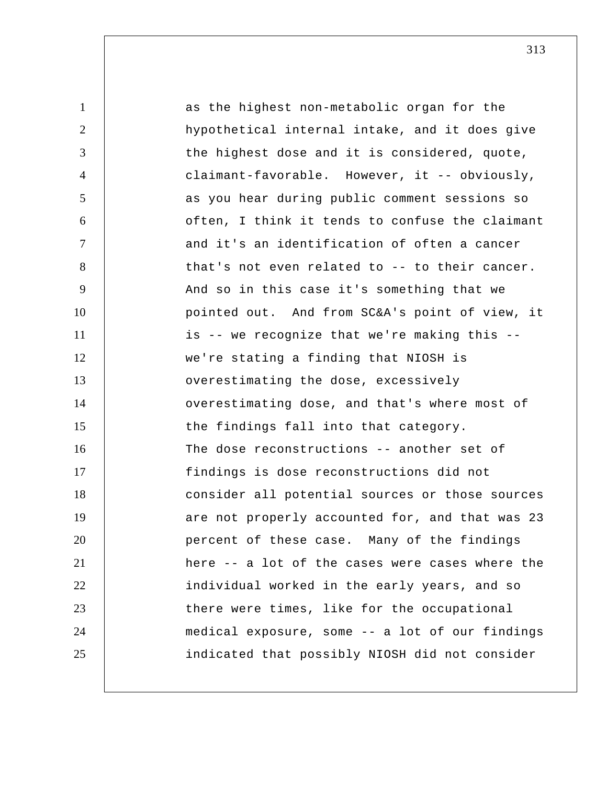1 2 3 4 5 6 7 8 9 10 11 12 13 14 15 16 17 18 19 20 21 22 23 24 25 as the highest non-metabolic organ for the hypothetical internal intake, and it does give the highest dose and it is considered, quote, claimant-favorable. However, it -- obviously, as you hear during public comment sessions so often, I think it tends to confuse the claimant and it's an identification of often a cancer that's not even related to -- to their cancer. And so in this case it's something that we pointed out. And from SC&A's point of view, it is -- we recognize that we're making this - we're stating a finding that NIOSH is overestimating the dose, excessively overestimating dose, and that's where most of the findings fall into that category. The dose reconstructions -- another set of findings is dose reconstructions did not consider all potential sources or those sources are not properly accounted for, and that was 23 percent of these case. Many of the findings here -- a lot of the cases were cases where the individual worked in the early years, and so there were times, like for the occupational medical exposure, some -- a lot of our findings indicated that possibly NIOSH did not consider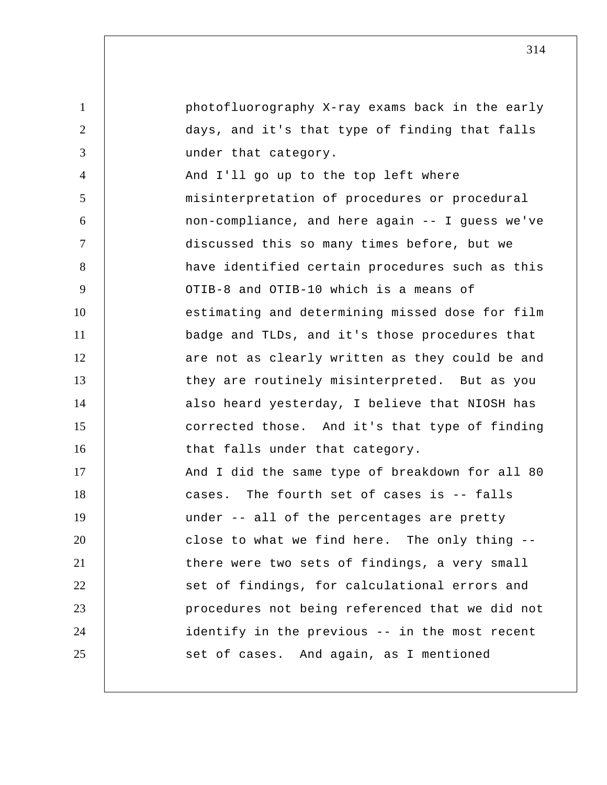1 2 3 4 5 6 7 8 9 10 11 12 13 14 15 16 17 18 19 20 21 22 23 24 25 photofluorography X-ray exams back in the early days, and it's that type of finding that falls under that category. And I'll go up to the top left where misinterpretation of procedures or procedural non-compliance, and here again -- I guess we've discussed this so many times before, but we have identified certain procedures such as this OTIB-8 and OTIB-10 which is a means of estimating and determining missed dose for film badge and TLDs, and it's those procedures that are not as clearly written as they could be and they are routinely misinterpreted. But as you also heard yesterday, I believe that NIOSH has corrected those. And it's that type of finding that falls under that category. And I did the same type of breakdown for all 80 cases. The fourth set of cases is -- falls under -- all of the percentages are pretty close to what we find here. The only thing - there were two sets of findings, a very small set of findings, for calculational errors and procedures not being referenced that we did not identify in the previous -- in the most recent set of cases. And again, as I mentioned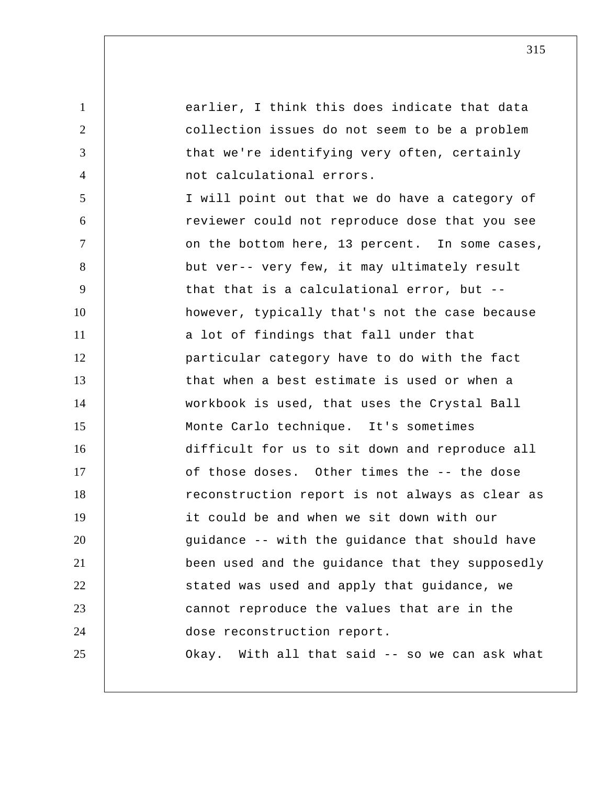1 2 3 4 5 6 7 8 9 10 11 12 13 14 15 16 17 18 19 20 21 22 23 24 25 earlier, I think this does indicate that data collection issues do not seem to be a problem that we're identifying very often, certainly not calculational errors. I will point out that we do have a category of reviewer could not reproduce dose that you see on the bottom here, 13 percent. In some cases, but ver-- very few, it may ultimately result that that is a calculational error, but - however, typically that's not the case because a lot of findings that fall under that particular category have to do with the fact that when a best estimate is used or when a workbook is used, that uses the Crystal Ball Monte Carlo technique. It's sometimes difficult for us to sit down and reproduce all of those doses. Other times the -- the dose reconstruction report is not always as clear as it could be and when we sit down with our guidance -- with the guidance that should have been used and the guidance that they supposedly stated was used and apply that guidance, we cannot reproduce the values that are in the dose reconstruction report. Okay. With all that said -- so we can ask what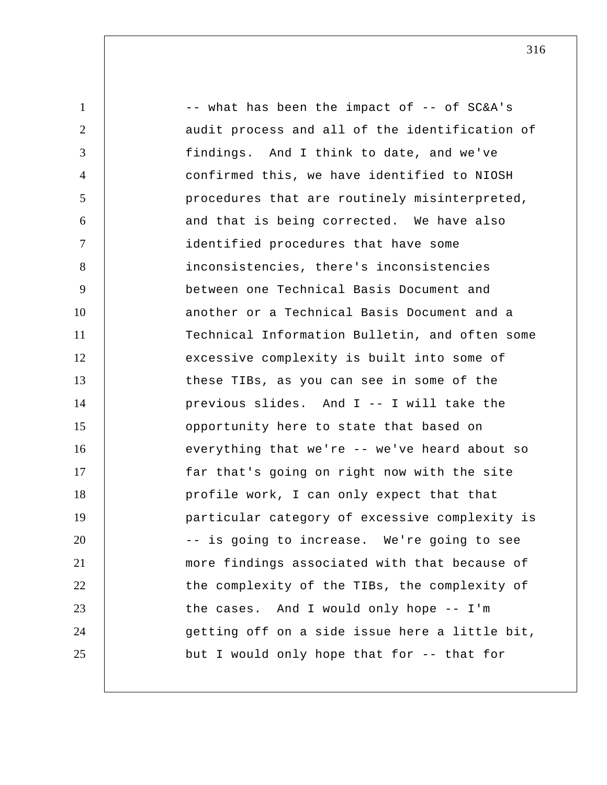1 2 3 4 5 6 7 8 9 10 11 12 13 14 15 16 17 18 19 20 21 22 23 24 25 -- what has been the impact of -- of SC&A's audit process and all of the identification of findings. And I think to date, and we've confirmed this, we have identified to NIOSH procedures that are routinely misinterpreted, and that is being corrected. We have also identified procedures that have some inconsistencies, there's inconsistencies between one Technical Basis Document and another or a Technical Basis Document and a Technical Information Bulletin, and often some excessive complexity is built into some of these TIBs, as you can see in some of the previous slides. And I -- I will take the opportunity here to state that based on everything that we're -- we've heard about so far that's going on right now with the site profile work, I can only expect that that particular category of excessive complexity is -- is going to increase. We're going to see more findings associated with that because of the complexity of the TIBs, the complexity of the cases. And I would only hope -- I'm getting off on a side issue here a little bit, but I would only hope that for -- that for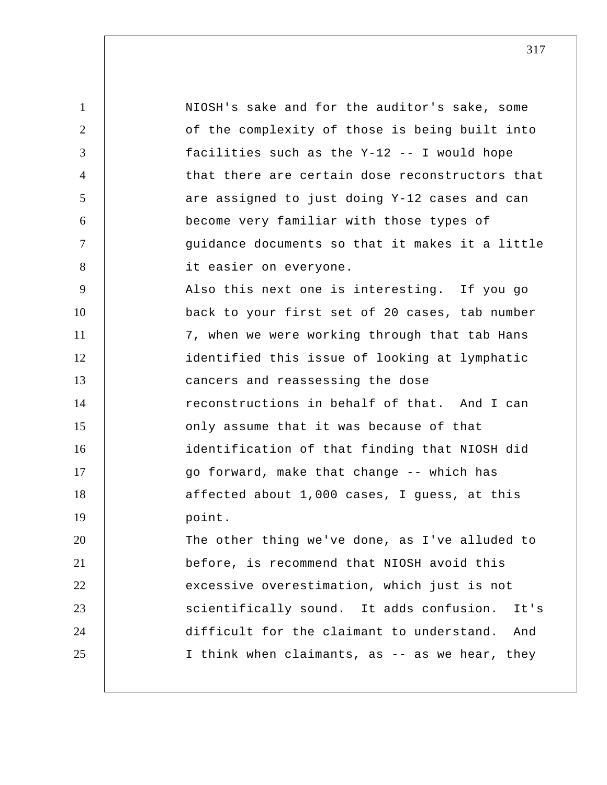1 2 3 4 5 6 7 8 9 10 11 12 13 14 15 16 17 18 19 20 21 22 23 24 25 NIOSH's sake and for the auditor's sake, some of the complexity of those is being built into facilities such as the Y-12 -- I would hope that there are certain dose reconstructors that are assigned to just doing Y-12 cases and can become very familiar with those types of guidance documents so that it makes it a little it easier on everyone. Also this next one is interesting. If you go back to your first set of 20 cases, tab number 7, when we were working through that tab Hans identified this issue of looking at lymphatic cancers and reassessing the dose reconstructions in behalf of that. And I can only assume that it was because of that identification of that finding that NIOSH did go forward, make that change -- which has affected about 1,000 cases, I guess, at this point. The other thing we've done, as I've alluded to before, is recommend that NIOSH avoid this excessive overestimation, which just is not scientifically sound. It adds confusion. It's difficult for the claimant to understand. And I think when claimants, as -- as we hear, they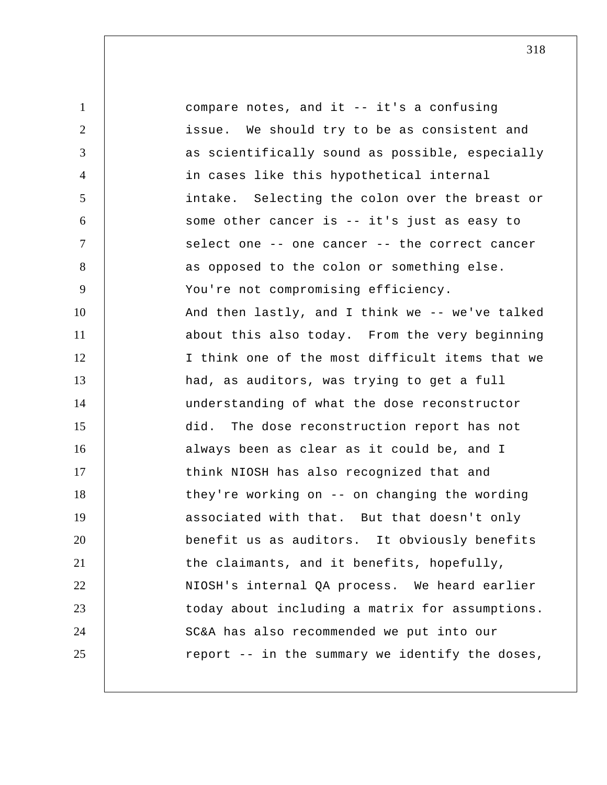1 2 3 4 5 6 7 8 9 10 11 12 13 14 15 16 17 18 19 20 21 22 23 24 25 compare notes, and it -- it's a confusing issue. We should try to be as consistent and as scientifically sound as possible, especially in cases like this hypothetical internal intake. Selecting the colon over the breast or some other cancer is -- it's just as easy to select one -- one cancer -- the correct cancer as opposed to the colon or something else. You're not compromising efficiency. And then lastly, and I think we -- we've talked about this also today. From the very beginning I think one of the most difficult items that we had, as auditors, was trying to get a full understanding of what the dose reconstructor did. The dose reconstruction report has not always been as clear as it could be, and I think NIOSH has also recognized that and they're working on -- on changing the wording associated with that. But that doesn't only benefit us as auditors. It obviously benefits the claimants, and it benefits, hopefully, NIOSH's internal QA process. We heard earlier today about including a matrix for assumptions. SC&A has also recommended we put into our report -- in the summary we identify the doses,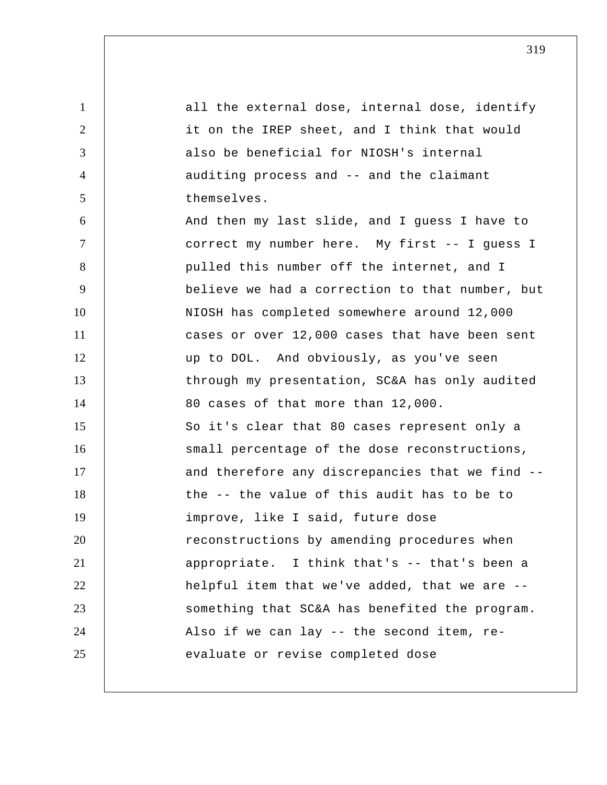1 2 3 4 5 6 7 8 9 10 11 12 13 14 15 16 17 18 19 20 21 22 23 24 25 all the external dose, internal dose, identify it on the IREP sheet, and I think that would also be beneficial for NIOSH's internal auditing process and -- and the claimant themselves. And then my last slide, and I guess I have to correct my number here. My first -- I guess I pulled this number off the internet, and I believe we had a correction to that number, but NIOSH has completed somewhere around 12,000 cases or over 12,000 cases that have been sent up to DOL. And obviously, as you've seen through my presentation, SC&A has only audited 80 cases of that more than 12,000. So it's clear that 80 cases represent only a small percentage of the dose reconstructions, and therefore any discrepancies that we find - the -- the value of this audit has to be to improve, like I said, future dose reconstructions by amending procedures when appropriate. I think that's -- that's been a helpful item that we've added, that we are - something that SC&A has benefited the program. Also if we can lay -- the second item, reevaluate or revise completed dose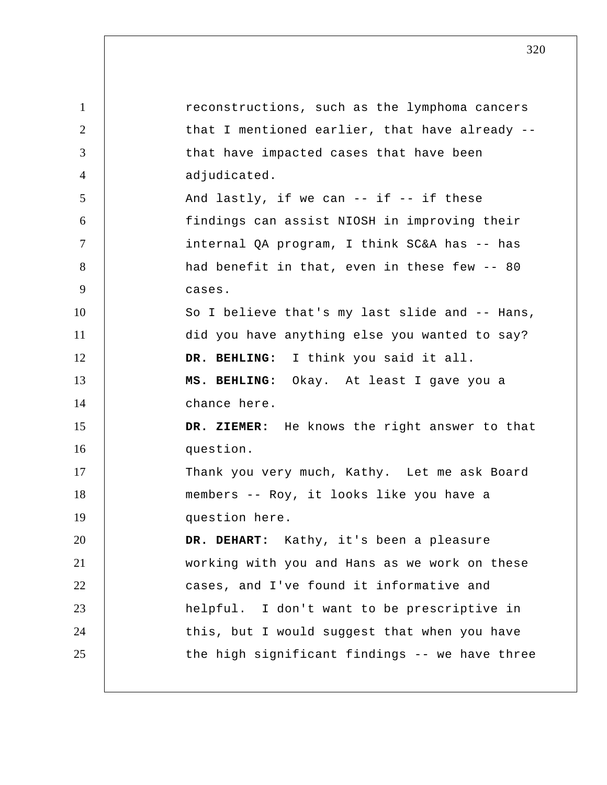1 2 3 4 5 6 7 8 9 10 11 12 13 14 15 16 17 18 19 20 21 22 23 24 25 reconstructions, such as the lymphoma cancers that I mentioned earlier, that have already - that have impacted cases that have been adjudicated. And lastly, if we can  $--$  if  $--$  if these findings can assist NIOSH in improving their internal QA program, I think SC&A has -- has had benefit in that, even in these few -- 80 cases. So I believe that's my last slide and -- Hans, did you have anything else you wanted to say?  **DR. BEHLING:** I think you said it all.  **MS. BEHLING:** Okay. At least I gave you a chance here.  **DR. ZIEMER:** He knows the right answer to that question. Thank you very much, Kathy. Let me ask Board members -- Roy, it looks like you have a question here.  **DR. DEHART:** Kathy, it's been a pleasure working with you and Hans as we work on these cases, and I've found it informative and helpful. I don't want to be prescriptive in this, but I would suggest that when you have the high significant findings -- we have three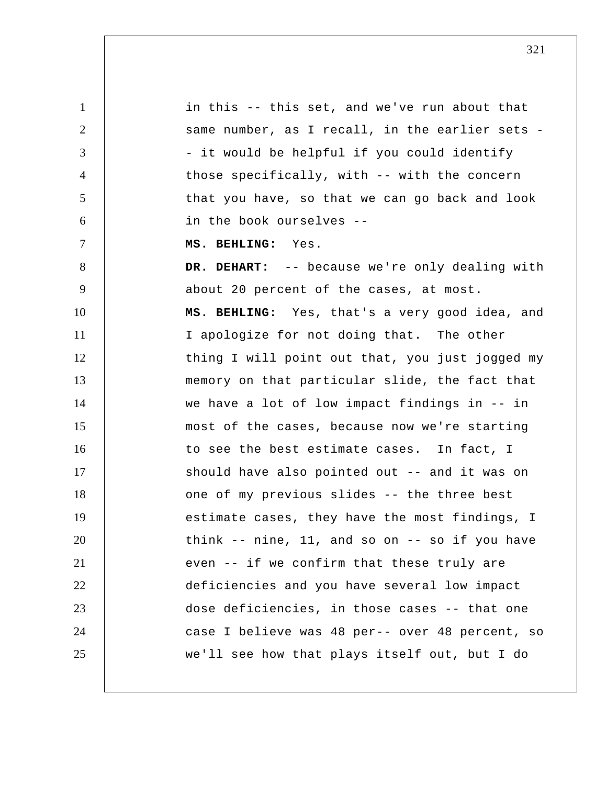1 2 3 4 5 6 7 8 9 10 11 12 13 14 15 16 17 18 19 20 21 22 23 24 25 in this -- this set, and we've run about that same number, as I recall, in the earlier sets -- it would be helpful if you could identify those specifically, with -- with the concern that you have, so that we can go back and look in the book ourselves --  **MS. BEHLING:** Yes.  **DR. DEHART:** -- because we're only dealing with about 20 percent of the cases, at most.  **MS. BEHLING:** Yes, that's a very good idea, and I apologize for not doing that. The other thing I will point out that, you just jogged my memory on that particular slide, the fact that we have a lot of low impact findings in -- in most of the cases, because now we're starting to see the best estimate cases. In fact, I should have also pointed out -- and it was on one of my previous slides -- the three best estimate cases, they have the most findings, I think -- nine, 11, and so on -- so if you have even -- if we confirm that these truly are deficiencies and you have several low impact dose deficiencies, in those cases -- that one case I believe was 48 per-- over 48 percent, so we'll see how that plays itself out, but I do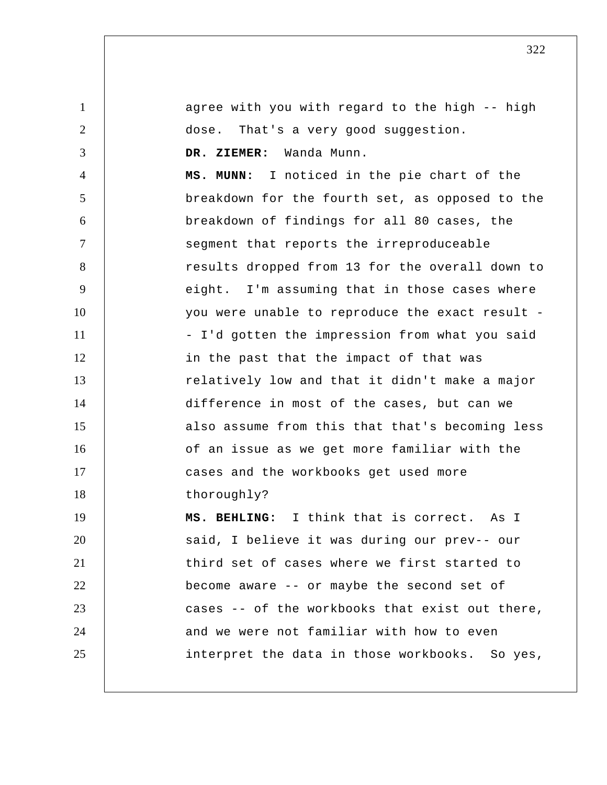1 2 3 4 5 6 7 8 9 10 11 12 13 14 15 16 17 18 19 20 21 22 23 24 25 agree with you with regard to the high -- high dose. That's a very good suggestion.  **DR. ZIEMER:** Wanda Munn.  **MS. MUNN:** I noticed in the pie chart of the breakdown for the fourth set, as opposed to the breakdown of findings for all 80 cases, the segment that reports the irreproduceable results dropped from 13 for the overall down to eight. I'm assuming that in those cases where you were unable to reproduce the exact result - I'd gotten the impression from what you said in the past that the impact of that was relatively low and that it didn't make a major difference in most of the cases, but can we also assume from this that that's becoming less of an issue as we get more familiar with the cases and the workbooks get used more thoroughly?  **MS. BEHLING:** I think that is correct. As I said, I believe it was during our prev-- our third set of cases where we first started to become aware -- or maybe the second set of cases -- of the workbooks that exist out there, and we were not familiar with how to even interpret the data in those workbooks. So yes,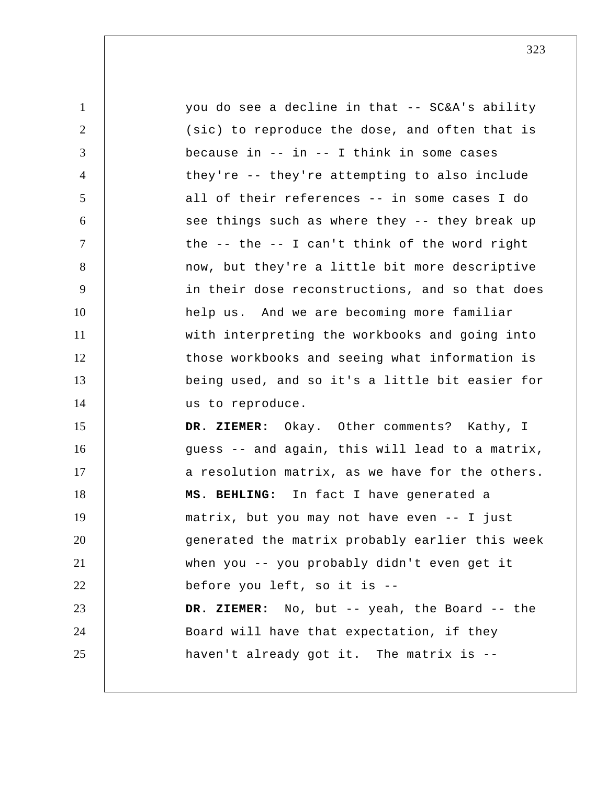| $\mathbf{1}$   | you do see a decline in that -- SC&A's ability    |
|----------------|---------------------------------------------------|
| 2              | (sic) to reproduce the dose, and often that is    |
| 3              | because in -- in -- I think in some cases         |
| $\overline{4}$ | they're -- they're attempting to also include     |
| 5              | all of their references -- in some cases I do     |
| 6              | see things such as where they -- they break up    |
| $\tau$         | the $--$ the $--$ I can't think of the word right |
| 8              | now, but they're a little bit more descriptive    |
| 9              | in their dose reconstructions, and so that does   |
| 10             | help us. And we are becoming more familiar        |
| 11             | with interpreting the workbooks and going into    |
| 12             | those workbooks and seeing what information is    |
| 13             | being used, and so it's a little bit easier for   |
| 14             | us to reproduce.                                  |
| 15             | DR. ZIEMER: Okay. Other comments? Kathy, I        |
| 16             | guess -- and again, this will lead to a matrix,   |
| 17             | a resolution matrix, as we have for the others.   |
| 18             | MS. BEHLING: In fact I have generated a           |
| 19             | matrix, but you may not have even -- I just       |
| 20             | generated the matrix probably earlier this week   |
| 21             | when you -- you probably didn't even get it       |
| 22             | before you left, so it is --                      |
| 23             | DR. ZIEMER: No, but -- yeah, the Board -- the     |
| 24             | Board will have that expectation, if they         |
| 25             | haven't already got it. The matrix is --          |
|                |                                                   |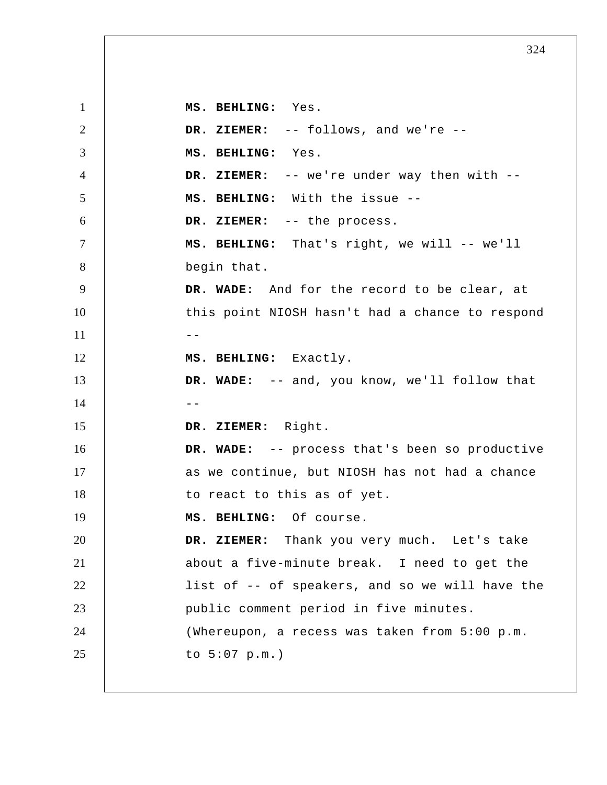1 2 3 4 5 6 7 8 9 10  $11$   $-$ 12 13  $14$  --15 16 17 18 19 20 21 22 23 24 25  **MS. BEHLING:** Yes.  **DR. ZIEMER:** -- follows, and we're --  **MS. BEHLING:** Yes.  **DR. ZIEMER:** -- we're under way then with --  **MS. BEHLING:** With the issue -- **DR. ZIEMER:** -- the process.  **MS. BEHLING:** That's right, we will -- we'll begin that.  **DR. WADE:** And for the record to be clear, at this point NIOSH hasn't had a chance to respond  **MS. BEHLING:** Exactly.  **DR. WADE:** -- and, you know, we'll follow that  **DR. ZIEMER:** Right.  **DR. WADE:** -- process that's been so productive as we continue, but NIOSH has not had a chance to react to this as of yet.  **MS. BEHLING:** Of course.  **DR. ZIEMER:** Thank you very much. Let's take about a five-minute break. I need to get the list of -- of speakers, and so we will have the public comment period in five minutes. (Whereupon, a recess was taken from 5:00 p.m. to 5:07 p.m.)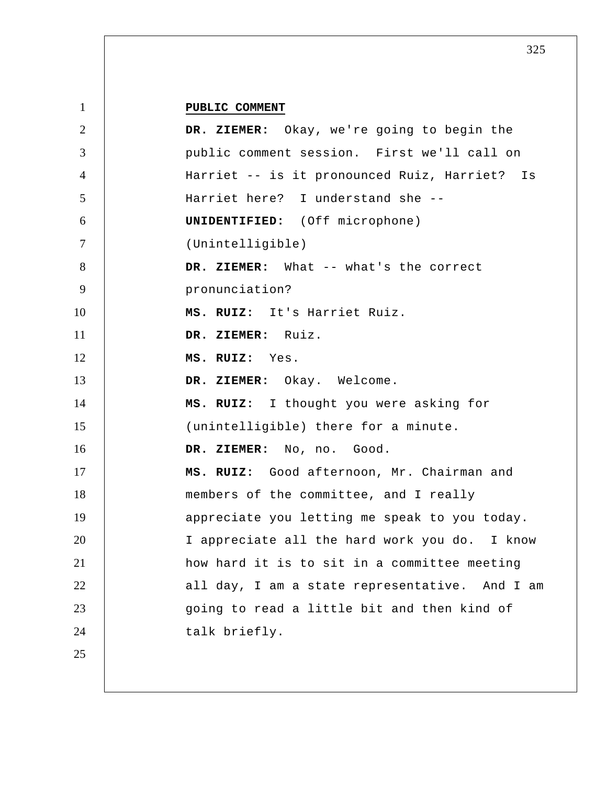| 1              | PUBLIC COMMENT                                 |
|----------------|------------------------------------------------|
| 2              | DR. ZIEMER: Okay, we're going to begin the     |
| 3              | public comment session. First we'll call on    |
| $\overline{4}$ | Harriet -- is it pronounced Ruiz, Harriet? Is  |
| 5              | Harriet here? I understand she --              |
| 6              | <b>UNIDENTIFIED:</b> (Off microphone)          |
| $\overline{7}$ | (Unintelligible)                               |
| 8              | DR. ZIEMER: What -- what's the correct         |
| 9              | pronunciation?                                 |
| 10             | MS. RUIZ: It's Harriet Ruiz.                   |
| 11             | DR. ZIEMER: Ruiz.                              |
| 12             | MS. RUIZ: Yes.                                 |
| 13             | DR. ZIEMER: Okay. Welcome.                     |
| 14             | MS. RUIZ: I thought you were asking for        |
| 15             | (unintelligible) there for a minute.           |
| 16             | DR. ZIEMER: No, no. Good.                      |
| 17             | MS. RUIZ: Good afternoon, Mr. Chairman and     |
| 18             | members of the committee, and I really         |
| 19             | appreciate you letting me speak to you today.  |
| 20             | I appreciate all the hard work you do. I know  |
| 21             | how hard it is to sit in a committee meeting   |
| 22             | all day, I am a state representative. And I am |
| 23             | going to read a little bit and then kind of    |
| 24             | talk briefly.                                  |
| 25             |                                                |
|                |                                                |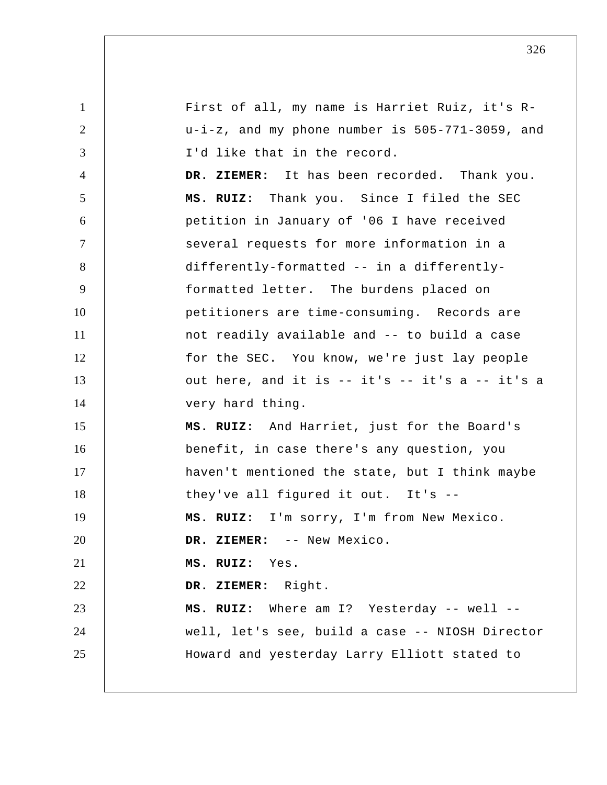1 2 3 4 5 6 7 8 9 10 11 12 13 14 15 16 17 18 19 20 21 22 23 24 25 First of all, my name is Harriet Ruiz, it's Ru-i-z, and my phone number is 505-771-3059, and I'd like that in the record.  **DR. ZIEMER:** It has been recorded. Thank you.  **MS. RUIZ:** Thank you. Since I filed the SEC petition in January of '06 I have received several requests for more information in a differently-formatted -- in a differently formatted letter. The burdens placed on petitioners are time-consuming. Records are not readily available and -- to build a case for the SEC. You know, we're just lay people out here, and it is -- it's -- it's a -- it's a very hard thing.  **MS. RUIZ:** And Harriet, just for the Board's benefit, in case there's any question, you haven't mentioned the state, but I think maybe they've all figured it out. It's --  **MS. RUIZ:** I'm sorry, I'm from New Mexico.  **DR. ZIEMER:** -- New Mexico.  **MS. RUIZ:** Yes.  **DR. ZIEMER:** Right.  **MS. RUIZ:** Where am I? Yesterday -- well - well, let's see, build a case -- NIOSH Director Howard and yesterday Larry Elliott stated to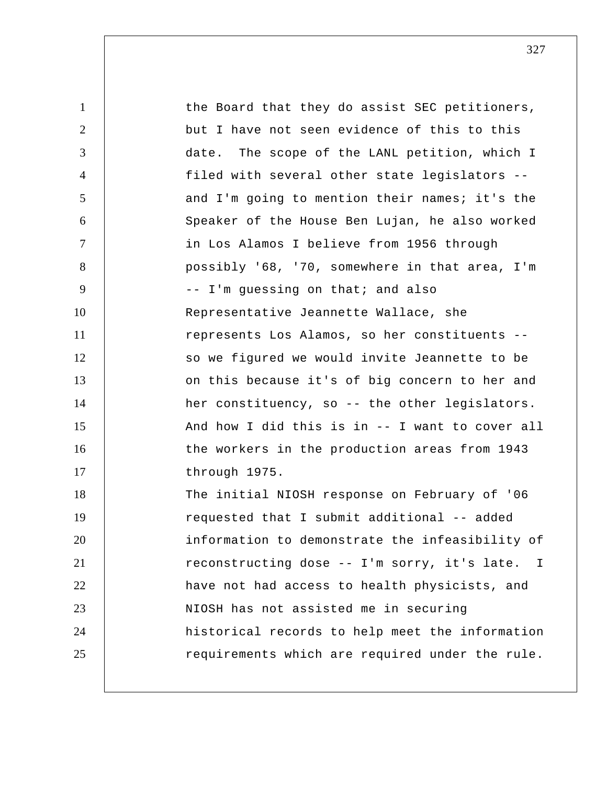1 2 3 4 5 6 7 8 9 10 11 12 13 14 15 16 17 18 19 20 21 22 23 24 25 the Board that they do assist SEC petitioners, but I have not seen evidence of this to this date. The scope of the LANL petition, which I filed with several other state legislators - and I'm going to mention their names; it's the Speaker of the House Ben Lujan, he also worked in Los Alamos I believe from 1956 through possibly '68, '70, somewhere in that area, I'm -- I'm guessing on that; and also Representative Jeannette Wallace, she represents Los Alamos, so her constituents - so we figured we would invite Jeannette to be on this because it's of big concern to her and her constituency, so -- the other legislators. And how I did this is in -- I want to cover all the workers in the production areas from 1943 through 1975. The initial NIOSH response on February of '06 requested that I submit additional -- added information to demonstrate the infeasibility of reconstructing dose -- I'm sorry, it's late. I have not had access to health physicists, and NIOSH has not assisted me in securing historical records to help meet the information requirements which are required under the rule.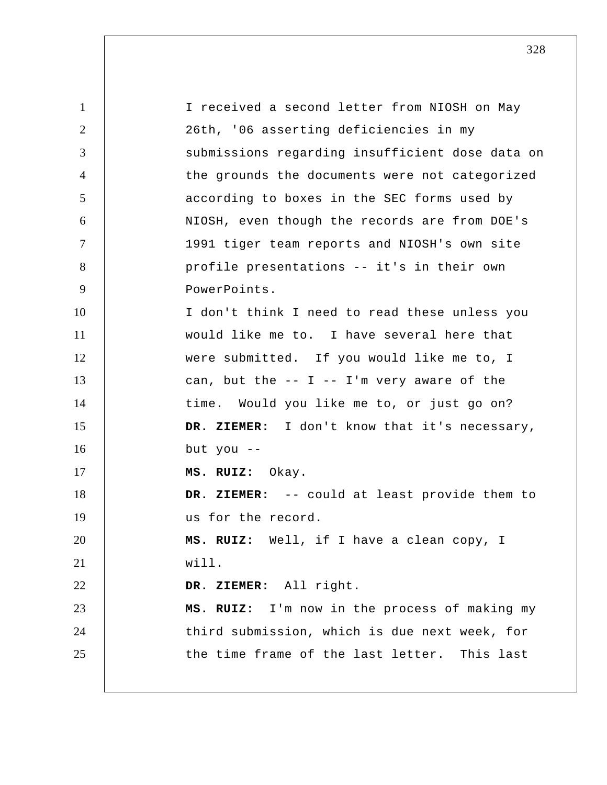1 2 3 4 5 6 7 8 9 10 11 12 13 14 15 16 17 18 19 20 21 22 23 24 25 I received a second letter from NIOSH on May 26th, '06 asserting deficiencies in my submissions regarding insufficient dose data on the grounds the documents were not categorized according to boxes in the SEC forms used by NIOSH, even though the records are from DOE's 1991 tiger team reports and NIOSH's own site profile presentations -- it's in their own PowerPoints. I don't think I need to read these unless you would like me to. I have several here that were submitted. If you would like me to, I can, but the  $-$ - I  $-$  I'm very aware of the time. Would you like me to, or just go on?  **DR. ZIEMER:** I don't know that it's necessary, but you --  **MS. RUIZ:** Okay.  **DR. ZIEMER:** -- could at least provide them to us for the record.  **MS. RUIZ:** Well, if I have a clean copy, I will.  **DR. ZIEMER:** All right.  **MS. RUIZ:** I'm now in the process of making my third submission, which is due next week, for the time frame of the last letter. This last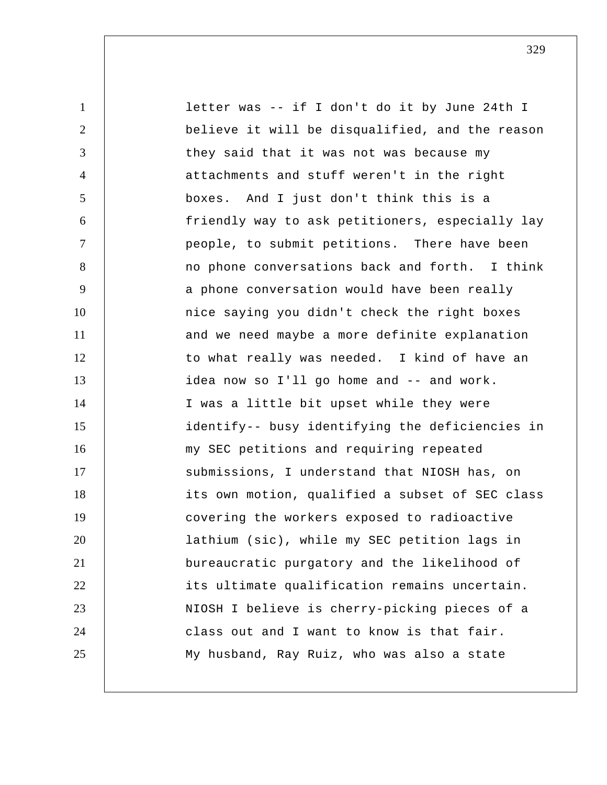| $\mathbf{1}$   | letter was -- if I don't do it by June 24th I   |
|----------------|-------------------------------------------------|
| 2              | believe it will be disqualified, and the reason |
| 3              | they said that it was not was because my        |
| $\overline{4}$ | attachments and stuff weren't in the right      |
| 5              | boxes. And I just don't think this is a         |
| 6              | friendly way to ask petitioners, especially lay |
| $\overline{7}$ | people, to submit petitions. There have been    |
| 8              | no phone conversations back and forth. I think  |
| 9              | a phone conversation would have been really     |
| 10             | nice saying you didn't check the right boxes    |
| 11             | and we need maybe a more definite explanation   |
| 12             | to what really was needed. I kind of have an    |
| 13             | idea now so I'll go home and -- and work.       |
| 14             | I was a little bit upset while they were        |
| 15             | identify-- busy identifying the deficiencies in |
| 16             | my SEC petitions and requiring repeated         |
| 17             | submissions, I understand that NIOSH has, on    |
| 18             | its own motion, qualified a subset of SEC class |
| 19             | covering the workers exposed to radioactive     |
| 20             | lathium (sic), while my SEC petition lags in    |
| 21             | bureaucratic purgatory and the likelihood of    |
| 22             | its ultimate qualification remains uncertain.   |
| 23             | NIOSH I believe is cherry-picking pieces of a   |
| 24             | class out and I want to know is that fair.      |
| 25             | My husband, Ray Ruiz, who was also a state      |
|                |                                                 |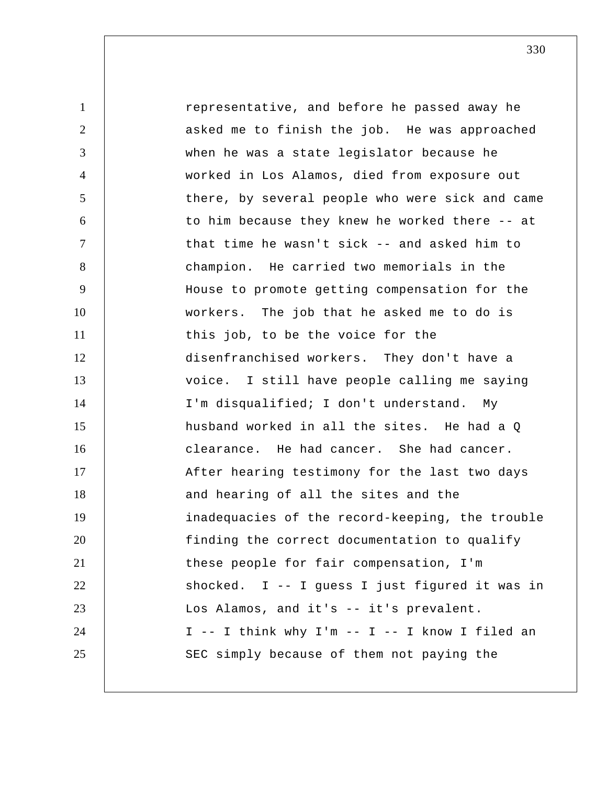1 2 3 4 5 6 7 8 9 10 11 12 13 14 15 16 17 18 19 20 21 22 23 24 25 representative, and before he passed away he asked me to finish the job. He was approached when he was a state legislator because he worked in Los Alamos, died from exposure out there, by several people who were sick and came to him because they knew he worked there -- at that time he wasn't sick -- and asked him to champion. He carried two memorials in the House to promote getting compensation for the workers. The job that he asked me to do is this job, to be the voice for the disenfranchised workers. They don't have a voice. I still have people calling me saying I'm disqualified; I don't understand. My husband worked in all the sites. He had a Q clearance. He had cancer. She had cancer. After hearing testimony for the last two days and hearing of all the sites and the inadequacies of the record-keeping, the trouble finding the correct documentation to qualify these people for fair compensation, I'm shocked. I -- I guess I just figured it was in Los Alamos, and it's -- it's prevalent. I -- I think why I'm -- I -- I know I filed an SEC simply because of them not paying the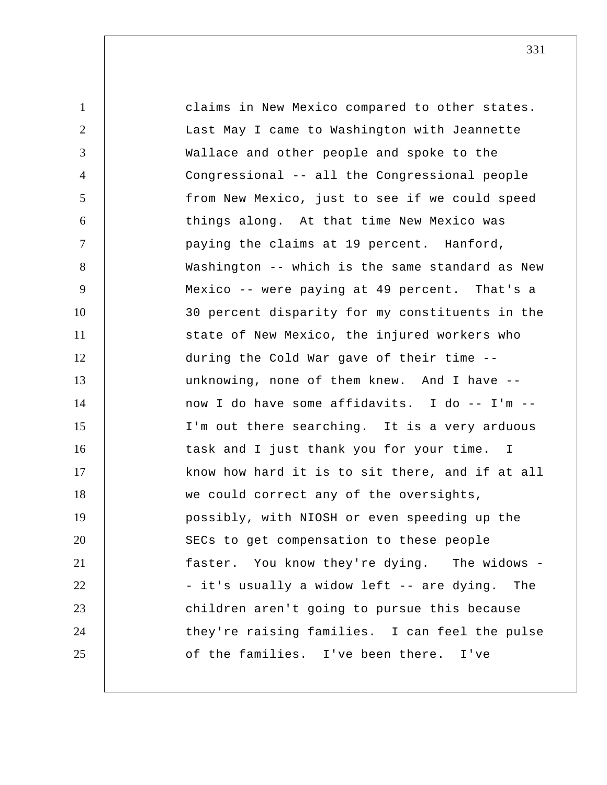1 2 3 4 5 6 7 8 9 10 11 12 13 14 15 16 17 18 19 20 21 22 23 24 25 claims in New Mexico compared to other states. Last May I came to Washington with Jeannette Wallace and other people and spoke to the Congressional -- all the Congressional people from New Mexico, just to see if we could speed things along. At that time New Mexico was paying the claims at 19 percent. Hanford, Washington -- which is the same standard as New Mexico -- were paying at 49 percent. That's a 30 percent disparity for my constituents in the state of New Mexico, the injured workers who during the Cold War gave of their time - unknowing, none of them knew. And I have -now I do have some affidavits. I do -- I'm -- I'm out there searching. It is a very arduous task and I just thank you for your time. I know how hard it is to sit there, and if at all we could correct any of the oversights, possibly, with NIOSH or even speeding up the SECs to get compensation to these people faster. You know they're dying. The widows - it's usually a widow left -- are dying. The children aren't going to pursue this because they're raising families. I can feel the pulse of the families. I've been there. I've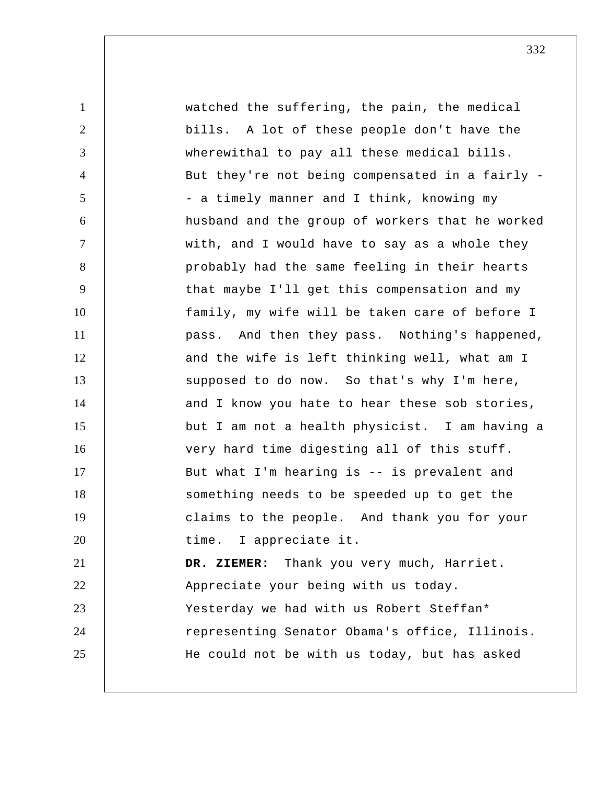| $\mathbf{1}$   | watched the suffering, the pain, the medical    |
|----------------|-------------------------------------------------|
| $\overline{2}$ | bills. A lot of these people don't have the     |
| 3              | wherewithal to pay all these medical bills.     |
| $\overline{4}$ | But they're not being compensated in a fairly - |
| 5              | - a timely manner and I think, knowing my       |
| 6              | husband and the group of workers that he worked |
| $\overline{7}$ | with, and I would have to say as a whole they   |
| 8              | probably had the same feeling in their hearts   |
| 9              | that maybe I'll get this compensation and my    |
| 10             | family, my wife will be taken care of before I  |
| 11             | pass. And then they pass. Nothing's happened,   |
| 12             | and the wife is left thinking well, what am I   |
| 13             | supposed to do now. So that's why I'm here,     |
| 14             | and I know you hate to hear these sob stories,  |
| 15             | but I am not a health physicist. I am having a  |
| 16             | very hard time digesting all of this stuff.     |
| 17             | But what I'm hearing is -- is prevalent and     |
| 18             | something needs to be speeded up to get the     |
| 19             | claims to the people. And thank you for your    |
| 20             | time. I appreciate it.                          |
| 21             | Thank you very much, Harriet.<br>DR. ZIEMER:    |
| 22             | Appreciate your being with us today.            |
| 23             | Yesterday we had with us Robert Steffan*        |
| 24             | representing Senator Obama's office, Illinois.  |
| 25             | He could not be with us today, but has asked    |
|                |                                                 |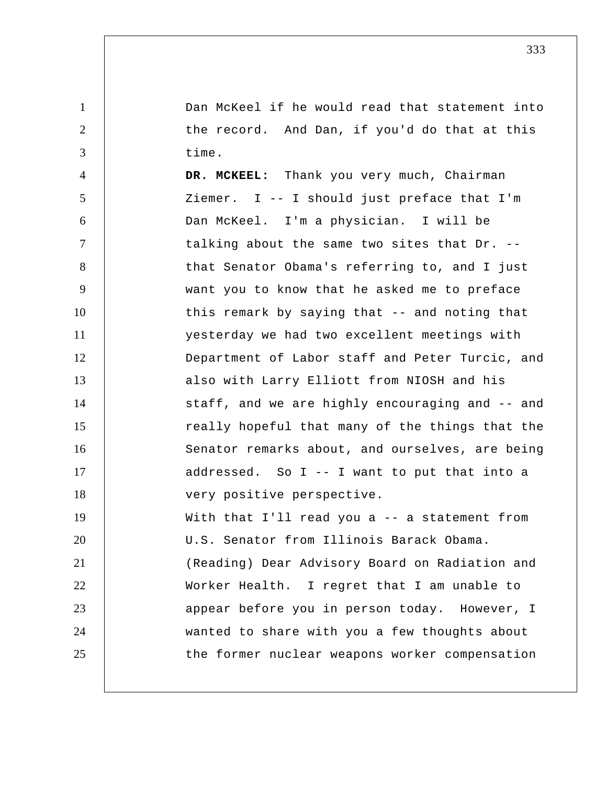Dan McKeel if he would read that statement into the record. And Dan, if you'd do that at this time.

1

2

3

4 5 6 7 8 9 10 11 12 13 14 15 16 17 18 19 20 21 22 23 24 25  **DR. MCKEEL:** Thank you very much, Chairman Ziemer. I -- I should just preface that I'm Dan McKeel. I'm a physician. I will be talking about the same two sites that Dr. - that Senator Obama's referring to, and I just want you to know that he asked me to preface this remark by saying that -- and noting that yesterday we had two excellent meetings with Department of Labor staff and Peter Turcic, and also with Larry Elliott from NIOSH and his staff, and we are highly encouraging and -- and really hopeful that many of the things that the Senator remarks about, and ourselves, are being addressed. So I -- I want to put that into a very positive perspective. With that I'll read you a -- a statement from U.S. Senator from Illinois Barack Obama. (Reading) Dear Advisory Board on Radiation and Worker Health. I regret that I am unable to appear before you in person today. However, I wanted to share with you a few thoughts about the former nuclear weapons worker compensation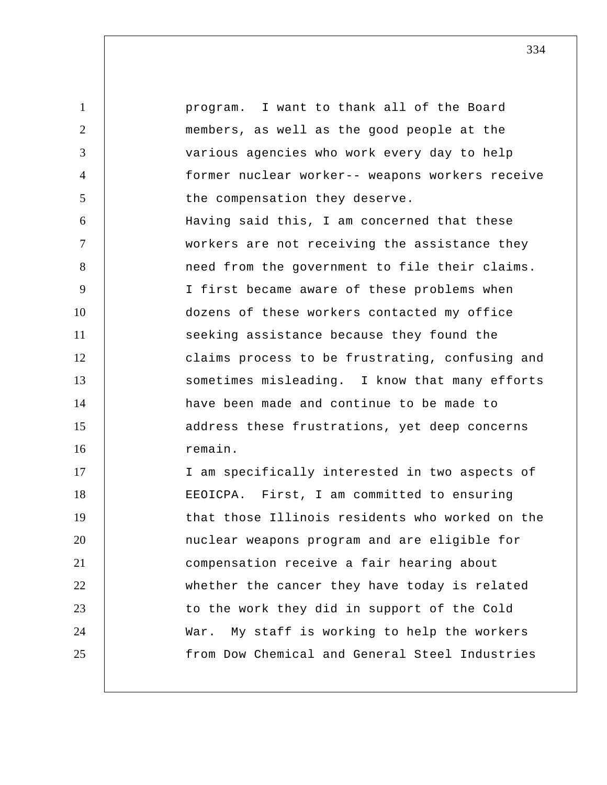1 2 3 4 5 6 7 8 9 10 11 12 13 14 15 16 17 18 19 20 21 22 23 24 25 program. I want to thank all of the Board members, as well as the good people at the various agencies who work every day to help former nuclear worker-- weapons workers receive the compensation they deserve. Having said this, I am concerned that these workers are not receiving the assistance they need from the government to file their claims. I first became aware of these problems when dozens of these workers contacted my office seeking assistance because they found the claims process to be frustrating, confusing and sometimes misleading. I know that many efforts have been made and continue to be made to address these frustrations, yet deep concerns remain. I am specifically interested in two aspects of EEOICPA. First, I am committed to ensuring that those Illinois residents who worked on the nuclear weapons program and are eligible for compensation receive a fair hearing about whether the cancer they have today is related to the work they did in support of the Cold War. My staff is working to help the workers from Dow Chemical and General Steel Industries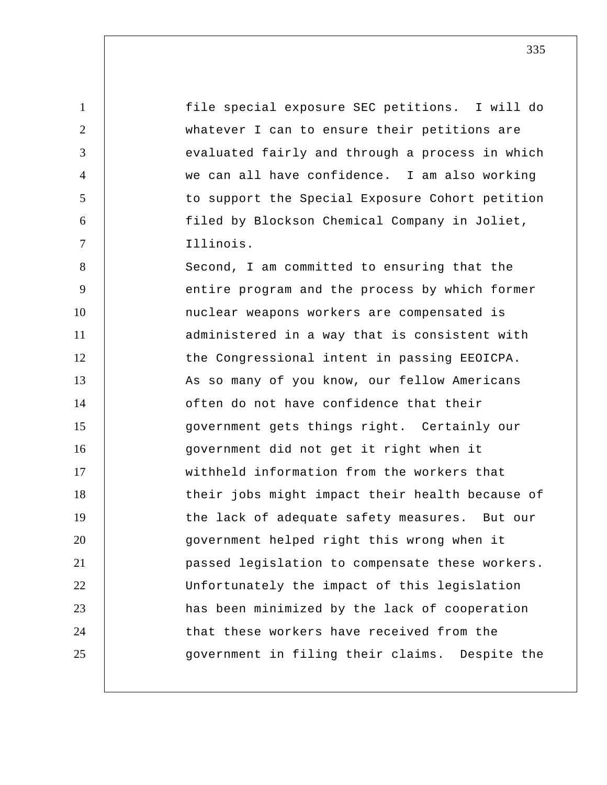1 2 3 4 5 6 7 8 9 10 11 12 13 14 15 16 17 18 19 20 21 22 23 24 25 file special exposure SEC petitions. I will do whatever I can to ensure their petitions are evaluated fairly and through a process in which we can all have confidence. I am also working to support the Special Exposure Cohort petition filed by Blockson Chemical Company in Joliet, Illinois. Second, I am committed to ensuring that the entire program and the process by which former nuclear weapons workers are compensated is administered in a way that is consistent with the Congressional intent in passing EEOICPA. As so many of you know, our fellow Americans often do not have confidence that their government gets things right. Certainly our government did not get it right when it withheld information from the workers that their jobs might impact their health because of the lack of adequate safety measures. But our government helped right this wrong when it passed legislation to compensate these workers. Unfortunately the impact of this legislation has been minimized by the lack of cooperation that these workers have received from the government in filing their claims. Despite the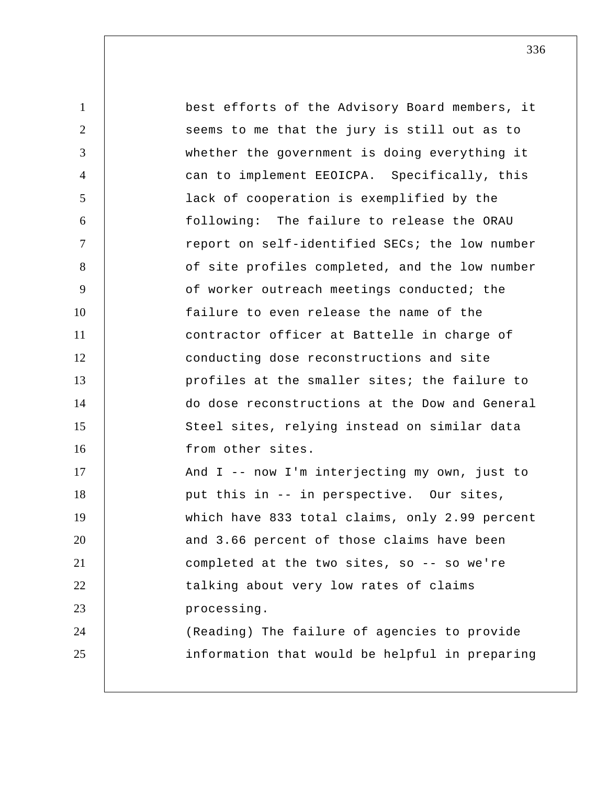1 2 3 4 5 6 7 8 9 10 11 12 13 14 15 16 17 18 19 20 21 22 23 24 25 best efforts of the Advisory Board members, it seems to me that the jury is still out as to whether the government is doing everything it can to implement EEOICPA. Specifically, this lack of cooperation is exemplified by the following: The failure to release the ORAU report on self-identified SECs; the low number of site profiles completed, and the low number of worker outreach meetings conducted; the failure to even release the name of the contractor officer at Battelle in charge of conducting dose reconstructions and site profiles at the smaller sites; the failure to do dose reconstructions at the Dow and General Steel sites, relying instead on similar data from other sites. And I -- now I'm interjecting my own, just to put this in -- in perspective. Our sites, which have 833 total claims, only 2.99 percent and 3.66 percent of those claims have been completed at the two sites, so -- so we're talking about very low rates of claims processing. (Reading) The failure of agencies to provide information that would be helpful in preparing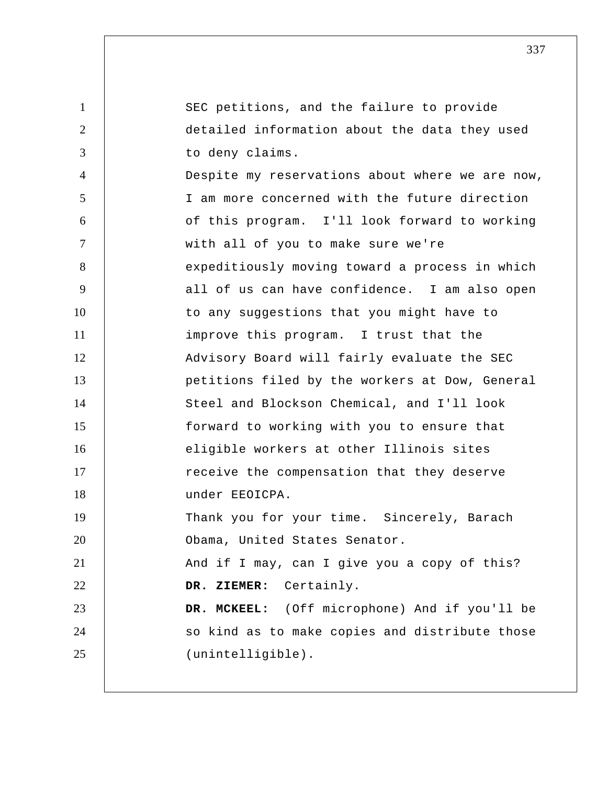| $\mathbf{1}$   | SEC petitions, and the failure to provide       |
|----------------|-------------------------------------------------|
| 2              | detailed information about the data they used   |
| 3              | to deny claims.                                 |
| $\overline{4}$ | Despite my reservations about where we are now, |
| 5              | I am more concerned with the future direction   |
| 6              | of this program. I'll look forward to working   |
| $\overline{7}$ | with all of you to make sure we're              |
| 8              | expeditiously moving toward a process in which  |
| 9              | all of us can have confidence. I am also open   |
| 10             | to any suggestions that you might have to       |
| 11             | improve this program. I trust that the          |
| 12             | Advisory Board will fairly evaluate the SEC     |
| 13             | petitions filed by the workers at Dow, General  |
| 14             | Steel and Blockson Chemical, and I'll look      |
| 15             | forward to working with you to ensure that      |
| 16             | eligible workers at other Illinois sites        |
| 17             | receive the compensation that they deserve      |
| 18             | under EEOICPA.                                  |
| 19             | Thank you for your time. Sincerely, Barach      |
| 20             | Obama, United States Senator.                   |
| 21             | And if I may, can I give you a copy of this?    |
| 22             | Certainly.<br>DR. ZIEMER:                       |
| 23             | DR. MCKEEL: (Off microphone) And if you'll be   |
| 24             | so kind as to make copies and distribute those  |
| 25             | (unintelligible).                               |
|                |                                                 |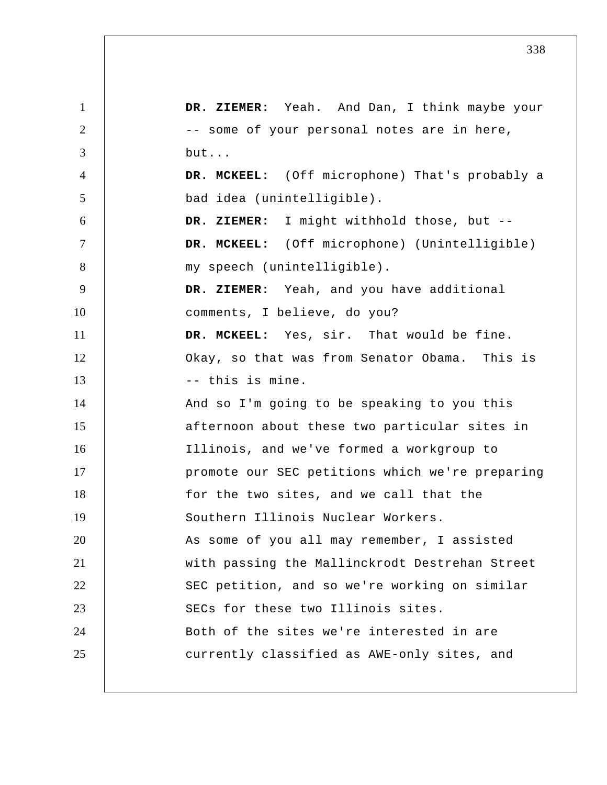| $\mathbf{1}$   | DR. ZIEMER: Yeah. And Dan, I think maybe your   |
|----------------|-------------------------------------------------|
| 2              | -- some of your personal notes are in here,     |
| 3              | but                                             |
| $\overline{4}$ | DR. MCKEEL: (Off microphone) That's probably a  |
| 5              | bad idea (unintelligible).                      |
| 6              | DR. ZIEMER: I might withhold those, but --      |
| $\overline{7}$ | DR. MCKEEL: (Off microphone) (Unintelligible)   |
| 8              | my speech (unintelligible).                     |
| 9              | DR. ZIEMER: Yeah, and you have additional       |
| 10             | comments, I believe, do you?                    |
| 11             | DR. MCKEEL: Yes, sir. That would be fine.       |
| 12             | Okay, so that was from Senator Obama. This is   |
| 13             | -- this is mine.                                |
| 14             | And so I'm going to be speaking to you this     |
| 15             | afternoon about these two particular sites in   |
| 16             | Illinois, and we've formed a workgroup to       |
| 17             | promote our SEC petitions which we're preparing |
| 18             | for the two sites, and we call that the         |
| 19             | Southern Illinois Nuclear Workers.              |
| 20             | As some of you all may remember, I assisted     |
| 21             | with passing the Mallinckrodt Destrehan Street  |
| 22             | SEC petition, and so we're working on similar   |
| 23             | SECs for these two Illinois sites.              |
| 24             | Both of the sites we're interested in are       |
| 25             | currently classified as AWE-only sites, and     |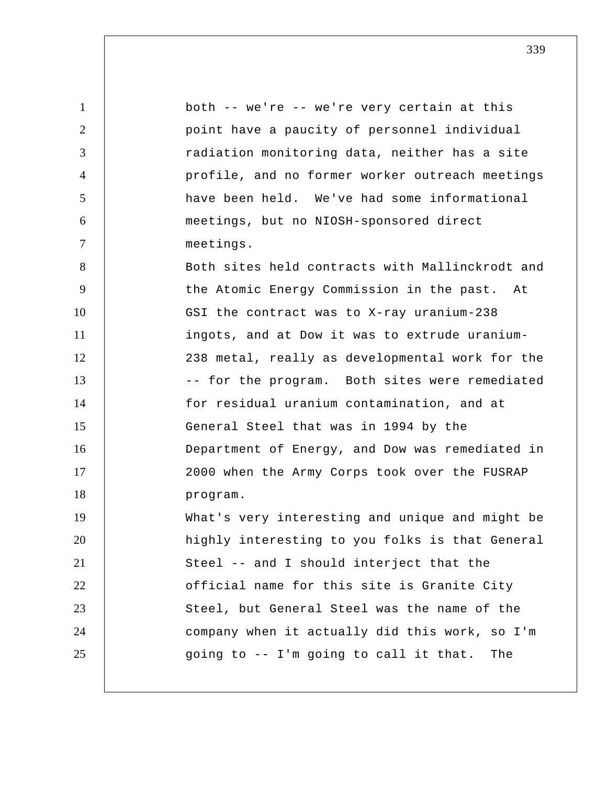1 2 3 4 5 6 7 8 9 10 11 12 13 14 15 16 17 18 19 20 21 22 23 24 25 both -- we're -- we're very certain at this point have a paucity of personnel individual radiation monitoring data, neither has a site profile, and no former worker outreach meetings have been held. We've had some informational meetings, but no NIOSH-sponsored direct meetings. Both sites held contracts with Mallinckrodt and the Atomic Energy Commission in the past. At GSI the contract was to X-ray uranium-238 ingots, and at Dow it was to extrude uranium-238 metal, really as developmental work for the -- for the program. Both sites were remediated for residual uranium contamination, and at General Steel that was in 1994 by the Department of Energy, and Dow was remediated in 2000 when the Army Corps took over the FUSRAP program. What's very interesting and unique and might be highly interesting to you folks is that General Steel -- and I should interject that the official name for this site is Granite City Steel, but General Steel was the name of the company when it actually did this work, so I'm going to -- I'm going to call it that. The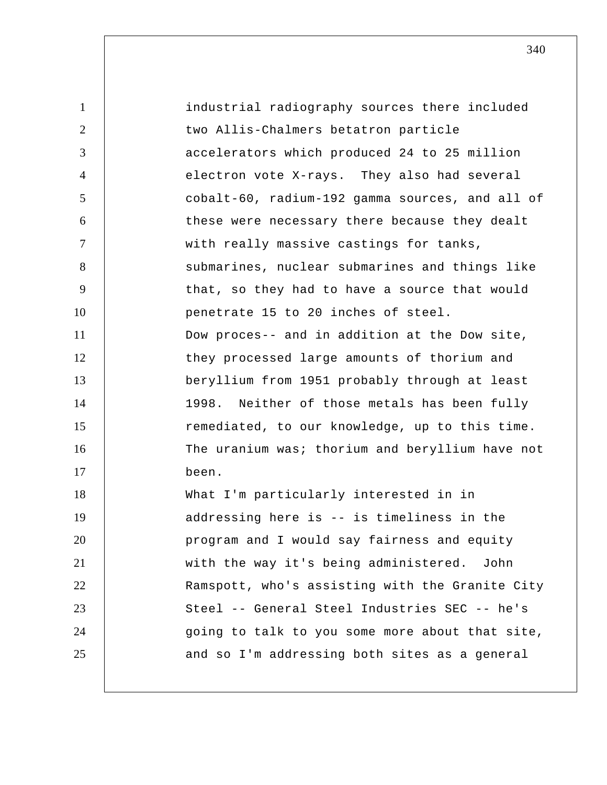1 2 3 4 5 6 7 8 9 10 11 12 13 14 15 16 17 18 19 20 21 22 23 24 25 industrial radiography sources there included two Allis-Chalmers betatron particle accelerators which produced 24 to 25 million electron vote X-rays. They also had several cobalt-60, radium-192 gamma sources, and all of these were necessary there because they dealt with really massive castings for tanks, submarines, nuclear submarines and things like that, so they had to have a source that would penetrate 15 to 20 inches of steel. Dow proces-- and in addition at the Dow site, they processed large amounts of thorium and beryllium from 1951 probably through at least 1998. Neither of those metals has been fully remediated, to our knowledge, up to this time. The uranium was; thorium and beryllium have not been. What I'm particularly interested in in addressing here is -- is timeliness in the program and I would say fairness and equity with the way it's being administered. John Ramspott, who's assisting with the Granite City Steel -- General Steel Industries SEC -- he's going to talk to you some more about that site, and so I'm addressing both sites as a general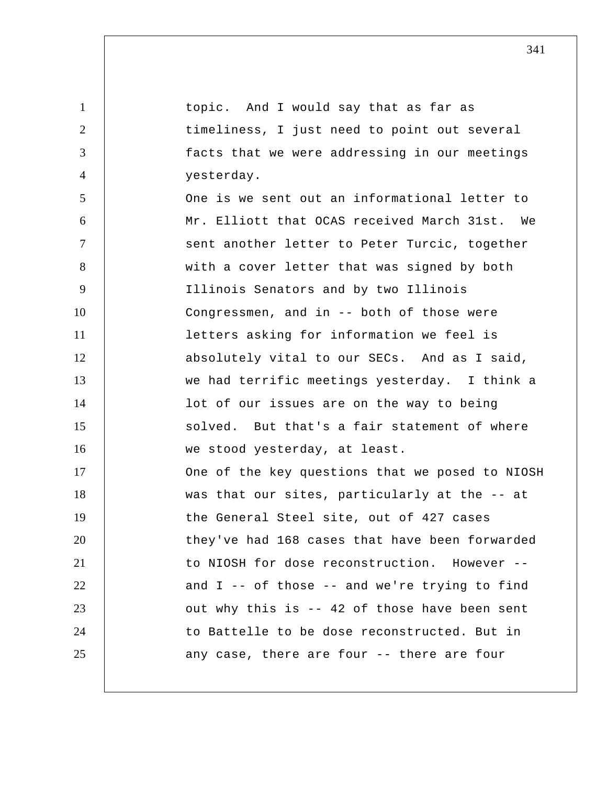| $\mathbf{1}$   | topic. And I would say that as far as           |
|----------------|-------------------------------------------------|
| $\overline{2}$ | timeliness, I just need to point out several    |
| 3              | facts that we were addressing in our meetings   |
| $\overline{4}$ | yesterday.                                      |
| 5              | One is we sent out an informational letter to   |
| 6              | Mr. Elliott that OCAS received March 31st. We   |
| $\tau$         | sent another letter to Peter Turcic, together   |
| 8              | with a cover letter that was signed by both     |
| 9              | Illinois Senators and by two Illinois           |
| 10             | Congressmen, and in -- both of those were       |
| 11             | letters asking for information we feel is       |
| 12             | absolutely vital to our SECs. And as I said,    |
| 13             | we had terrific meetings yesterday. I think a   |
| 14             | lot of our issues are on the way to being       |
| 15             | solved. But that's a fair statement of where    |
| 16             | we stood yesterday, at least.                   |
| 17             | One of the key questions that we posed to NIOSH |
| 18             | was that our sites, particularly at the -- at   |
| 19             | the General Steel site, out of 427 cases        |
| 20             | they've had 168 cases that have been forwarded  |
| 21             | to NIOSH for dose reconstruction. However --    |
| 22             | and $I$ -- of those -- and we're trying to find |
| 23             | out why this is -- 42 of those have been sent   |
| 24             | to Battelle to be dose reconstructed. But in    |
| 25             | any case, there are four -- there are four      |
|                |                                                 |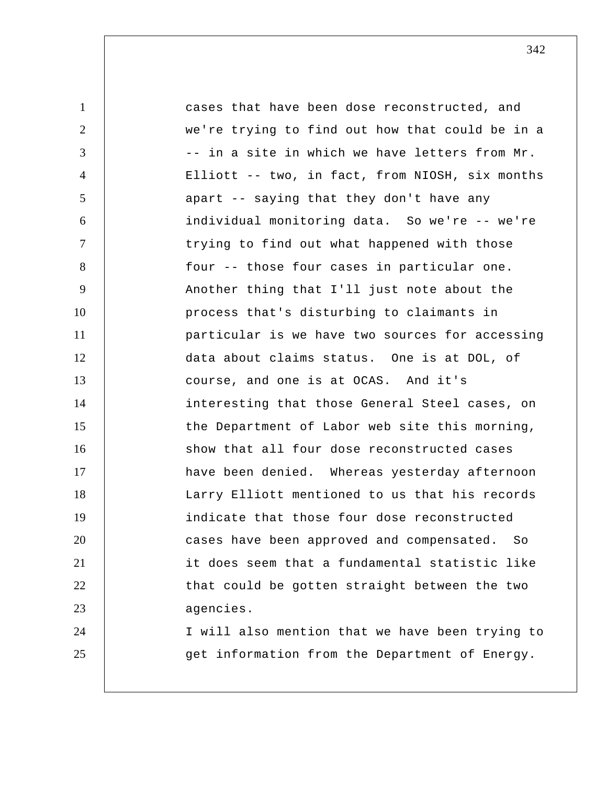1 2 3 4 5 6 7 8 9 10 11 12 13 14 15 16 17 18 19 20 21 22 23 24 25 cases that have been dose reconstructed, and we're trying to find out how that could be in a -- in a site in which we have letters from Mr. Elliott -- two, in fact, from NIOSH, six months apart -- saying that they don't have any individual monitoring data. So we're -- we're trying to find out what happened with those four -- those four cases in particular one. Another thing that I'll just note about the process that's disturbing to claimants in particular is we have two sources for accessing data about claims status. One is at DOL, of course, and one is at OCAS. And it's interesting that those General Steel cases, on the Department of Labor web site this morning, show that all four dose reconstructed cases have been denied. Whereas yesterday afternoon Larry Elliott mentioned to us that his records indicate that those four dose reconstructed cases have been approved and compensated. So it does seem that a fundamental statistic like that could be gotten straight between the two agencies. I will also mention that we have been trying to get information from the Department of Energy.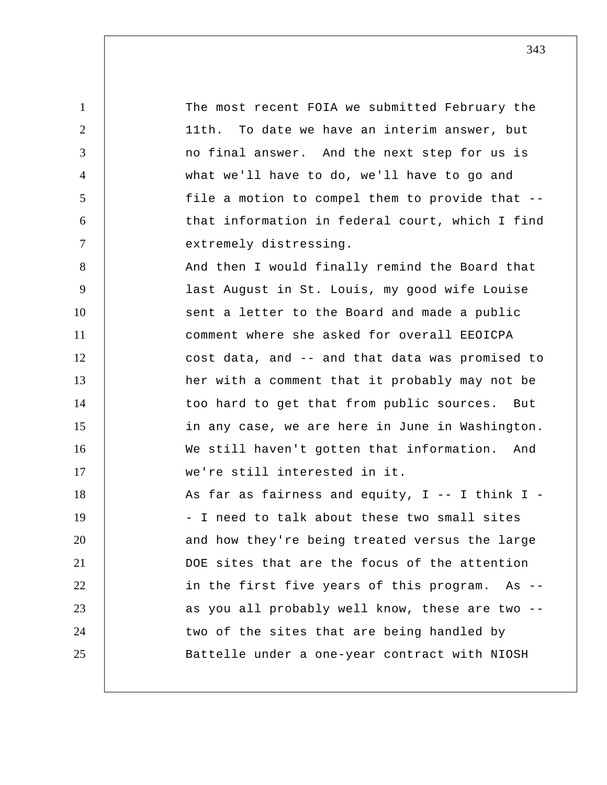1 2 3 4 5 6 7 8 9 10 11 12 13 14 15 16 17 18 19 20 21 22 23 24 25 The most recent FOIA we submitted February the 11th. To date we have an interim answer, but no final answer. And the next step for us is what we'll have to do, we'll have to go and file a motion to compel them to provide that - that information in federal court, which I find extremely distressing. And then I would finally remind the Board that last August in St. Louis, my good wife Louise sent a letter to the Board and made a public comment where she asked for overall EEOICPA cost data, and -- and that data was promised to her with a comment that it probably may not be too hard to get that from public sources. But in any case, we are here in June in Washington. We still haven't gotten that information. And we're still interested in it. As far as fairness and equity,  $I$  -- I think  $I$  -- I need to talk about these two small sites and how they're being treated versus the large DOE sites that are the focus of the attention in the first five years of this program. As -as you all probably well know, these are two - two of the sites that are being handled by Battelle under a one-year contract with NIOSH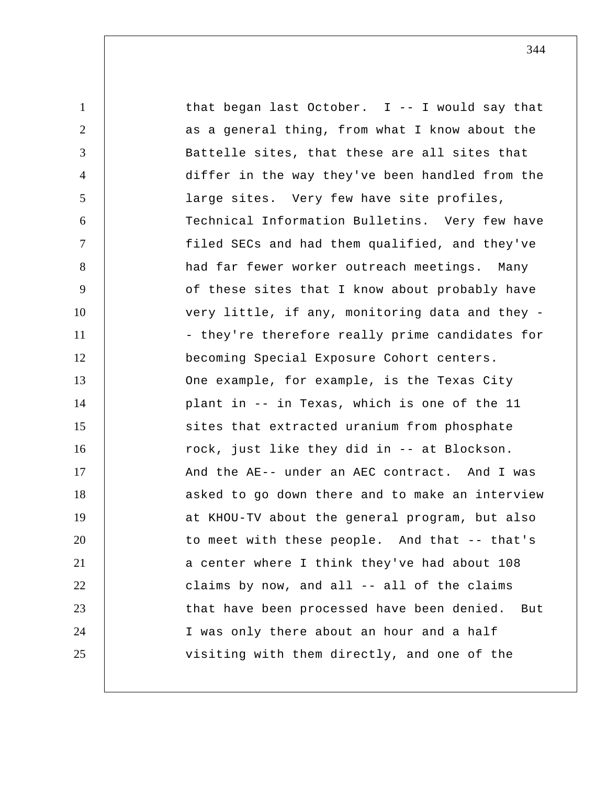1 2 3 4 5 6 7 8 9 10 11 12 13 14 15 16 17 18 19 20 21 22 23 24 25 that began last October. I -- I would say that as a general thing, from what I know about the Battelle sites, that these are all sites that differ in the way they've been handled from the large sites. Very few have site profiles, Technical Information Bulletins. Very few have filed SECs and had them qualified, and they've had far fewer worker outreach meetings. Many of these sites that I know about probably have very little, if any, monitoring data and they - they're therefore really prime candidates for becoming Special Exposure Cohort centers. One example, for example, is the Texas City plant in -- in Texas, which is one of the 11 sites that extracted uranium from phosphate rock, just like they did in -- at Blockson. And the AE-- under an AEC contract. And I was asked to go down there and to make an interview at KHOU-TV about the general program, but also to meet with these people. And that -- that's a center where I think they've had about 108 claims by now, and all -- all of the claims that have been processed have been denied. But I was only there about an hour and a half visiting with them directly, and one of the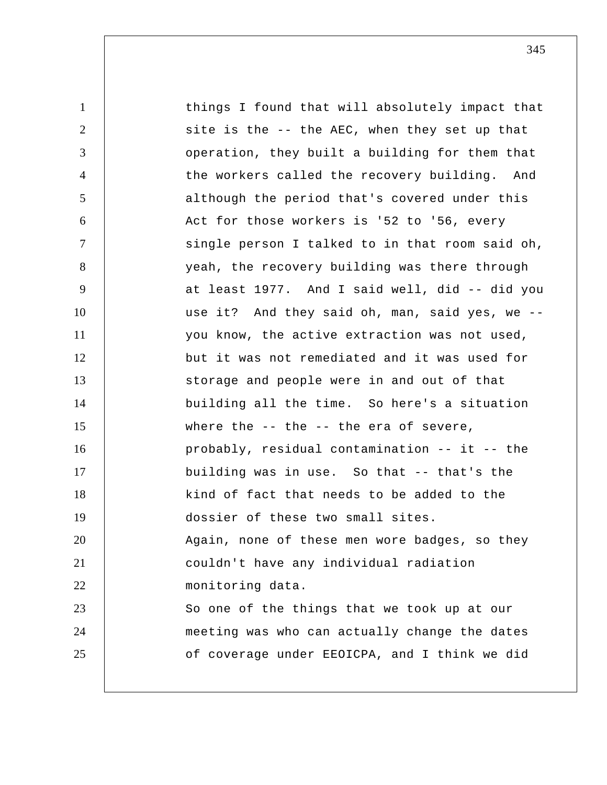| $\mathbf{1}$   | things I found that will absolutely impact that |
|----------------|-------------------------------------------------|
| $\overline{2}$ | site is the -- the AEC, when they set up that   |
| 3              | operation, they built a building for them that  |
| $\overline{4}$ | the workers called the recovery building. And   |
| 5              | although the period that's covered under this   |
| 6              | Act for those workers is '52 to '56, every      |
| $\tau$         | single person I talked to in that room said oh, |
| 8              | yeah, the recovery building was there through   |
| 9              | at least 1977. And I said well, did -- did you  |
| 10             | use it? And they said oh, man, said yes, we --  |
| 11             | you know, the active extraction was not used,   |
| 12             | but it was not remediated and it was used for   |
| 13             | storage and people were in and out of that      |
| 14             | building all the time. So here's a situation    |
| 15             | where the $--$ the $--$ the era of severe,      |
| 16             | probably, residual contamination -- it -- the   |
| 17             | building was in use. So that -- that's the      |
| 18             | kind of fact that needs to be added to the      |
| 19             | dossier of these two small sites.               |
| 20             | Again, none of these men wore badges, so they   |
| 21             | couldn't have any individual radiation          |
| 22             | monitoring data.                                |
| 23             | So one of the things that we took up at our     |
| 24             | meeting was who can actually change the dates   |
| 25             | of coverage under EEOICPA, and I think we did   |
|                |                                                 |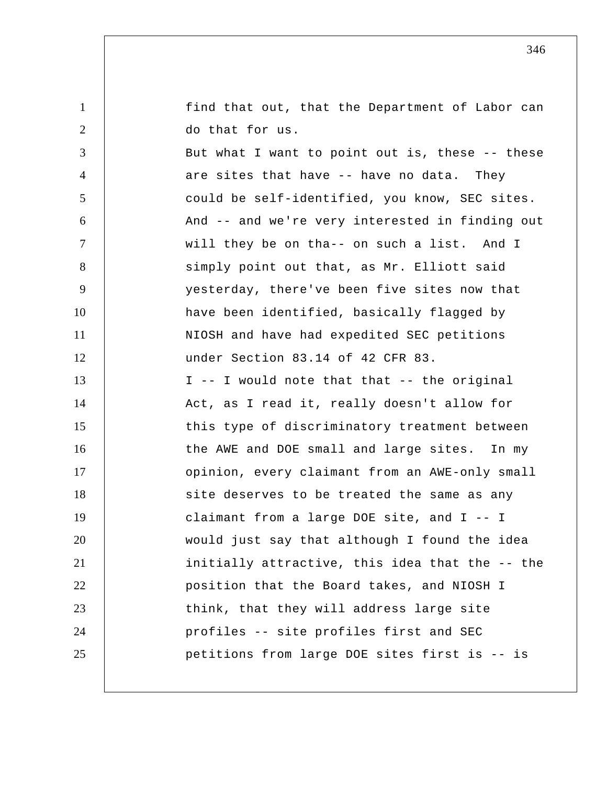1 2 find that out, that the Department of Labor can do that for us.

3 4 5 6 7 8 9 10 11 12 13 14 15 16 17 18 19 20 21 22 23 24 25 But what I want to point out is, these -- these are sites that have -- have no data. They could be self-identified, you know, SEC sites. And -- and we're very interested in finding out will they be on tha-- on such a list. And I simply point out that, as Mr. Elliott said yesterday, there've been five sites now that have been identified, basically flagged by NIOSH and have had expedited SEC petitions under Section 83.14 of 42 CFR 83. I -- I would note that that -- the original Act, as I read it, really doesn't allow for this type of discriminatory treatment between the AWE and DOE small and large sites. In my opinion, every claimant from an AWE-only small site deserves to be treated the same as any claimant from a large DOE site, and I -- I would just say that although I found the idea initially attractive, this idea that the -- the position that the Board takes, and NIOSH I think, that they will address large site profiles -- site profiles first and SEC petitions from large DOE sites first is -- is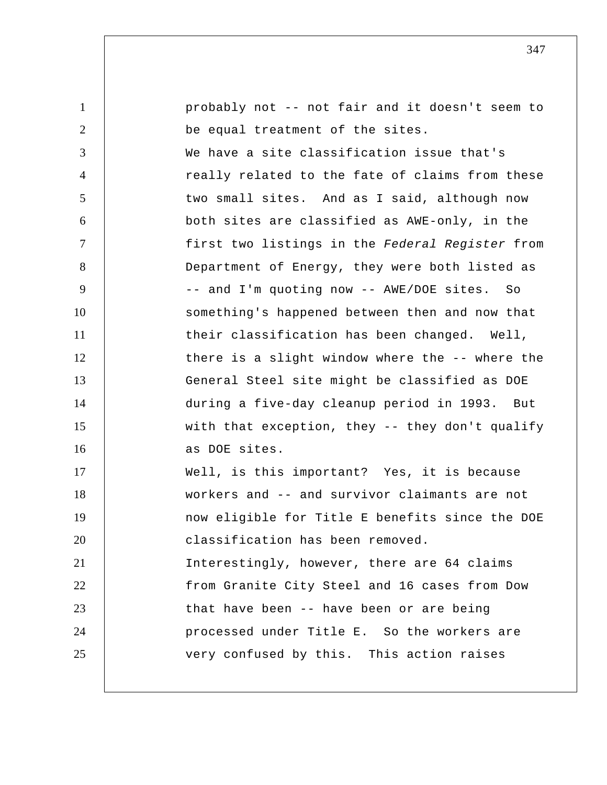| $\mathbf{1}$   | probably not -- not fair and it doesn't seem to |
|----------------|-------------------------------------------------|
| $\overline{2}$ | be equal treatment of the sites.                |
| 3              | We have a site classification issue that's      |
| $\overline{4}$ | really related to the fate of claims from these |
| 5              | two small sites. And as I said, although now    |
| 6              | both sites are classified as AWE-only, in the   |
| $\tau$         | first two listings in the Federal Register from |
| 8              | Department of Energy, they were both listed as  |
| 9              | -- and I'm quoting now -- AWE/DOE sites. So     |
| 10             | something's happened between then and now that  |
| 11             | their classification has been changed. Well,    |
| 12             | there is a slight window where the -- where the |
| 13             | General Steel site might be classified as DOE   |
| 14             | during a five-day cleanup period in 1993. But   |
| 15             | with that exception, they -- they don't qualify |
| 16             | as DOE sites.                                   |
| 17             | Well, is this important? Yes, it is because     |
| 18             | workers and -- and survivor claimants are not   |
| 19             | now eligible for Title E benefits since the DOE |
| 20             | classification has been removed.                |
| 21             | Interestingly, however, there are 64 claims     |
| 22             | from Granite City Steel and 16 cases from Dow   |
| 23             | that have been -- have been or are being        |
| 24             | processed under Title E. So the workers are     |
| 25             | very confused by this. This action raises       |
|                |                                                 |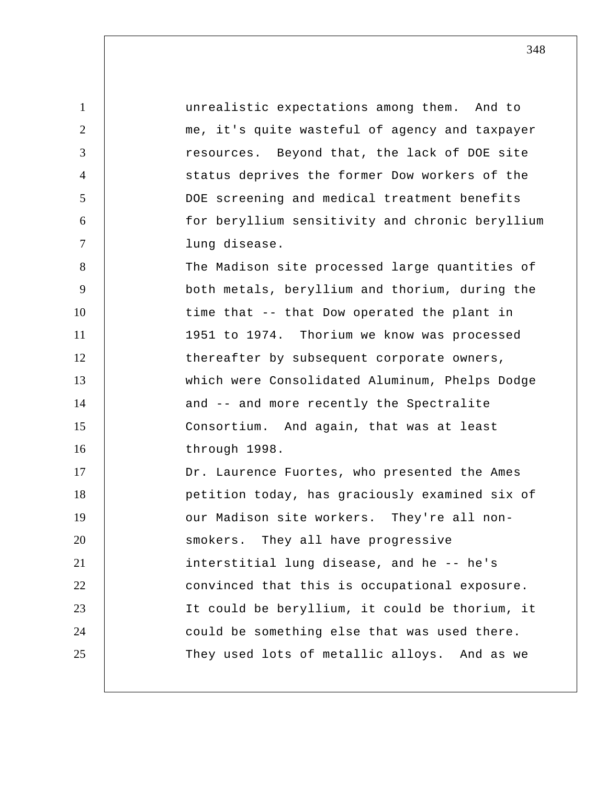1 2 3 4 5 6 7 8 9 10 11 12 13 14 15 16 17 18 19 20 21 22 23 24 25 unrealistic expectations among them. And to me, it's quite wasteful of agency and taxpayer resources. Beyond that, the lack of DOE site status deprives the former Dow workers of the DOE screening and medical treatment benefits for beryllium sensitivity and chronic beryllium lung disease. The Madison site processed large quantities of both metals, beryllium and thorium, during the time that -- that Dow operated the plant in 1951 to 1974. Thorium we know was processed thereafter by subsequent corporate owners, which were Consolidated Aluminum, Phelps Dodge and -- and more recently the Spectralite Consortium. And again, that was at least through 1998. Dr. Laurence Fuortes, who presented the Ames petition today, has graciously examined six of our Madison site workers. They're all nonsmokers. They all have progressive interstitial lung disease, and he -- he's convinced that this is occupational exposure. It could be beryllium, it could be thorium, it could be something else that was used there. They used lots of metallic alloys. And as we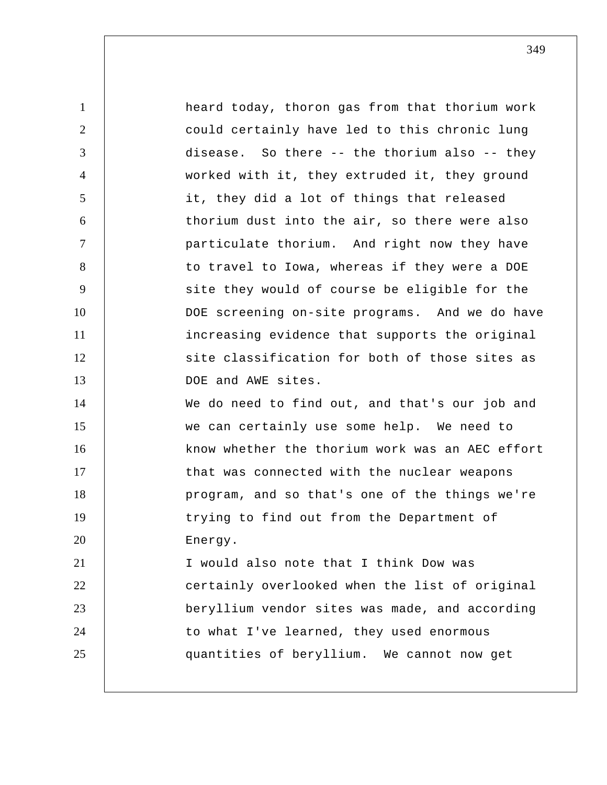1 2 3 4 5 6 7 8 9 10 11 12 13 14 15 16 17 18 19 20 21 22 23 24 25 heard today, thoron gas from that thorium work could certainly have led to this chronic lung disease. So there -- the thorium also -- they worked with it, they extruded it, they ground it, they did a lot of things that released thorium dust into the air, so there were also particulate thorium. And right now they have to travel to Iowa, whereas if they were a DOE site they would of course be eligible for the DOE screening on-site programs. And we do have increasing evidence that supports the original site classification for both of those sites as DOE and AWE sites. We do need to find out, and that's our job and we can certainly use some help. We need to know whether the thorium work was an AEC effort that was connected with the nuclear weapons program, and so that's one of the things we're trying to find out from the Department of Energy. I would also note that I think Dow was certainly overlooked when the list of original beryllium vendor sites was made, and according to what I've learned, they used enormous quantities of beryllium. We cannot now get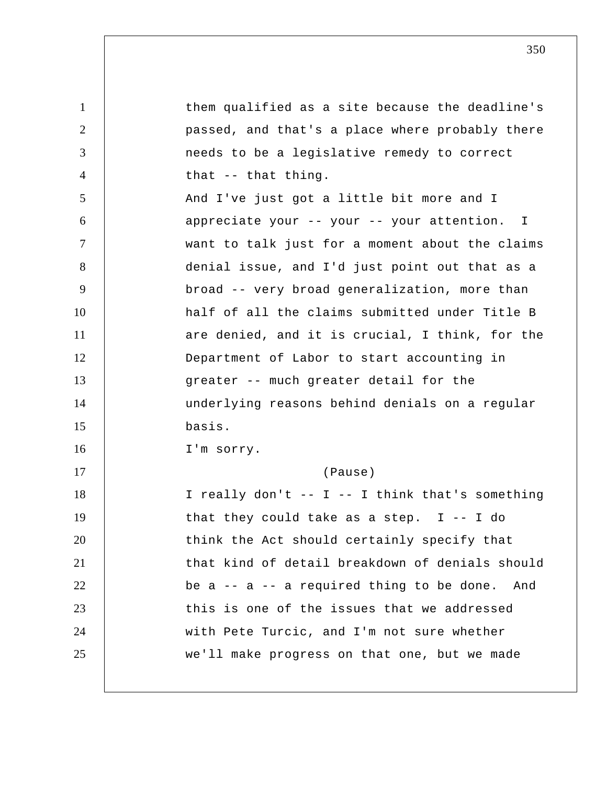1 2 3 4 5 6 7 8 9 10 11 12 13 14 15 16 17 18 19 20 21 22 23 24 25 them qualified as a site because the deadline's passed, and that's a place where probably there needs to be a legislative remedy to correct that -- that thing. And I've just got a little bit more and I appreciate your -- your -- your attention. I want to talk just for a moment about the claims denial issue, and I'd just point out that as a broad -- very broad generalization, more than half of all the claims submitted under Title B are denied, and it is crucial, I think, for the Department of Labor to start accounting in greater -- much greater detail for the underlying reasons behind denials on a regular basis. I'm sorry. (Pause) I really don't  $--$  I  $--$  I think that's something that they could take as a step.  $I - - I$  do think the Act should certainly specify that that kind of detail breakdown of denials should be  $a - a - a$  required thing to be done. And this is one of the issues that we addressed with Pete Turcic, and I'm not sure whether we'll make progress on that one, but we made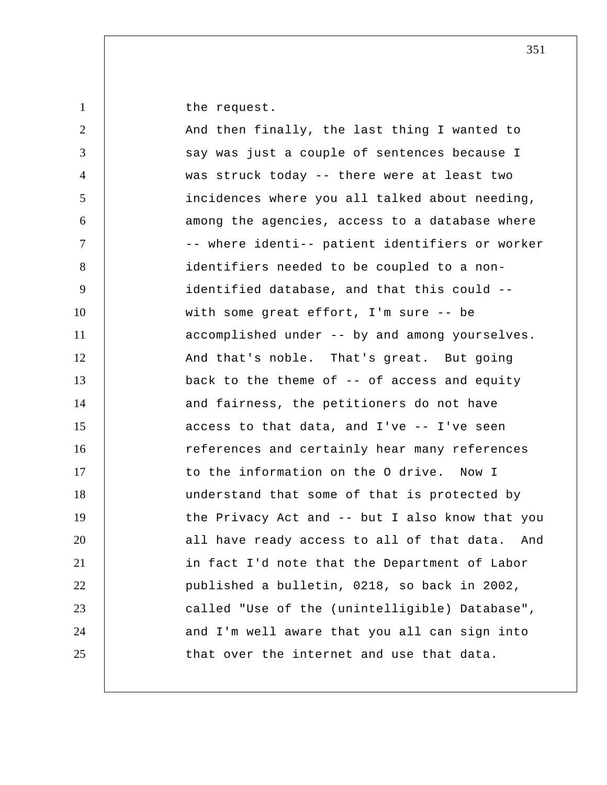the request.

1

| $\overline{2}$ | And then finally, the last thing I wanted to    |
|----------------|-------------------------------------------------|
| 3              | say was just a couple of sentences because I    |
| $\overline{4}$ | was struck today -- there were at least two     |
| 5              | incidences where you all talked about needing,  |
| 6              | among the agencies, access to a database where  |
| $\overline{7}$ | -- where identi-- patient identifiers or worker |
| 8              | identifiers needed to be coupled to a non-      |
| 9              | identified database, and that this could --     |
| 10             | with some great effort, I'm sure -- be          |
| 11             | accomplished under -- by and among yourselves.  |
| 12             | And that's noble. That's great. But going       |
| 13             | back to the theme of $-$ - of access and equity |
| 14             | and fairness, the petitioners do not have       |
| 15             | access to that data, and I've -- I've seen      |
| 16             | references and certainly hear many references   |
| 17             | to the information on the O drive. Now I        |
| 18             | understand that some of that is protected by    |
| 19             | the Privacy Act and -- but I also know that you |
| 20             | all have ready access to all of that data. And  |
| 21             | in fact I'd note that the Department of Labor   |
| 22             | published a bulletin, 0218, so back in 2002,    |
| 23             | called "Use of the (unintelligible) Database",  |
| 24             | and I'm well aware that you all can sign into   |
| 25             | that over the internet and use that data.       |
|                |                                                 |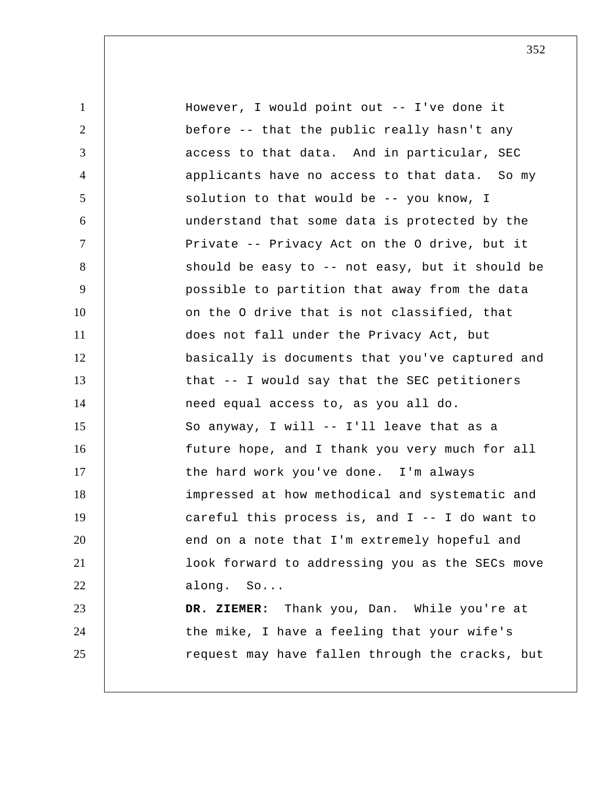| $\mathbf{1}$   | However, I would point out -- I've done it       |
|----------------|--------------------------------------------------|
| $\overline{2}$ | before -- that the public really hasn't any      |
| 3              | access to that data. And in particular, SEC      |
| $\overline{4}$ | applicants have no access to that data. So my    |
| 5              | solution to that would be -- you know, I         |
| 6              | understand that some data is protected by the    |
| $\tau$         | Private -- Privacy Act on the O drive, but it    |
| 8              | should be easy to -- not easy, but it should be  |
| 9              | possible to partition that away from the data    |
| 10             | on the O drive that is not classified, that      |
| 11             | does not fall under the Privacy Act, but         |
| 12             | basically is documents that you've captured and  |
| 13             | that -- I would say that the SEC petitioners     |
| 14             | need equal access to, as you all do.             |
| 15             | So anyway, I will -- I'll leave that as a        |
| 16             | future hope, and I thank you very much for all   |
| 17             | the hard work you've done. I'm always            |
| 18             | impressed at how methodical and systematic and   |
| 19             | careful this process is, and $I$ -- I do want to |
| 20             | end on a note that I'm extremely hopeful and     |
| 21             | look forward to addressing you as the SECs move  |
| 22             | along. So                                        |
| 23             | DR. ZIEMER: Thank you, Dan. While you're at      |
| 24             | the mike, I have a feeling that your wife's      |
| 25             | request may have fallen through the cracks, but  |
|                |                                                  |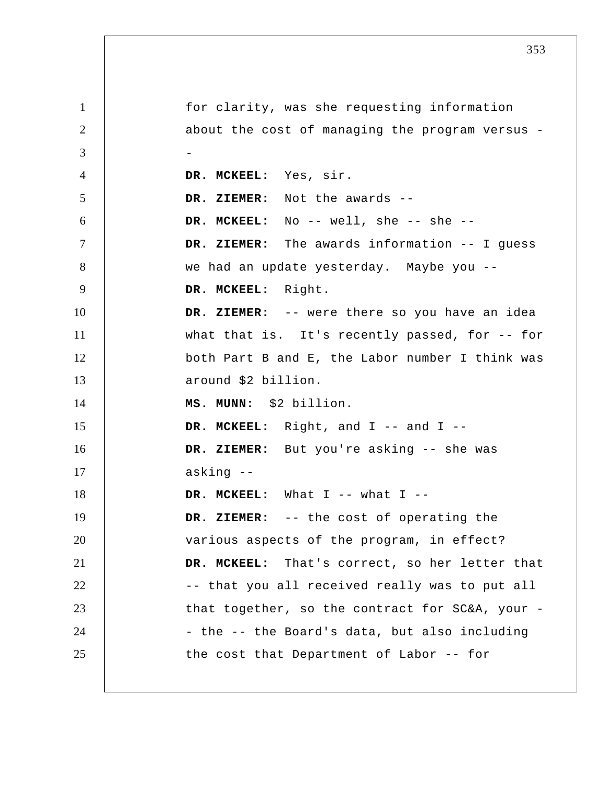1 2 3 4 5 6 7 8 9 10 11 12 13 14 15 16 17 18 19 20 21 22 23 24 25 for clarity, was she requesting information about the cost of managing the program versus - **DR. MCKEEL:** Yes, sir.  **DR. ZIEMER:** Not the awards --  **DR. MCKEEL:** No -- well, she -- she --  **DR. ZIEMER:** The awards information -- I guess we had an update yesterday. Maybe you -- **DR. MCKEEL:** Right.  **DR. ZIEMER:** -- were there so you have an idea what that is. It's recently passed, for -- for both Part B and E, the Labor number I think was around \$2 billion.  **MS. MUNN:** \$2 billion.  **DR. MCKEEL:** Right, and I -- and I --  **DR. ZIEMER:** But you're asking -- she was asking --  **DR. MCKEEL:** What I -- what I -- **DR. ZIEMER:** -- the cost of operating the various aspects of the program, in effect?  **DR. MCKEEL:** That's correct, so her letter that -- that you all received really was to put all that together, so the contract for SC&A, your - the -- the Board's data, but also including the cost that Department of Labor -- for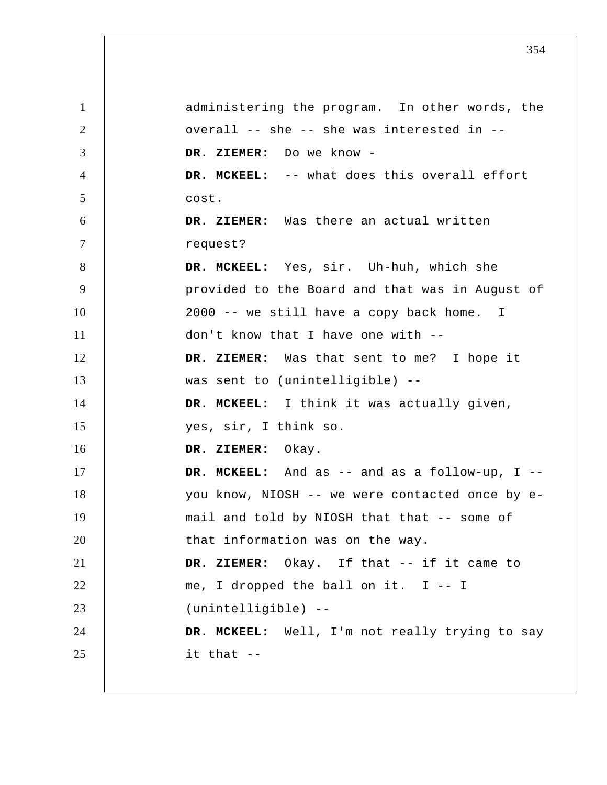1 2 3 4 5 6 7 8 9 10 11 12 13 14 15 16 17 18 19 20 21 22 23 24 25 administering the program. In other words, the overall -- she -- she was interested in --  **DR. ZIEMER:** Do we know -  **DR. MCKEEL:** -- what does this overall effort cost.  **DR. ZIEMER:** Was there an actual written request?  **DR. MCKEEL:** Yes, sir. Uh-huh, which she provided to the Board and that was in August of 2000 -- we still have a copy back home. I don't know that I have one with --  **DR. ZIEMER:** Was that sent to me? I hope it was sent to (unintelligible) --  **DR. MCKEEL:** I think it was actually given, yes, sir, I think so.  **DR. ZIEMER:** Okay.  **DR. MCKEEL:** And as -- and as a follow-up, I - you know, NIOSH -- we were contacted once by e mail and told by NIOSH that that -- some of that information was on the way.  **DR. ZIEMER:** Okay. If that -- if it came to me, I dropped the ball on it. I -- I (unintelligible) --  **DR. MCKEEL:** Well, I'm not really trying to say it that --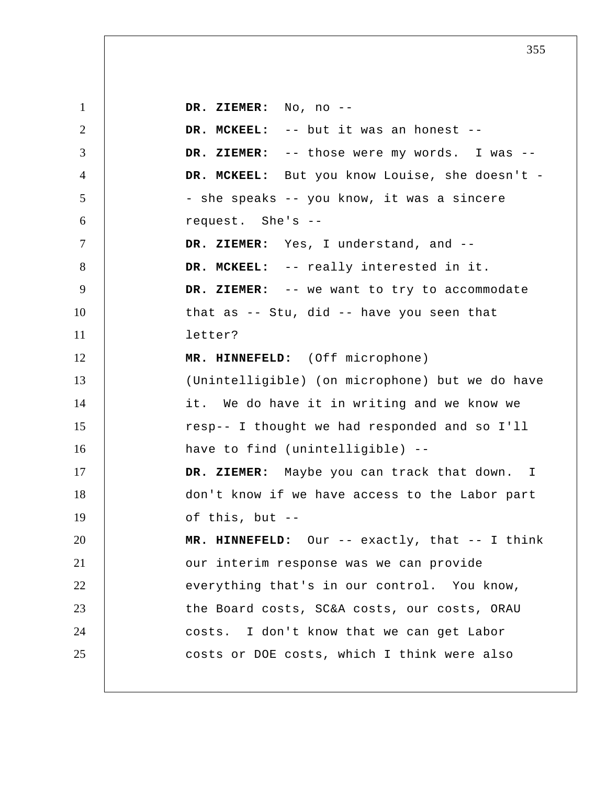1 2 3 4 5 6 7 8 9 10 11 12 13 14 15 16 17 18 19 20 21 22 23 24 25  **DR. ZIEMER:** No, no -- **DR. MCKEEL:** -- but it was an honest -- **DR. ZIEMER:** -- those were my words. I was --DR. MCKEEL: But you know Louise, she doesn't -- she speaks -- you know, it was a sincere request. She's -- **DR. ZIEMER:** Yes, I understand, and --  **DR. MCKEEL:** -- really interested in it.  **DR. ZIEMER:** -- we want to try to accommodate that as -- Stu, did -- have you seen that letter?  **MR. HINNEFELD:** (Off microphone) (Unintelligible) (on microphone) but we do have it. We do have it in writing and we know we resp-- I thought we had responded and so I'll have to find (unintelligible) --  **DR. ZIEMER:** Maybe you can track that down. don't know if we have access to the Labor part of this, but -- **MR. HINNEFELD:** Our -- exactly, that -- I think our interim response was we can provide everything that's in our control. You know, the Board costs, SC&A costs, our costs, ORAU costs. I don't know that we can get Labor costs or DOE costs, which I think were also I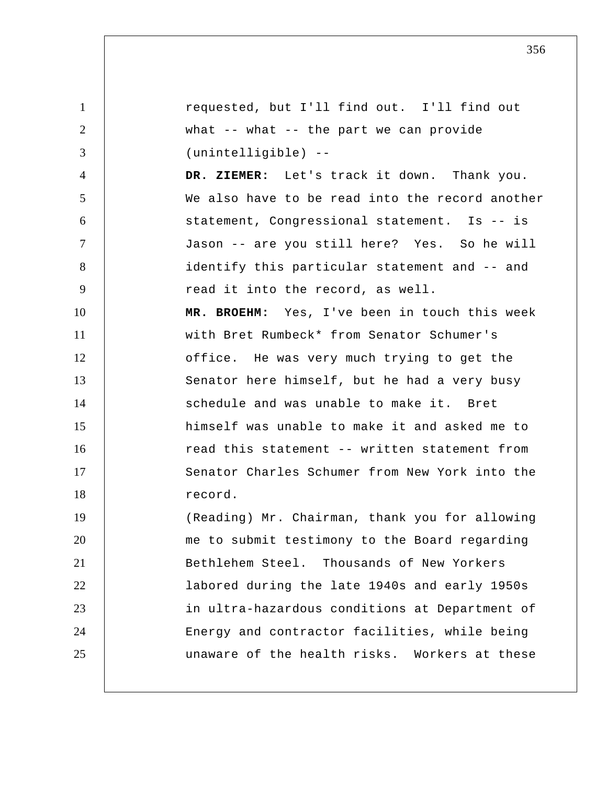1 2 3 4 5 6 7 8 9 10 11 12 13 14 15 16 17 18 19 20 21 22 23 24 25 requested, but I'll find out. I'll find out what -- what -- the part we can provide (unintelligible) --  **DR. ZIEMER:** Let's track it down. Thank you. We also have to be read into the record another statement, Congressional statement. Is -- is Jason -- are you still here? Yes. So he will identify this particular statement and -- and read it into the record, as well.  **MR. BROEHM:** Yes, I've been in touch this week with Bret Rumbeck\* from Senator Schumer's office. He was very much trying to get the Senator here himself, but he had a very busy schedule and was unable to make it. Bret himself was unable to make it and asked me to read this statement -- written statement from Senator Charles Schumer from New York into the record. (Reading) Mr. Chairman, thank you for allowing me to submit testimony to the Board regarding Bethlehem Steel. Thousands of New Yorkers labored during the late 1940s and early 1950s in ultra-hazardous conditions at Department of Energy and contractor facilities, while being unaware of the health risks. Workers at these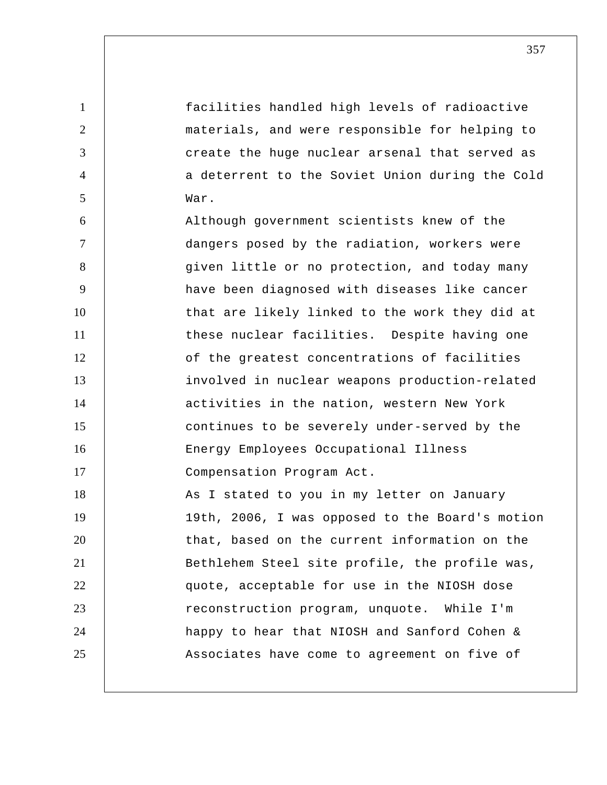1 2 3 4 5 6 7 8 9 10 11 12 13 14 15 16 17 18 19 20 21 22 23 24 25 facilities handled high levels of radioactive materials, and were responsible for helping to create the huge nuclear arsenal that served as a deterrent to the Soviet Union during the Cold War. Although government scientists knew of the dangers posed by the radiation, workers were given little or no protection, and today many have been diagnosed with diseases like cancer that are likely linked to the work they did at these nuclear facilities. Despite having one of the greatest concentrations of facilities involved in nuclear weapons production-related activities in the nation, western New York continues to be severely under-served by the Energy Employees Occupational Illness Compensation Program Act. As I stated to you in my letter on January 19th, 2006, I was opposed to the Board's motion that, based on the current information on the Bethlehem Steel site profile, the profile was, quote, acceptable for use in the NIOSH dose reconstruction program, unquote. While I'm happy to hear that NIOSH and Sanford Cohen & Associates have come to agreement on five of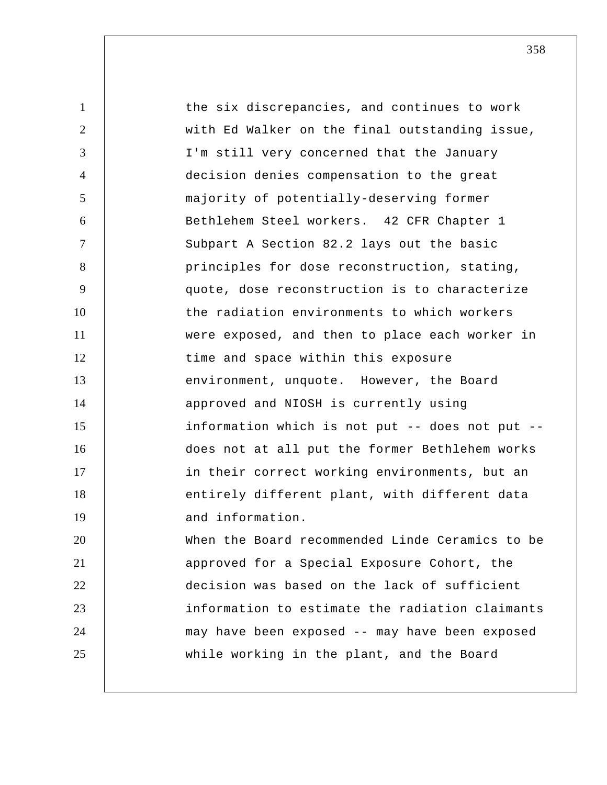1 2 3 4 5 6 7 8 9 10 11 12 13 14 15 16 17 18 19 20 21 22 23 24 25 the six discrepancies, and continues to work with Ed Walker on the final outstanding issue, I'm still very concerned that the January decision denies compensation to the great majority of potentially-deserving former Bethlehem Steel workers. 42 CFR Chapter 1 Subpart A Section 82.2 lays out the basic principles for dose reconstruction, stating, quote, dose reconstruction is to characterize the radiation environments to which workers were exposed, and then to place each worker in time and space within this exposure environment, unquote. However, the Board approved and NIOSH is currently using information which is not put -- does not put - does not at all put the former Bethlehem works in their correct working environments, but an entirely different plant, with different data and information. When the Board recommended Linde Ceramics to be approved for a Special Exposure Cohort, the decision was based on the lack of sufficient information to estimate the radiation claimants may have been exposed -- may have been exposed while working in the plant, and the Board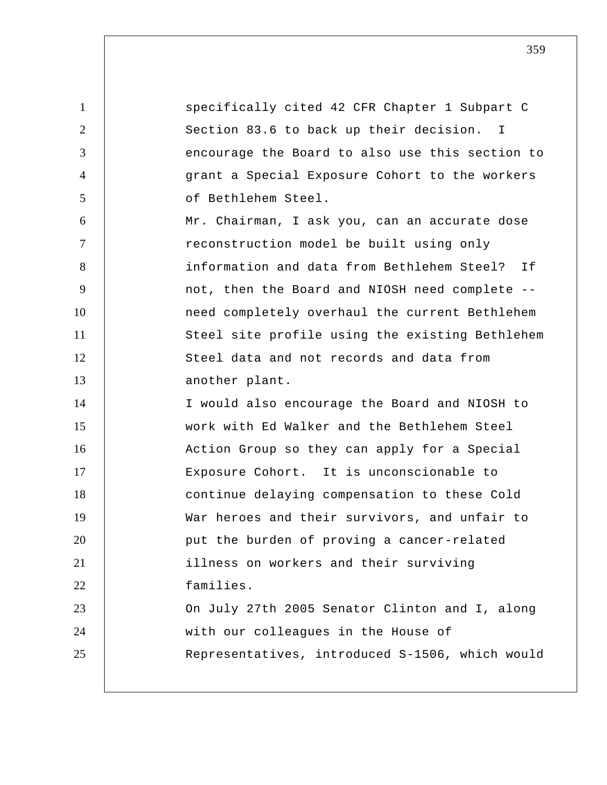| $\mathbf{1}$   | specifically cited 42 CFR Chapter 1 Subpart C   |
|----------------|-------------------------------------------------|
| 2              | Section 83.6 to back up their decision. I       |
| 3              | encourage the Board to also use this section to |
| $\overline{4}$ | grant a Special Exposure Cohort to the workers  |
| 5              | of Bethlehem Steel.                             |
| 6              | Mr. Chairman, I ask you, can an accurate dose   |
| $\tau$         | reconstruction model be built using only        |
| 8              | information and data from Bethlehem Steel? If   |
| 9              | not, then the Board and NIOSH need complete --  |
| 10             | need completely overhaul the current Bethlehem  |
| 11             | Steel site profile using the existing Bethlehem |
| 12             | Steel data and not records and data from        |
| 13             | another plant.                                  |
| 14             | I would also encourage the Board and NIOSH to   |
| 15             | work with Ed Walker and the Bethlehem Steel     |
| 16             | Action Group so they can apply for a Special    |
| 17             | Exposure Cohort. It is unconscionable to        |
| 18             | continue delaying compensation to these Cold    |
| 19             | War heroes and their survivors, and unfair to   |
| 20             | put the burden of proving a cancer-related      |
| 21             | illness on workers and their surviving          |
| 22             | families.                                       |
| 23             | On July 27th 2005 Senator Clinton and I, along  |
| 24             | with our colleagues in the House of             |
| 25             | Representatives, introduced S-1506, which would |
|                |                                                 |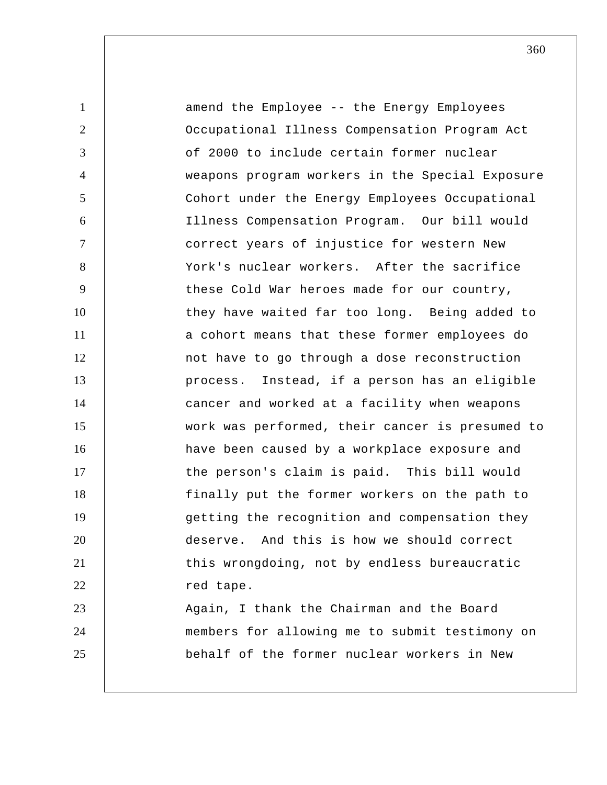1 2 3 4 5 6 7 8 9 10 11 12 13 14 15 16 17 18 19 20 21 22 23 24 25 amend the Employee -- the Energy Employees Occupational Illness Compensation Program Act of 2000 to include certain former nuclear weapons program workers in the Special Exposure Cohort under the Energy Employees Occupational Illness Compensation Program. Our bill would correct years of injustice for western New York's nuclear workers. After the sacrifice these Cold War heroes made for our country, they have waited far too long. Being added to a cohort means that these former employees do not have to go through a dose reconstruction process. Instead, if a person has an eligible cancer and worked at a facility when weapons work was performed, their cancer is presumed to have been caused by a workplace exposure and the person's claim is paid. This bill would finally put the former workers on the path to getting the recognition and compensation they deserve. And this is how we should correct this wrongdoing, not by endless bureaucratic red tape. Again, I thank the Chairman and the Board members for allowing me to submit testimony on behalf of the former nuclear workers in New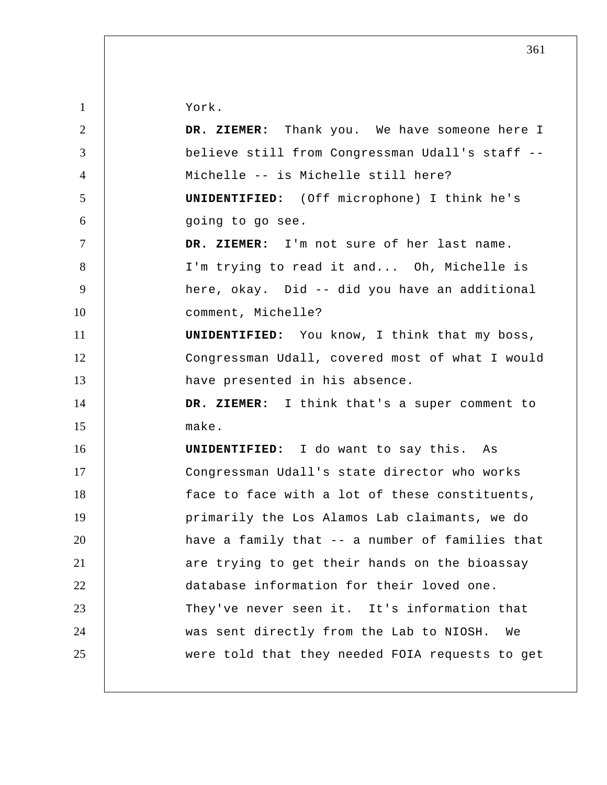York.

| 2              | DR. ZIEMER: Thank you. We have someone here I        |
|----------------|------------------------------------------------------|
| 3              | believe still from Congressman Udall's staff --      |
| $\overline{4}$ | Michelle -- is Michelle still here?                  |
| $\mathfrak{S}$ | <b>UNIDENTIFIED:</b> (Off microphone) I think he's   |
| 6              | going to go see.                                     |
| $\overline{7}$ | DR. ZIEMER: I'm not sure of her last name.           |
| 8              | I'm trying to read it and Oh, Michelle is            |
| 9              | here, okay. Did -- did you have an additional        |
| 10             | comment, Michelle?                                   |
| 11             | <b>UNIDENTIFIED:</b> You know, I think that my boss, |
| 12             | Congressman Udall, covered most of what I would      |
| 13             | have presented in his absence.                       |
| 14             | DR. ZIEMER: I think that's a super comment to        |
| 15             | make.                                                |
| 16             | <b>UNIDENTIFIED:</b> I do want to say this. As       |
| 17             | Congressman Udall's state director who works         |
| 18             | face to face with a lot of these constituents,       |
| 19             | primarily the Los Alamos Lab claimants, we do        |
| 20             | have a family that -- a number of families that      |
| 21             | are trying to get their hands on the bioassay        |
| 22             | database information for their loved one.            |
| 23             | They've never seen it. It's information that         |
| 24             | was sent directly from the Lab to NIOSH.<br>We       |
| 25             | were told that they needed FOIA requests to get      |
|                |                                                      |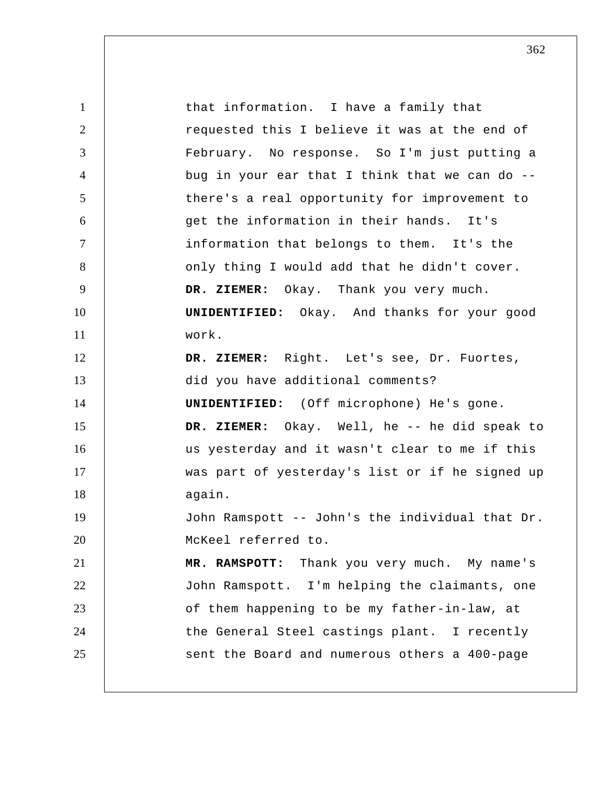1 2 3 4 5 6 7 8 9 10 11 12 13 14 15 16 17 18 19 20 21 22 23 24 25 that information. I have a family that requested this I believe it was at the end of February. No response. So I'm just putting a bug in your ear that I think that we can do - there's a real opportunity for improvement to get the information in their hands. It's information that belongs to them. It's the only thing I would add that he didn't cover.  **DR. ZIEMER:** Okay. Thank you very much. **UNIDENTIFIED:** Okay. And thanks for your good work.  **DR. ZIEMER:** Right. Let's see, Dr. Fuortes, did you have additional comments? **UNIDENTIFIED:** (Off microphone) He's gone.  **DR. ZIEMER:** Okay. Well, he -- he did speak to us yesterday and it wasn't clear to me if this was part of yesterday's list or if he signed up again. John Ramspott -- John's the individual that Dr. McKeel referred to. **MR. RAMSPOTT:** Thank you very much. My name's John Ramspott. I'm helping the claimants, one of them happening to be my father-in-law, at the General Steel castings plant. I recently sent the Board and numerous others a 400-page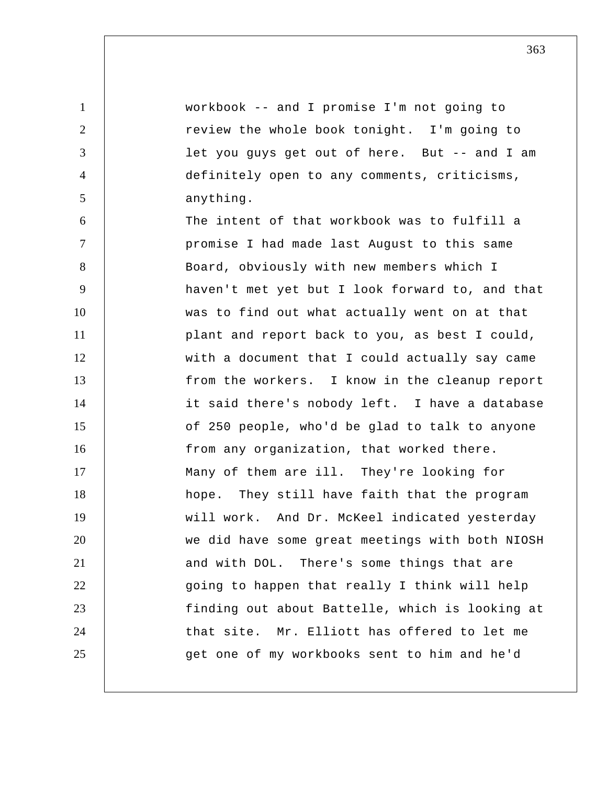1 2 3 4 5 6 7 8 9 10 11 12 13 14 15 16 17 18 19 20 21 22 23 24 25 workbook -- and I promise I'm not going to review the whole book tonight. I'm going to let you guys get out of here. But -- and I am definitely open to any comments, criticisms, anything. The intent of that workbook was to fulfill a promise I had made last August to this same Board, obviously with new members which I haven't met yet but I look forward to, and that was to find out what actually went on at that plant and report back to you, as best I could, with a document that I could actually say came from the workers. I know in the cleanup report it said there's nobody left. I have a database of 250 people, who'd be glad to talk to anyone from any organization, that worked there. Many of them are ill. They're looking for hope. They still have faith that the program will work. And Dr. McKeel indicated yesterday we did have some great meetings with both NIOSH and with DOL. There's some things that are going to happen that really I think will help finding out about Battelle, which is looking at that site. Mr. Elliott has offered to let me get one of my workbooks sent to him and he'd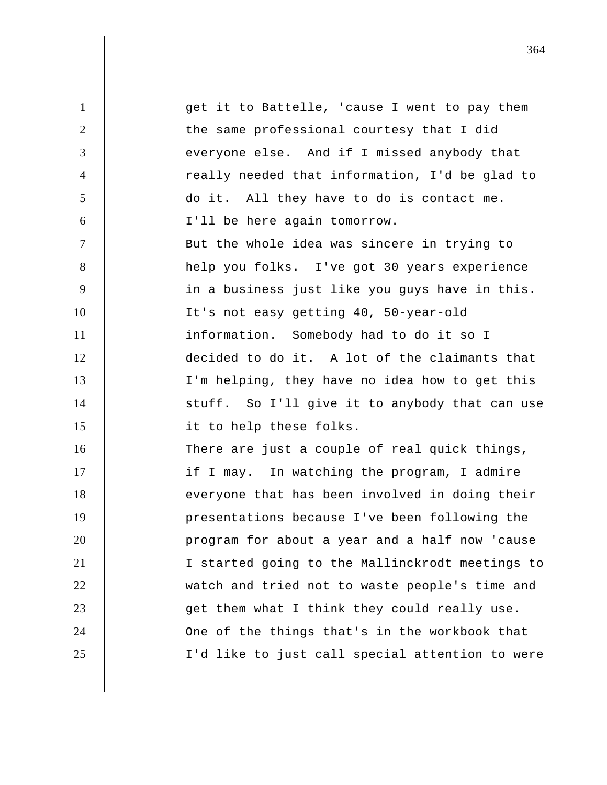1 2 3 4 5 6 7 8 9 10 11 12 13 14 15 16 17 18 19 20 21 22 23 24 25 get it to Battelle, 'cause I went to pay them the same professional courtesy that I did everyone else. And if I missed anybody that really needed that information, I'd be glad to do it. All they have to do is contact me. I'll be here again tomorrow. But the whole idea was sincere in trying to help you folks. I've got 30 years experience in a business just like you guys have in this. It's not easy getting 40, 50-year-old information. Somebody had to do it so I decided to do it. A lot of the claimants that I'm helping, they have no idea how to get this stuff. So I'll give it to anybody that can use it to help these folks. There are just a couple of real quick things, if I may. In watching the program, I admire everyone that has been involved in doing their presentations because I've been following the program for about a year and a half now 'cause I started going to the Mallinckrodt meetings to watch and tried not to waste people's time and get them what I think they could really use. One of the things that's in the workbook that I'd like to just call special attention to were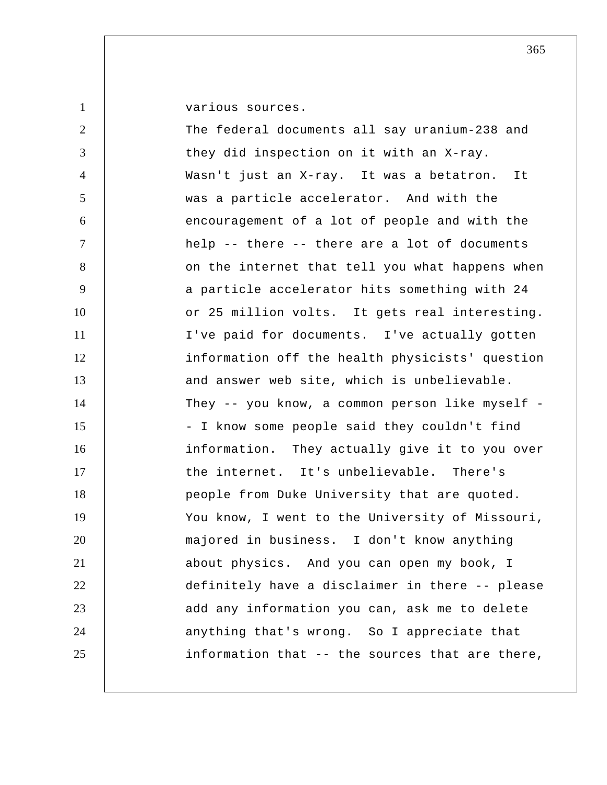various sources.

1

| $\overline{2}$ |                                                 |
|----------------|-------------------------------------------------|
|                | The federal documents all say uranium-238 and   |
| 3              | they did inspection on it with an X-ray.        |
| $\overline{4}$ | Wasn't just an X-ray. It was a betatron.<br>It  |
| 5              | was a particle accelerator. And with the        |
| 6              | encouragement of a lot of people and with the   |
| $\tau$         | help -- there -- there are a lot of documents   |
| 8              | on the internet that tell you what happens when |
| 9              | a particle accelerator hits something with 24   |
| 10             | or 25 million volts. It gets real interesting.  |
| 11             | I've paid for documents. I've actually gotten   |
| 12             | information off the health physicists' question |
| 13             | and answer web site, which is unbelievable.     |
| 14             | They -- you know, a common person like myself - |
| 15             | - I know some people said they couldn't find    |
| 16             | information. They actually give it to you over  |
| 17             | the internet. It's unbelievable. There's        |
| 18             | people from Duke University that are quoted.    |
| 19             | You know, I went to the University of Missouri, |
| 20             | majored in business. I don't know anything      |
| 21             | about physics. And you can open my book, I      |
| 22             | definitely have a disclaimer in there -- please |
| 23             | add any information you can, ask me to delete   |
| 24             | anything that's wrong. So I appreciate that     |
| 25             | information that -- the sources that are there, |
|                |                                                 |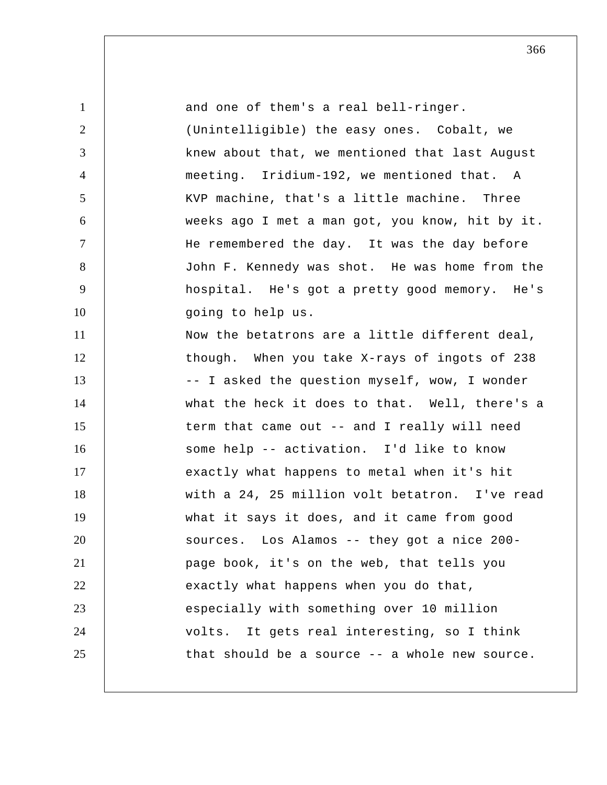1 2 3 4 5 6 7 8 9 10 11 12 13 14 15 16 17 18 19 20 21 22 23 24 25 and one of them's a real bell-ringer. (Unintelligible) the easy ones. Cobalt, we knew about that, we mentioned that last August meeting. Iridium-192, we mentioned that. A KVP machine, that's a little machine. Three weeks ago I met a man got, you know, hit by it. He remembered the day. It was the day before John F. Kennedy was shot. He was home from the hospital. He's got a pretty good memory. He's going to help us. Now the betatrons are a little different deal, though. When you take X-rays of ingots of 238 -- I asked the question myself, wow, I wonder what the heck it does to that. Well, there's a term that came out -- and I really will need some help -- activation. I'd like to know exactly what happens to metal when it's hit with a 24, 25 million volt betatron. I've read what it says it does, and it came from good sources. Los Alamos -- they got a nice 200 page book, it's on the web, that tells you exactly what happens when you do that, especially with something over 10 million volts. It gets real interesting, so I think that should be a source -- a whole new source.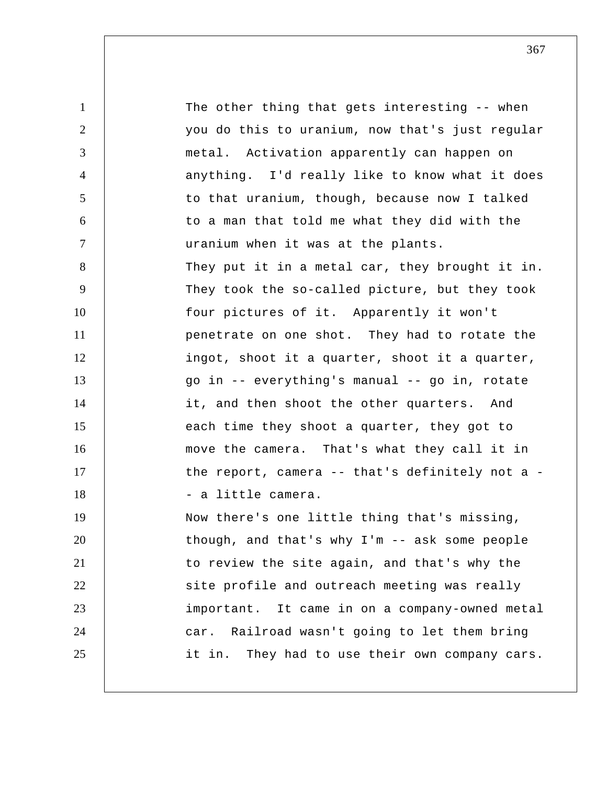1 2 3 4 5 6 7 8 9 10 11 12 13 14 15 16 17 18 19 20 21 22 23 24 25 The other thing that gets interesting -- when you do this to uranium, now that's just regular metal. Activation apparently can happen on anything. I'd really like to know what it does to that uranium, though, because now I talked to a man that told me what they did with the uranium when it was at the plants. They put it in a metal car, they brought it in. They took the so-called picture, but they took four pictures of it. Apparently it won't penetrate on one shot. They had to rotate the ingot, shoot it a quarter, shoot it a quarter, go in -- everything's manual -- go in, rotate it, and then shoot the other quarters. And each time they shoot a quarter, they got to move the camera. That's what they call it in the report, camera -- that's definitely not a -- a little camera. Now there's one little thing that's missing, though, and that's why I'm -- ask some people to review the site again, and that's why the site profile and outreach meeting was really important. It came in on a company-owned metal car. Railroad wasn't going to let them bring it in. They had to use their own company cars.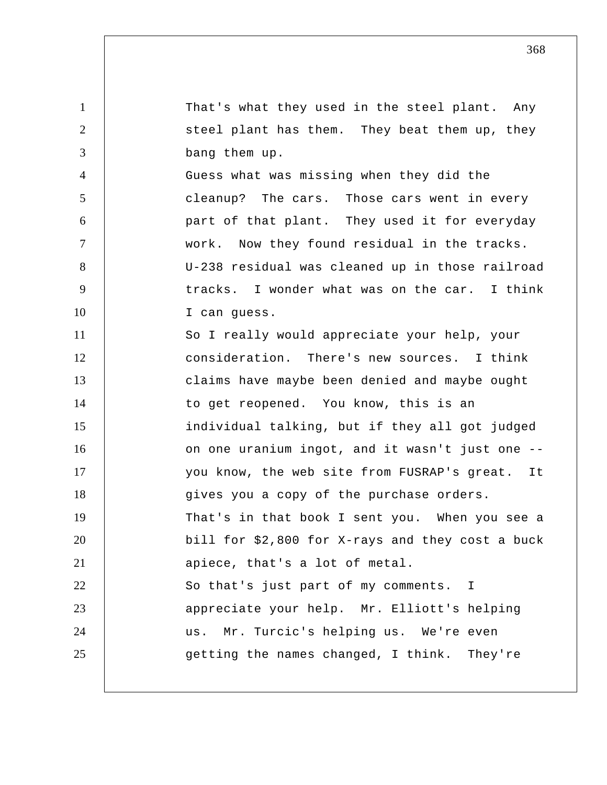1 2 3 4 5 6 7 8 9 10 11 12 13 14 15 16 17 18 19 20 21 22 23 24 25 That's what they used in the steel plant. Any steel plant has them. They beat them up, they bang them up. Guess what was missing when they did the cleanup? The cars. Those cars went in every part of that plant. They used it for everyday work. Now they found residual in the tracks. U-238 residual was cleaned up in those railroad tracks. I wonder what was on the car. I think I can guess. So I really would appreciate your help, your consideration. There's new sources. I think claims have maybe been denied and maybe ought to get reopened. You know, this is an individual talking, but if they all got judged on one uranium ingot, and it wasn't just one - you know, the web site from FUSRAP's great. It gives you a copy of the purchase orders. That's in that book I sent you. When you see a bill for \$2,800 for X-rays and they cost a buck apiece, that's a lot of metal. So that's just part of my comments. I appreciate your help. Mr. Elliott's helping us. Mr. Turcic's helping us. We're even getting the names changed, I think. They're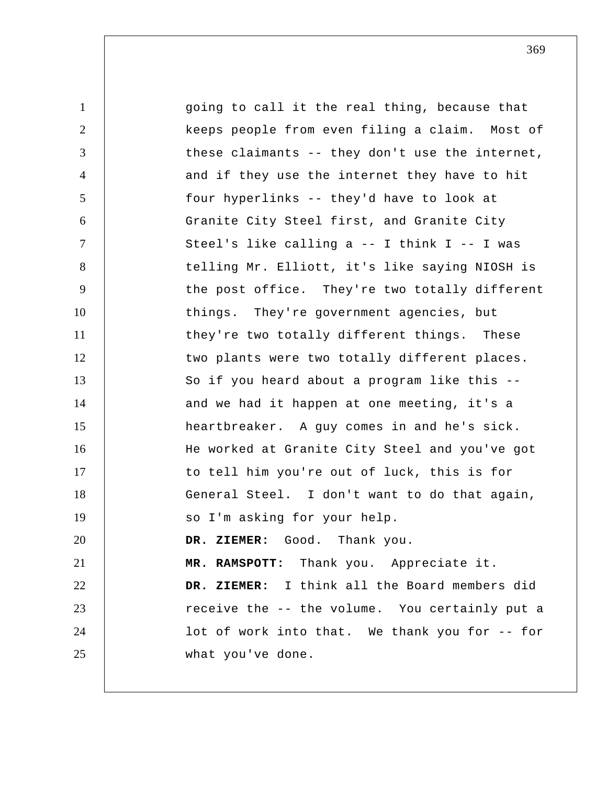1 2 3 4 5 6 7 8 9 10 11 12 13 14 15 16 17 18 19 20 21 22 23 24 25 going to call it the real thing, because that keeps people from even filing a claim. Most of these claimants -- they don't use the internet, and if they use the internet they have to hit four hyperlinks -- they'd have to look at Granite City Steel first, and Granite City Steel's like calling a -- I think I -- I was telling Mr. Elliott, it's like saying NIOSH is the post office. They're two totally different things. They're government agencies, but they're two totally different things. These two plants were two totally different places. So if you heard about a program like this - and we had it happen at one meeting, it's a heartbreaker. A guy comes in and he's sick. He worked at Granite City Steel and you've got to tell him you're out of luck, this is for General Steel. I don't want to do that again, so I'm asking for your help. DR. ZIEMER: Good. Thank you. **MR. RAMSPOTT:** Thank you. Appreciate it.  **DR. ZIEMER:** I think all the Board members did receive the -- the volume. You certainly put a lot of work into that. We thank you for -- for what you've done.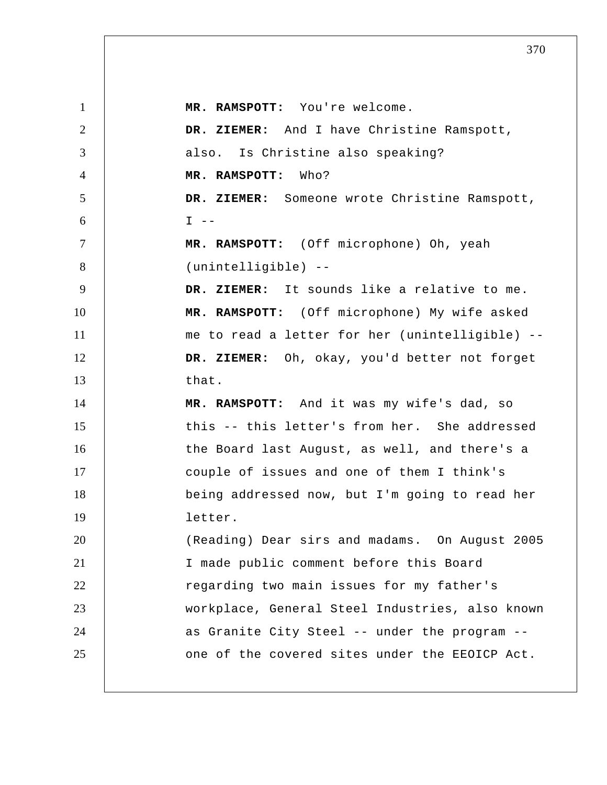1 2 3 4 5 6 7 8 9 10 11 12 13 14 15 16 17 18 19 20 21 22 23 24 25 **MR. RAMSPOTT:** You're welcome.  **DR. ZIEMER:** And I have Christine Ramspott, also. Is Christine also speaking? **MR. RAMSPOTT:** Who?  **DR. ZIEMER:** Someone wrote Christine Ramspott,  $I = -$ **MR. RAMSPOTT:** (Off microphone) Oh, yeah (unintelligible) --  **DR. ZIEMER:** It sounds like a relative to me. **MR. RAMSPOTT:** (Off microphone) My wife asked me to read a letter for her (unintelligible) --  **DR. ZIEMER:** Oh, okay, you'd better not forget that. **MR. RAMSPOTT:** And it was my wife's dad, so this -- this letter's from her. She addressed the Board last August, as well, and there's a couple of issues and one of them I think's being addressed now, but I'm going to read her letter. (Reading) Dear sirs and madams. On August 2005 I made public comment before this Board regarding two main issues for my father's workplace, General Steel Industries, also known as Granite City Steel -- under the program - one of the covered sites under the EEOICP Act.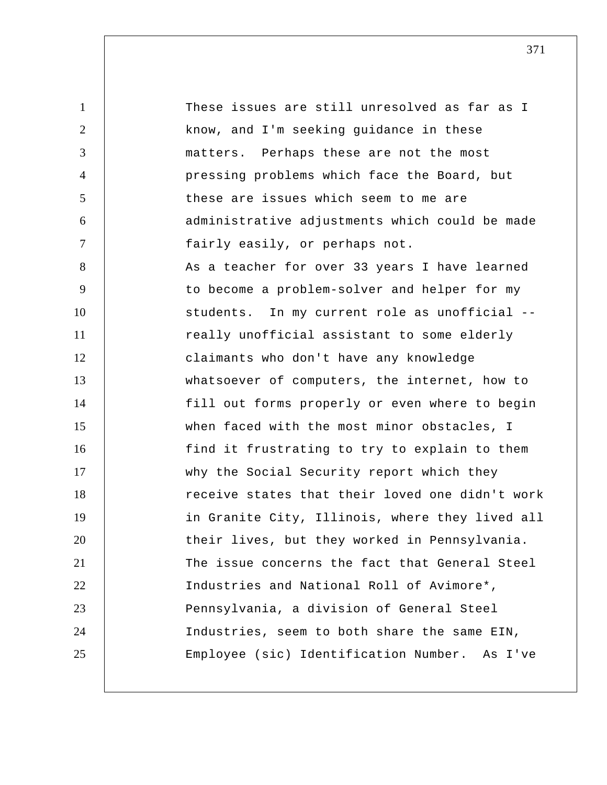1 2 3 4 5 6 7 8 9 10 11 12 13 14 15 16 17 18 19 20 21 22 23 24 25 These issues are still unresolved as far as I know, and I'm seeking guidance in these matters. Perhaps these are not the most pressing problems which face the Board, but these are issues which seem to me are administrative adjustments which could be made fairly easily, or perhaps not. As a teacher for over 33 years I have learned to become a problem-solver and helper for my students. In my current role as unofficial - really unofficial assistant to some elderly claimants who don't have any knowledge whatsoever of computers, the internet, how to fill out forms properly or even where to begin when faced with the most minor obstacles, I find it frustrating to try to explain to them why the Social Security report which they receive states that their loved one didn't work in Granite City, Illinois, where they lived all their lives, but they worked in Pennsylvania. The issue concerns the fact that General Steel Industries and National Roll of Avimore\*, Pennsylvania, a division of General Steel Industries, seem to both share the same EIN, Employee (sic) Identification Number. As I've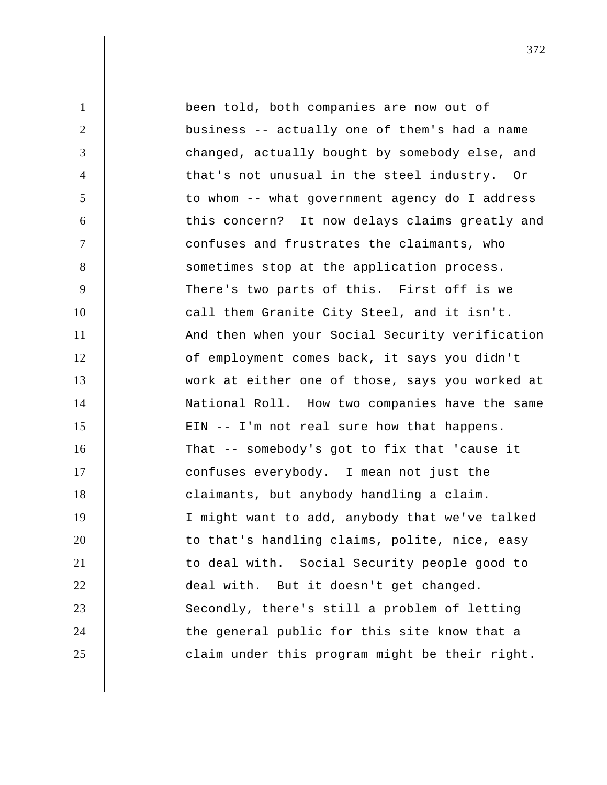1 2 3 4 5 6 7 8 9 10 11 12 13 14 15 16 17 18 19 20 21 22 23 24 25 been told, both companies are now out of business -- actually one of them's had a name changed, actually bought by somebody else, and that's not unusual in the steel industry. Or to whom -- what government agency do I address this concern? It now delays claims greatly and confuses and frustrates the claimants, who sometimes stop at the application process. There's two parts of this. First off is we call them Granite City Steel, and it isn't. And then when your Social Security verification of employment comes back, it says you didn't work at either one of those, says you worked at National Roll. How two companies have the same EIN -- I'm not real sure how that happens. That -- somebody's got to fix that 'cause it confuses everybody. I mean not just the claimants, but anybody handling a claim. I might want to add, anybody that we've talked to that's handling claims, polite, nice, easy to deal with. Social Security people good to deal with. But it doesn't get changed. Secondly, there's still a problem of letting the general public for this site know that a claim under this program might be their right.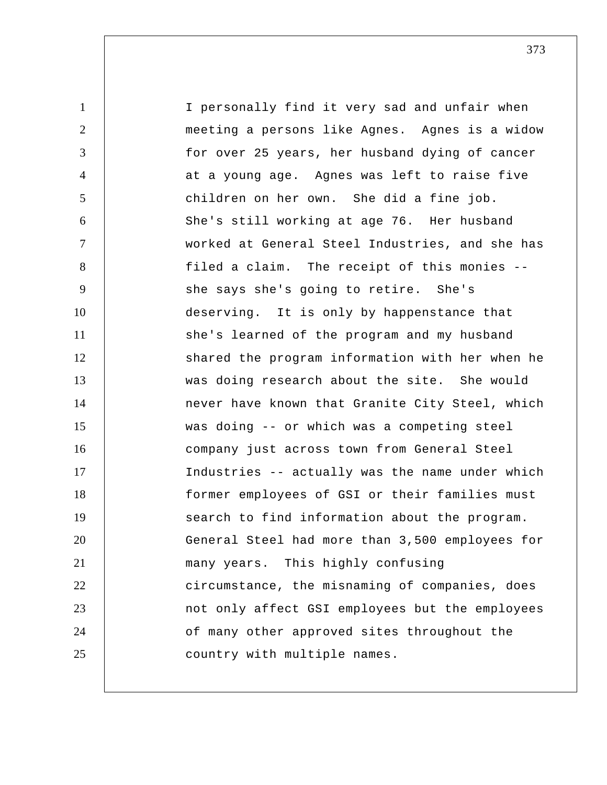1 2 3 4 5 6 7 8 9 10 11 12 13 14 15 16 17 18 19 20 21 22 23 24 25 I personally find it very sad and unfair when meeting a persons like Agnes. Agnes is a widow for over 25 years, her husband dying of cancer at a young age. Agnes was left to raise five children on her own. She did a fine job. She's still working at age 76. Her husband worked at General Steel Industries, and she has filed a claim. The receipt of this monies - she says she's going to retire. She's deserving. It is only by happenstance that she's learned of the program and my husband shared the program information with her when he was doing research about the site. She would never have known that Granite City Steel, which was doing -- or which was a competing steel company just across town from General Steel Industries -- actually was the name under which former employees of GSI or their families must search to find information about the program. General Steel had more than 3,500 employees for many years. This highly confusing circumstance, the misnaming of companies, does not only affect GSI employees but the employees of many other approved sites throughout the country with multiple names.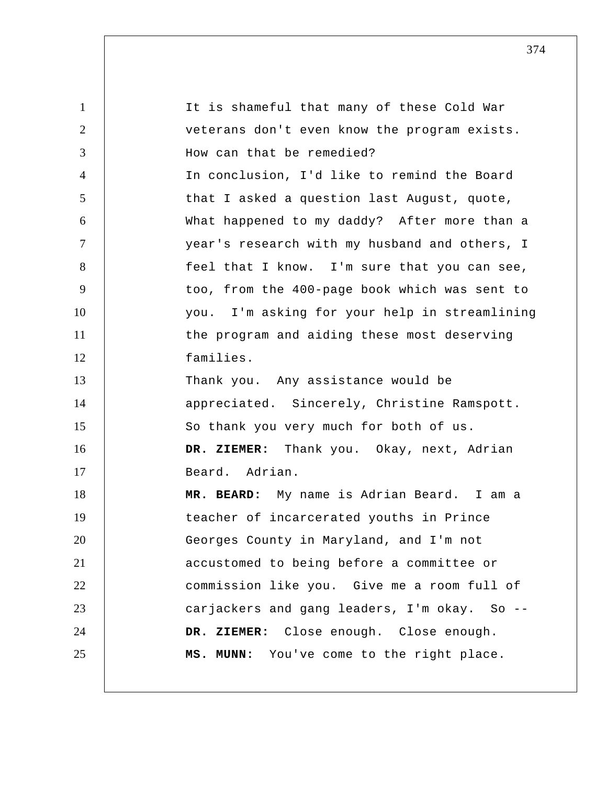| $\mathbf{1}$   | It is shameful that many of these Cold War    |
|----------------|-----------------------------------------------|
| $\overline{2}$ | veterans don't even know the program exists.  |
| 3              | How can that be remedied?                     |
| $\overline{4}$ | In conclusion, I'd like to remind the Board   |
| 5              | that I asked a question last August, quote,   |
| 6              | What happened to my daddy? After more than a  |
| $\tau$         | year's research with my husband and others, I |
| 8              | feel that I know. I'm sure that you can see,  |
| 9              | too, from the 400-page book which was sent to |
| 10             | you. I'm asking for your help in streamlining |
| 11             | the program and aiding these most deserving   |
| 12             | families.                                     |
| 13             | Thank you. Any assistance would be            |
| 14             | appreciated. Sincerely, Christine Ramspott.   |
| 15             | So thank you very much for both of us.        |
| 16             | DR. ZIEMER: Thank you. Okay, next, Adrian     |
| 17             | Beard. Adrian.                                |
| 18             | MR. BEARD: My name is Adrian Beard. I am a    |
| 19             | teacher of incarcerated youths in Prince      |
| 20             | Georges County in Maryland, and I'm not       |
| 21             | accustomed to being before a committee or     |
| 22             | commission like you. Give me a room full of   |
| 23             | carjackers and gang leaders, I'm okay. So --  |
| 24             | DR. ZIEMER: Close enough. Close enough.       |
| 25             | MS. MUNN: You've come to the right place.     |
|                |                                               |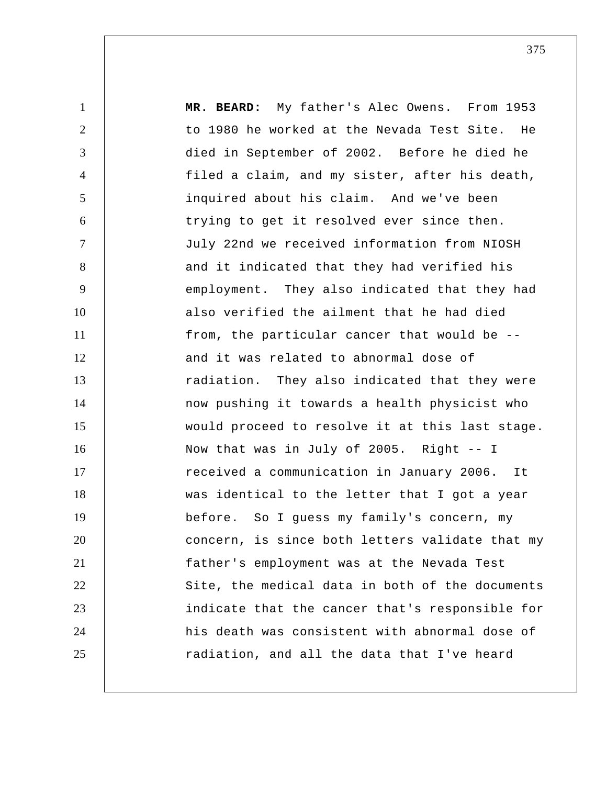1 2 3 4 5 6 7 8 9 10 11 12 13 14 15 16 17 18 19 20 21 22 23 24 25 **MR. BEARD:** My father's Alec Owens. From 1953 to 1980 he worked at the Nevada Test Site. He died in September of 2002. Before he died he filed a claim, and my sister, after his death, inquired about his claim. And we've been trying to get it resolved ever since then. July 22nd we received information from NIOSH and it indicated that they had verified his employment. They also indicated that they had also verified the ailment that he had died from, the particular cancer that would be - and it was related to abnormal dose of radiation. They also indicated that they were now pushing it towards a health physicist who would proceed to resolve it at this last stage. Now that was in July of 2005. Right -- I received a communication in January 2006. It was identical to the letter that I got a year before. So I guess my family's concern, my concern, is since both letters validate that my father's employment was at the Nevada Test Site, the medical data in both of the documents indicate that the cancer that's responsible for his death was consistent with abnormal dose of radiation, and all the data that I've heard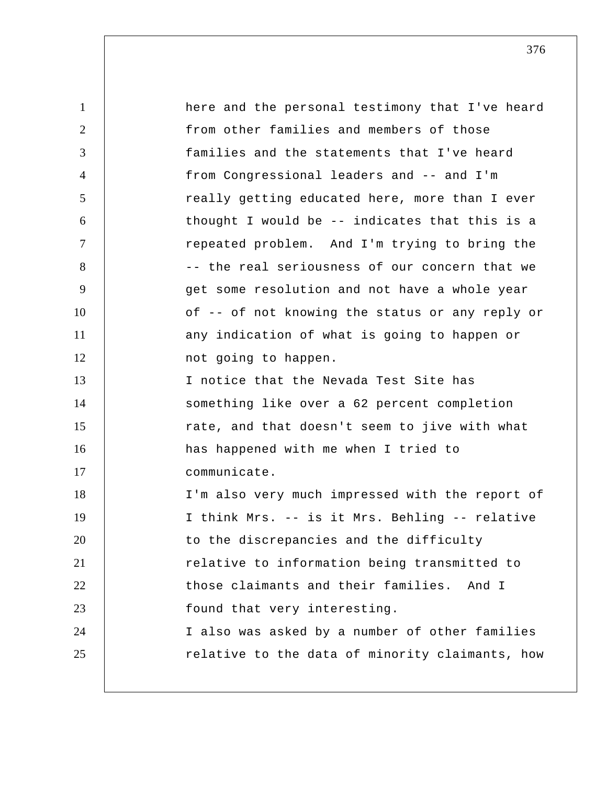| 1              | here and the personal testimony that I've heard |
|----------------|-------------------------------------------------|
| $\overline{2}$ | from other families and members of those        |
| 3              | families and the statements that I've heard     |
| $\overline{4}$ | from Congressional leaders and -- and I'm       |
| 5              | really getting educated here, more than I ever  |
| 6              | thought I would be -- indicates that this is a  |
| $\tau$         | repeated problem. And I'm trying to bring the   |
| 8              | -- the real seriousness of our concern that we  |
| 9              | get some resolution and not have a whole year   |
| 10             | of -- of not knowing the status or any reply or |
| 11             | any indication of what is going to happen or    |
| 12             | not going to happen.                            |
| 13             | I notice that the Nevada Test Site has          |
| 14             | something like over a 62 percent completion     |
| 15             | rate, and that doesn't seem to jive with what   |
| 16             | has happened with me when I tried to            |
| 17             | communicate.                                    |
| 18             | I'm also very much impressed with the report of |
| 19             | I think Mrs. -- is it Mrs. Behling -- relative  |
| 20             | to the discrepancies and the difficulty         |
| 21             | relative to information being transmitted to    |
| 22             | those claimants and their families. And I       |
| 23             | found that very interesting.                    |
| 24             | I also was asked by a number of other families  |
| 25             | relative to the data of minority claimants, how |
|                |                                                 |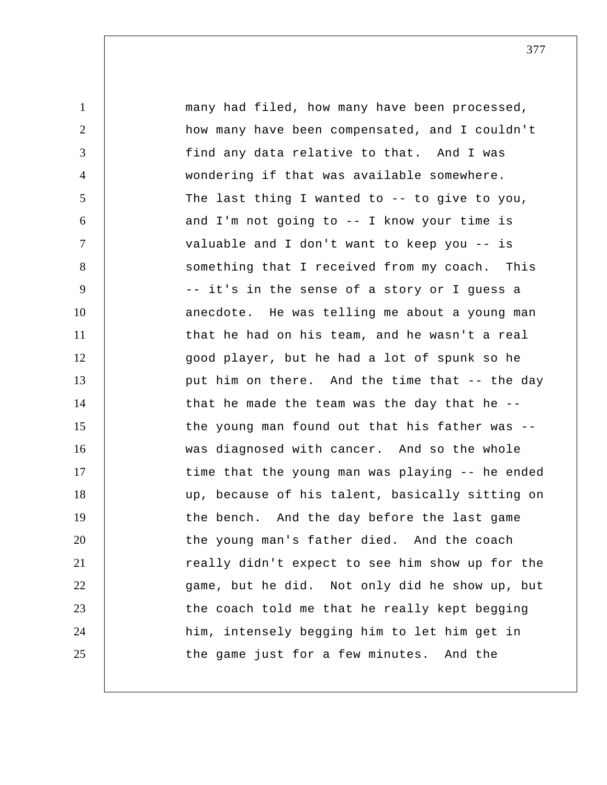1 2 3 4 5 6 7 8 9 10 11 12 13 14 15 16 17 18 19 20 21 22 23 24 25 many had filed, how many have been processed, how many have been compensated, and I couldn't find any data relative to that. And I was wondering if that was available somewhere. The last thing I wanted to -- to give to you, and I'm not going to -- I know your time is valuable and I don't want to keep you -- is something that I received from my coach. This -- it's in the sense of a story or I guess a anecdote. He was telling me about a young man that he had on his team, and he wasn't a real good player, but he had a lot of spunk so he put him on there. And the time that -- the day that he made the team was the day that he - the young man found out that his father was - was diagnosed with cancer. And so the whole time that the young man was playing -- he ended up, because of his talent, basically sitting on the bench. And the day before the last game the young man's father died. And the coach really didn't expect to see him show up for the game, but he did. Not only did he show up, but the coach told me that he really kept begging him, intensely begging him to let him get in the game just for a few minutes. And the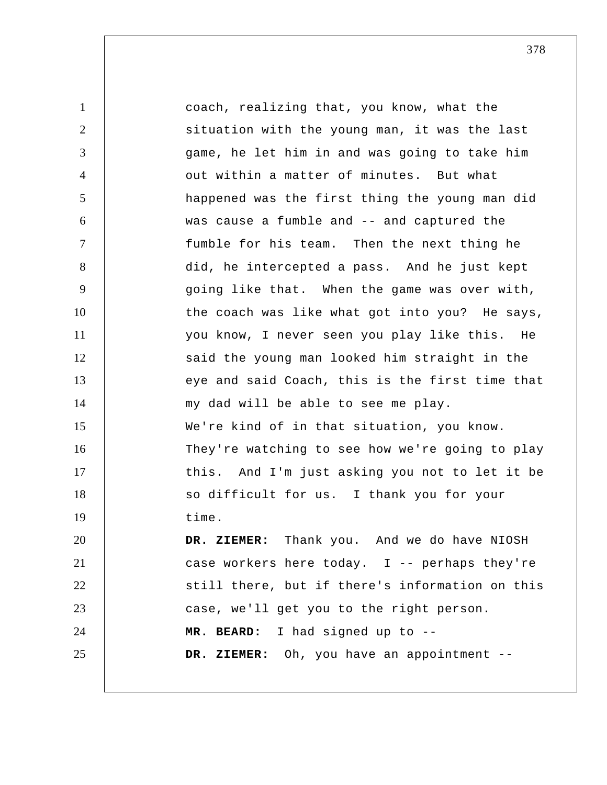1 2 3 4 5 6 7 8 9 10 11 12 13 14 15 16 17 18 19 20 21 22 23 24 25 coach, realizing that, you know, what the situation with the young man, it was the last game, he let him in and was going to take him out within a matter of minutes. But what happened was the first thing the young man did was cause a fumble and -- and captured the fumble for his team. Then the next thing he did, he intercepted a pass. And he just kept going like that. When the game was over with, the coach was like what got into you? He says, you know, I never seen you play like this. He said the young man looked him straight in the eye and said Coach, this is the first time that my dad will be able to see me play. We're kind of in that situation, you know. They're watching to see how we're going to play this. And I'm just asking you not to let it be so difficult for us. I thank you for your time.  **DR. ZIEMER:** Thank you. And we do have NIOSH case workers here today. I -- perhaps they're still there, but if there's information on this case, we'll get you to the right person. **MR. BEARD:** I had signed up to -- **DR. ZIEMER:** Oh, you have an appointment --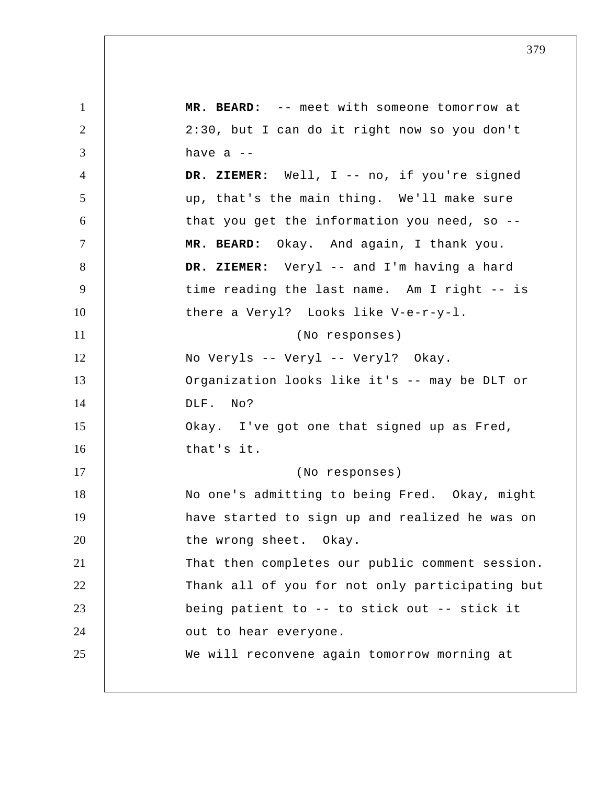1 2 3 4 5 6 7 8 9 10 11 12 13 14 15 16 17 18 19 20 21 22 23 24 25 **MR. BEARD:** -- meet with someone tomorrow at 2:30, but I can do it right now so you don't have a -- **DR. ZIEMER:** Well, I -- no, if you're signed up, that's the main thing. We'll make sure that you get the information you need, so -- **MR. BEARD:** Okay. And again, I thank you.  **DR. ZIEMER:** Veryl -- and I'm having a hard time reading the last name. Am I right -- is there a Veryl? Looks like V-e-r-y-l. (No responses) No Veryls -- Veryl -- Veryl? Okay. Organization looks like it's -- may be DLT or DLF. No? Okay. I've got one that signed up as Fred, that's it. (No responses) No one's admitting to being Fred. Okay, might have started to sign up and realized he was on the wrong sheet. Okay. That then completes our public comment session. Thank all of you for not only participating but being patient to -- to stick out -- stick it out to hear everyone. We will reconvene again tomorrow morning at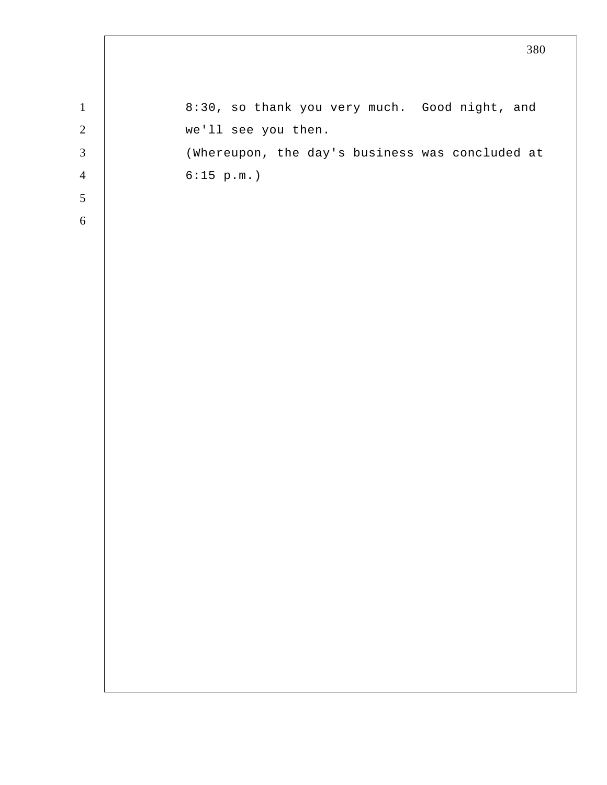| $\mathbf{1}$   | 8:30, so thank you very much. Good night, and   |
|----------------|-------------------------------------------------|
| $\overline{2}$ | we'll see you then.                             |
| $\overline{3}$ | (Whereupon, the day's business was concluded at |
| $\overline{4}$ | 6:15 p.m.                                       |
| 5 <sup>5</sup> |                                                 |
| 6              |                                                 |
|                |                                                 |
|                |                                                 |